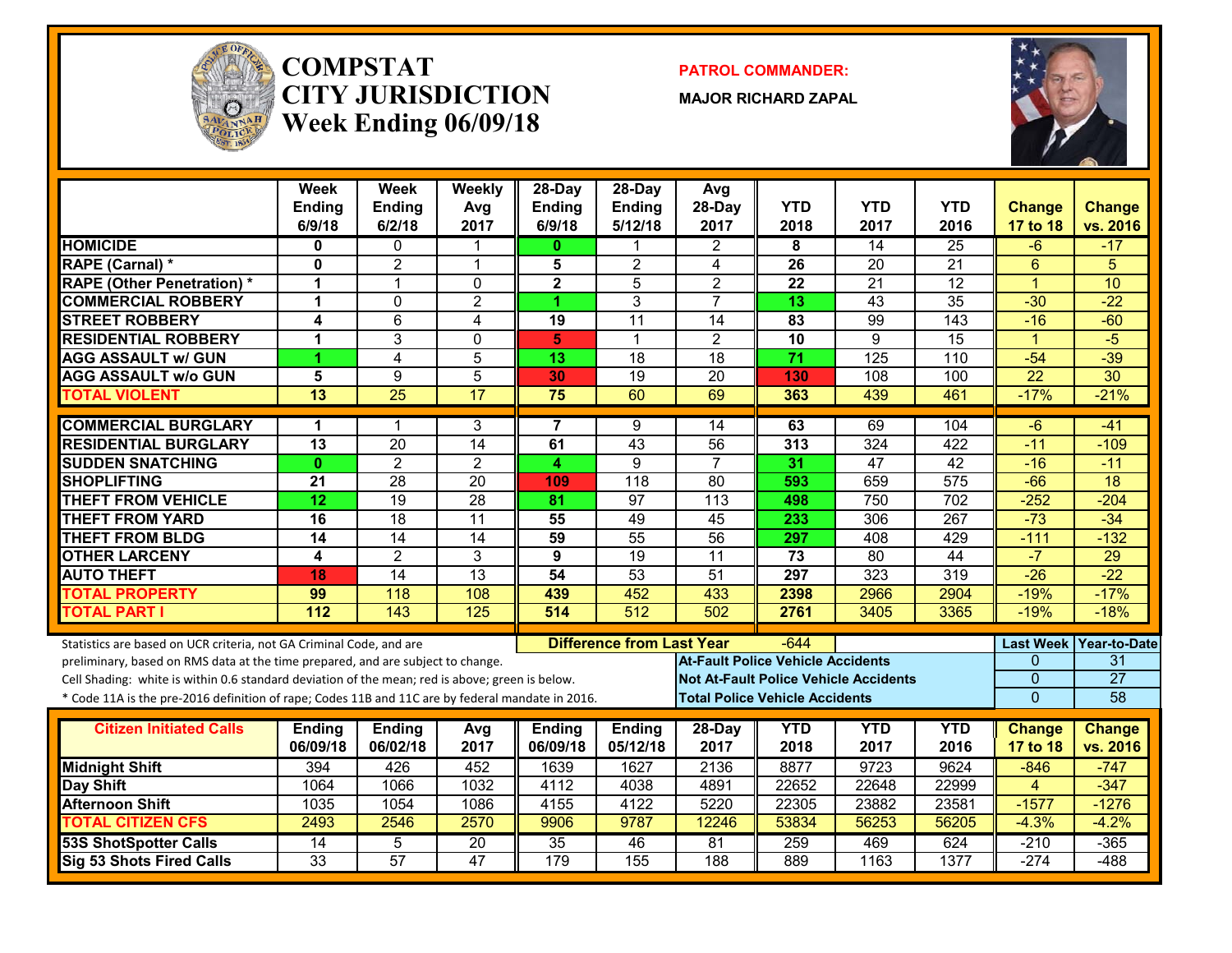

#### **COMPSTATCITY JURISDICTIONWeek Ending 06/09/18**

**PATROL COMMANDER:**

**MAJOR RICHARD ZAPAL**



| <b>Week</b><br><b>Ending</b><br>6/9/18 | Week<br><b>Ending</b><br>6/2/18                                                              | Weekly<br>Avg<br>2017                                                                                                                                                           | 28-Day<br><b>Ending</b><br>6/9/18                                                                                                                                 | $28-Day$<br><b>Ending</b><br>5/12/18                                                                                                                                                                           | Avg<br>28-Day<br>2017                                                                                                                                                                 | <b>YTD</b><br>2018                                                                                           | <b>YTD</b><br>2017                                                                         | <b>YTD</b><br>2016                                                                                                                                                     | <b>Change</b><br>17 to 18                                                                                                                       | <b>Change</b><br>vs. 2016                                                                                                                                   |
|----------------------------------------|----------------------------------------------------------------------------------------------|---------------------------------------------------------------------------------------------------------------------------------------------------------------------------------|-------------------------------------------------------------------------------------------------------------------------------------------------------------------|----------------------------------------------------------------------------------------------------------------------------------------------------------------------------------------------------------------|---------------------------------------------------------------------------------------------------------------------------------------------------------------------------------------|--------------------------------------------------------------------------------------------------------------|--------------------------------------------------------------------------------------------|------------------------------------------------------------------------------------------------------------------------------------------------------------------------|-------------------------------------------------------------------------------------------------------------------------------------------------|-------------------------------------------------------------------------------------------------------------------------------------------------------------|
| 0                                      | $\mathbf 0$                                                                                  | 1                                                                                                                                                                               | 0                                                                                                                                                                 | 1                                                                                                                                                                                                              | $\mathbf{2}$                                                                                                                                                                          | 8                                                                                                            | $\overline{14}$                                                                            | $\overline{25}$                                                                                                                                                        | -6                                                                                                                                              | $-17$                                                                                                                                                       |
| 0                                      | $\overline{2}$                                                                               | $\overline{1}$                                                                                                                                                                  | 5                                                                                                                                                                 | $\overline{c}$                                                                                                                                                                                                 | 4                                                                                                                                                                                     | 26                                                                                                           | 20                                                                                         | $\overline{21}$                                                                                                                                                        | $6\phantom{1}$                                                                                                                                  | 5                                                                                                                                                           |
| 1                                      | $\mathbf{1}$                                                                                 | $\mathbf 0$                                                                                                                                                                     | $\overline{\mathbf{2}}$                                                                                                                                           | $\overline{5}$                                                                                                                                                                                                 | $\overline{2}$                                                                                                                                                                        | 22                                                                                                           | $\overline{21}$                                                                            | $\overline{12}$                                                                                                                                                        | $\overline{1}$                                                                                                                                  | 10                                                                                                                                                          |
| 1                                      | $\Omega$                                                                                     | $\overline{2}$                                                                                                                                                                  | 4                                                                                                                                                                 | 3                                                                                                                                                                                                              | $\overline{7}$                                                                                                                                                                        | $\overline{13}$                                                                                              | $\overline{43}$                                                                            | $\overline{35}$                                                                                                                                                        | $-30$                                                                                                                                           | $-22$                                                                                                                                                       |
| 4                                      | $6\phantom{1}$                                                                               | 4                                                                                                                                                                               | 19                                                                                                                                                                | $\overline{11}$                                                                                                                                                                                                | 14                                                                                                                                                                                    | 83                                                                                                           | 99                                                                                         | 143                                                                                                                                                                    | $-16$                                                                                                                                           | $-60$                                                                                                                                                       |
| 1                                      | 3                                                                                            | $\Omega$                                                                                                                                                                        | 5                                                                                                                                                                 | 1                                                                                                                                                                                                              | $\overline{2}$                                                                                                                                                                        | 10                                                                                                           | 9                                                                                          | $\overline{15}$                                                                                                                                                        | $\overline{1}$                                                                                                                                  | $-5$                                                                                                                                                        |
| 4                                      | 4                                                                                            | 5                                                                                                                                                                               | 13                                                                                                                                                                | 18                                                                                                                                                                                                             | $\overline{18}$                                                                                                                                                                       | 71                                                                                                           | 125                                                                                        | 110                                                                                                                                                                    | $-54$                                                                                                                                           | $-39$                                                                                                                                                       |
| 5                                      | 9                                                                                            | 5                                                                                                                                                                               | 30                                                                                                                                                                | $\overline{19}$                                                                                                                                                                                                | $\overline{20}$                                                                                                                                                                       | 130                                                                                                          | 108                                                                                        | 100                                                                                                                                                                    | $\overline{22}$                                                                                                                                 | $\overline{30}$                                                                                                                                             |
| $\overline{13}$                        | $\overline{25}$                                                                              | $\overline{17}$                                                                                                                                                                 | 75                                                                                                                                                                | 60                                                                                                                                                                                                             | 69                                                                                                                                                                                    | 363                                                                                                          | 439                                                                                        | 461                                                                                                                                                                    | $-17%$                                                                                                                                          | $-21%$                                                                                                                                                      |
|                                        |                                                                                              |                                                                                                                                                                                 |                                                                                                                                                                   |                                                                                                                                                                                                                |                                                                                                                                                                                       |                                                                                                              |                                                                                            |                                                                                                                                                                        |                                                                                                                                                 | $-41$                                                                                                                                                       |
|                                        |                                                                                              |                                                                                                                                                                                 |                                                                                                                                                                   |                                                                                                                                                                                                                |                                                                                                                                                                                       |                                                                                                              |                                                                                            |                                                                                                                                                                        |                                                                                                                                                 | $-109$                                                                                                                                                      |
| $\mathbf{0}$                           | $\overline{2}$                                                                               | $\overline{2}$                                                                                                                                                                  | 4                                                                                                                                                                 | 9                                                                                                                                                                                                              | $\overline{7}$                                                                                                                                                                        | 31                                                                                                           | 47                                                                                         | 42                                                                                                                                                                     | $-16$                                                                                                                                           | $-11$                                                                                                                                                       |
| $\overline{21}$                        | $\overline{28}$                                                                              | $\overline{20}$                                                                                                                                                                 | 109                                                                                                                                                               | 118                                                                                                                                                                                                            | $\overline{80}$                                                                                                                                                                       | 593                                                                                                          | 659                                                                                        | 575                                                                                                                                                                    | $-66$                                                                                                                                           | 18                                                                                                                                                          |
| 12                                     | $\overline{19}$                                                                              | $\overline{28}$                                                                                                                                                                 | 81                                                                                                                                                                | 97                                                                                                                                                                                                             | 113                                                                                                                                                                                   | 498                                                                                                          | 750                                                                                        | 702                                                                                                                                                                    | $-252$                                                                                                                                          | $-204$                                                                                                                                                      |
| 16                                     | $\overline{18}$                                                                              | $\overline{11}$                                                                                                                                                                 | 55                                                                                                                                                                | 49                                                                                                                                                                                                             | 45                                                                                                                                                                                    | 233                                                                                                          | 306                                                                                        | 267                                                                                                                                                                    | $-73$                                                                                                                                           | $-34$                                                                                                                                                       |
| $\overline{14}$                        | $\overline{14}$                                                                              | $\overline{14}$                                                                                                                                                                 | 59                                                                                                                                                                | 55                                                                                                                                                                                                             | 56                                                                                                                                                                                    | 297                                                                                                          | 408                                                                                        | 429                                                                                                                                                                    | $-111$                                                                                                                                          | $-132$                                                                                                                                                      |
| 4                                      | $\overline{2}$                                                                               | 3                                                                                                                                                                               | 9                                                                                                                                                                 | 19                                                                                                                                                                                                             | 11                                                                                                                                                                                    | 73                                                                                                           | $\overline{80}$                                                                            | $\overline{44}$                                                                                                                                                        | $-7$                                                                                                                                            | 29                                                                                                                                                          |
| 18                                     | 14                                                                                           | $\overline{13}$                                                                                                                                                                 | $\overline{54}$                                                                                                                                                   | 53                                                                                                                                                                                                             | 51                                                                                                                                                                                    | $\overline{297}$                                                                                             | $\overline{323}$                                                                           | 319                                                                                                                                                                    | $-26$                                                                                                                                           | $-22$                                                                                                                                                       |
| 99                                     | $\overline{118}$                                                                             | 108                                                                                                                                                                             | 439                                                                                                                                                               | 452                                                                                                                                                                                                            | 433                                                                                                                                                                                   | 2398                                                                                                         | 2966                                                                                       | 2904                                                                                                                                                                   | $-19%$                                                                                                                                          | $-17%$                                                                                                                                                      |
| 112                                    | 143                                                                                          | 125                                                                                                                                                                             | 514                                                                                                                                                               | 512                                                                                                                                                                                                            | 502                                                                                                                                                                                   | 2761                                                                                                         | 3405                                                                                       | 3365                                                                                                                                                                   | $-19%$                                                                                                                                          | $-18%$                                                                                                                                                      |
|                                        |                                                                                              |                                                                                                                                                                                 |                                                                                                                                                                   |                                                                                                                                                                                                                |                                                                                                                                                                                       |                                                                                                              |                                                                                            |                                                                                                                                                                        |                                                                                                                                                 | Year-to-Date                                                                                                                                                |
|                                        |                                                                                              |                                                                                                                                                                                 |                                                                                                                                                                   |                                                                                                                                                                                                                |                                                                                                                                                                                       |                                                                                                              |                                                                                            |                                                                                                                                                                        |                                                                                                                                                 | 31                                                                                                                                                          |
|                                        |                                                                                              |                                                                                                                                                                                 |                                                                                                                                                                   |                                                                                                                                                                                                                |                                                                                                                                                                                       |                                                                                                              |                                                                                            |                                                                                                                                                                        |                                                                                                                                                 | $\overline{27}$                                                                                                                                             |
|                                        |                                                                                              |                                                                                                                                                                                 |                                                                                                                                                                   |                                                                                                                                                                                                                |                                                                                                                                                                                       |                                                                                                              |                                                                                            |                                                                                                                                                                        | $\overline{0}$                                                                                                                                  | 58                                                                                                                                                          |
|                                        |                                                                                              |                                                                                                                                                                                 |                                                                                                                                                                   |                                                                                                                                                                                                                |                                                                                                                                                                                       |                                                                                                              |                                                                                            |                                                                                                                                                                        |                                                                                                                                                 |                                                                                                                                                             |
|                                        |                                                                                              |                                                                                                                                                                                 |                                                                                                                                                                   |                                                                                                                                                                                                                |                                                                                                                                                                                       |                                                                                                              |                                                                                            |                                                                                                                                                                        |                                                                                                                                                 | <b>Change</b>                                                                                                                                               |
|                                        |                                                                                              |                                                                                                                                                                                 |                                                                                                                                                                   |                                                                                                                                                                                                                |                                                                                                                                                                                       |                                                                                                              |                                                                                            |                                                                                                                                                                        |                                                                                                                                                 | vs. 2016                                                                                                                                                    |
|                                        |                                                                                              |                                                                                                                                                                                 |                                                                                                                                                                   |                                                                                                                                                                                                                |                                                                                                                                                                                       |                                                                                                              |                                                                                            |                                                                                                                                                                        |                                                                                                                                                 | $-747$                                                                                                                                                      |
|                                        |                                                                                              |                                                                                                                                                                                 |                                                                                                                                                                   |                                                                                                                                                                                                                |                                                                                                                                                                                       |                                                                                                              |                                                                                            |                                                                                                                                                                        |                                                                                                                                                 | $-347$                                                                                                                                                      |
|                                        |                                                                                              |                                                                                                                                                                                 |                                                                                                                                                                   |                                                                                                                                                                                                                |                                                                                                                                                                                       |                                                                                                              |                                                                                            |                                                                                                                                                                        |                                                                                                                                                 | $-1276$<br>$-4.2%$                                                                                                                                          |
|                                        |                                                                                              |                                                                                                                                                                                 |                                                                                                                                                                   |                                                                                                                                                                                                                |                                                                                                                                                                                       |                                                                                                              |                                                                                            |                                                                                                                                                                        |                                                                                                                                                 | $-365$                                                                                                                                                      |
|                                        |                                                                                              |                                                                                                                                                                                 |                                                                                                                                                                   |                                                                                                                                                                                                                |                                                                                                                                                                                       |                                                                                                              |                                                                                            |                                                                                                                                                                        |                                                                                                                                                 | $-488$                                                                                                                                                      |
|                                        | 1<br>$\overline{13}$<br><b>Ending</b><br>06/09/18<br>394<br>1064<br>1035<br>2493<br>14<br>33 | 1<br>$\overline{20}$<br>Statistics are based on UCR criteria, not GA Criminal Code, and are<br><b>Ending</b><br>06/02/18<br>426<br>1066<br>1054<br>2546<br>5<br>$\overline{57}$ | 3<br>14<br>preliminary, based on RMS data at the time prepared, and are subject to change.<br>Avg<br>2017<br>452<br>1032<br>1086<br>2570<br>$\overline{20}$<br>47 | $\overline{7}$<br>61<br>Cell Shading: white is within 0.6 standard deviation of the mean; red is above; green is below.<br><b>Ending</b><br>06/09/18<br>1639<br>4112<br>4155<br>9906<br>$\overline{35}$<br>179 | 9<br>43<br>* Code 11A is the pre-2016 definition of rape; Codes 11B and 11C are by federal mandate in 2016.<br><b>Ending</b><br>05/12/18<br>1627<br>4038<br>4122<br>9787<br>46<br>155 | 14<br>56<br><b>Difference from Last Year</b><br>28-Day<br>2017<br>2136<br>4891<br>5220<br>12246<br>81<br>188 | 63<br>313<br>$-644$<br><b>YTD</b><br>2018<br>8877<br>22652<br>22305<br>53834<br>259<br>889 | 69<br>324<br><b>At-Fault Police Vehicle Accidents</b><br><b>Total Police Vehicle Accidents</b><br><b>YTD</b><br>2017<br>9723<br>22648<br>23882<br>56253<br>469<br>1163 | 104<br>$\overline{422}$<br><b>Not At-Fault Police Vehicle Accidents</b><br><b>YTD</b><br>2016<br>9624<br>22999<br>23581<br>56205<br>624<br>1377 | $-6$<br>$-11$<br><b>Last Week</b><br>0<br>$\overline{0}$<br><b>Change</b><br>17 to 18<br>$-846$<br>$\overline{4}$<br>$-1577$<br>$-4.3%$<br>$-210$<br>$-274$ |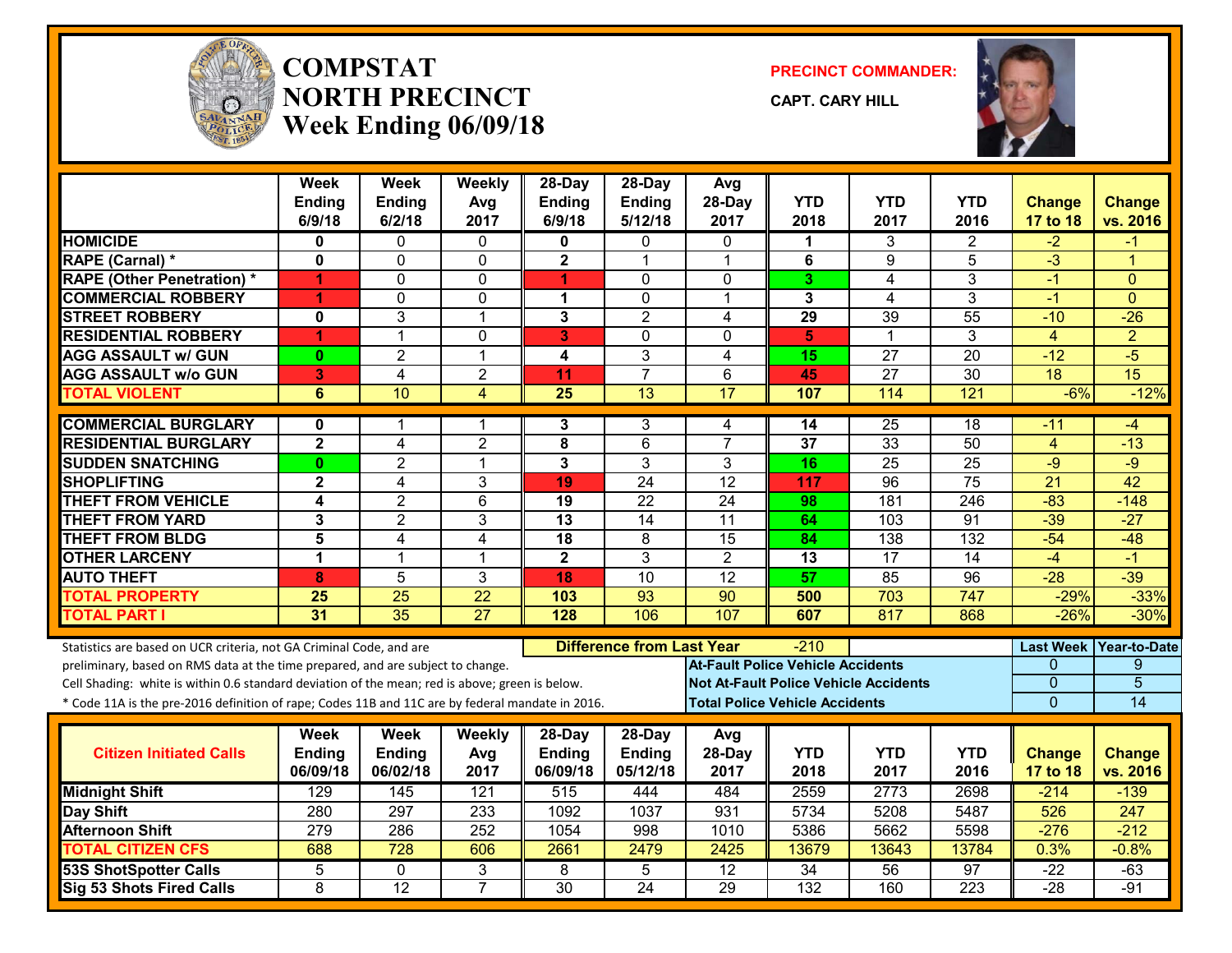

#### **COMPSTATNORTH PRECINCTWeek Ending 06/09/18**

**PRECINCT COMMANDER:**

**CAPT. CARY HILL**



|                                                                                                  | <b>Week</b><br><b>Ending</b> | <b>Week</b><br><b>Ending</b> | Weekly<br>Avg   | 28-Day<br><b>Ending</b> | $28-Dav$<br>Ending               | Avg<br>28-Day                            | <b>YTD</b>      | <b>YTD</b>                                   | YTD              | <b>Change</b>    | <b>Change</b>   |
|--------------------------------------------------------------------------------------------------|------------------------------|------------------------------|-----------------|-------------------------|----------------------------------|------------------------------------------|-----------------|----------------------------------------------|------------------|------------------|-----------------|
|                                                                                                  | 6/9/18                       | 6/2/18                       | 2017            | 6/9/18                  | 5/12/18                          | 2017                                     | 2018            | 2017                                         | 2016             | 17 to 18         | vs. 2016        |
| <b>HOMICIDE</b>                                                                                  | 0                            | $\Omega$                     | 0               | $\bf{0}$                | 0                                | $\Omega$                                 | 1               | 3                                            | 2                | -2               | -1              |
| RAPE (Carnal) *                                                                                  | $\mathbf 0$                  | $\mathbf 0$                  | 0               | $\overline{\mathbf{2}}$ | $\mathbf 1$                      | $\overline{\mathbf{1}}$                  | 6               | 9                                            | 5                | $\overline{3}$   | 1               |
| <b>RAPE (Other Penetration) *</b>                                                                | 1                            | $\mathbf{0}$                 | 0               | 1                       | $\mathbf{0}$                     | $\mathbf{0}$                             | 3               | 4                                            | 3                | -1               | $\Omega$        |
| <b>COMMERCIAL ROBBERY</b>                                                                        | 1                            | $\mathbf 0$                  | 0               | $\mathbf 1$             | $\mathbf 0$                      | 1                                        | 3               | $\overline{4}$                               | 3                | $-1$             | $\Omega$        |
| <b>STREET ROBBERY</b>                                                                            | $\mathbf 0$                  | 3                            | $\mathbf{1}$    | 3                       | $\overline{2}$                   | 4                                        | 29              | $\overline{39}$                              | $\overline{55}$  | $-10$            | $-26$           |
| <b>RESIDENTIAL ROBBERY</b>                                                                       | 1                            | $\mathbf{1}$                 | 0               | 3                       | $\mathbf{0}$                     | $\Omega$                                 | 5               | 1                                            | 3                | $\overline{4}$   | $\overline{2}$  |
| <b>AGG ASSAULT w/ GUN</b>                                                                        | $\bf{0}$                     | $\overline{2}$               | 1               | 4                       | $\overline{3}$                   | $\overline{4}$                           | $\overline{15}$ | $\overline{27}$                              | $\overline{20}$  | $-12$            | $-5$            |
| <b>AGG ASSAULT w/o GUN</b>                                                                       | 3                            | $\overline{4}$               | $\overline{2}$  | 11                      | $\overline{7}$                   | 6                                        | 45              | 27                                           | 30               | 18               | 15              |
| <b>TOTAL VIOLENT</b>                                                                             | $6\phantom{1}$               | 10                           | $\overline{4}$  | $\overline{25}$         | $\overline{13}$                  | $\overline{17}$                          | 107             | 114                                          | $\overline{121}$ | $-6%$            | $-12%$          |
| <b>COMMERCIAL BURGLARY</b>                                                                       | 0                            | 1                            | 1               | 3                       | 3                                | 4                                        | 14              | $\overline{25}$                              | 18               | -11              | -4              |
| <b>RESIDENTIAL BURGLARY</b>                                                                      | $\mathbf{2}$                 | $\overline{4}$               | $\overline{2}$  | 8                       | 6                                | $\overline{7}$                           | 37              | 33                                           | 50               | $\overline{4}$   | $-13$           |
| <b>SUDDEN SNATCHING</b>                                                                          | $\mathbf{0}$                 | $\overline{2}$               | $\overline{1}$  | 3                       | 3                                | 3                                        | 16              | $\overline{25}$                              | 25               | $-9$             | $-9$            |
| <b>SHOPLIFTING</b>                                                                               | $\overline{2}$               | 4                            | 3               | 19                      | $\overline{24}$                  | $\overline{12}$                          | 117             | $\overline{96}$                              | $\overline{75}$  | $\overline{21}$  | $\overline{42}$ |
| <b>THEFT FROM VEHICLE</b>                                                                        | 4                            | $\overline{2}$               | 6               | 19                      | 22                               | 24                                       | 98              | 181                                          | 246              | $-83$            | $-148$          |
| <b>THEFT FROM YARD</b>                                                                           | 3                            | $\overline{2}$               | 3               | $\overline{13}$         | $\overline{14}$                  | $\overline{11}$                          | 64              | 103                                          | $\overline{91}$  | $-39$            | $-27$           |
| <b>THEFT FROM BLDG</b>                                                                           | 5                            | 4                            | $\overline{4}$  | $\overline{18}$         | 8                                | $\overline{15}$                          | 84              | 138                                          | 132              | $-54$            | $-48$           |
| <b>OTHER LARCENY</b>                                                                             | $\mathbf 1$                  | $\overline{1}$               | $\overline{1}$  | $\overline{2}$          | 3                                | $\overline{2}$                           | 13              | $\overline{17}$                              | 14               | $-4$             | $-1$            |
| <b>AUTO THEFT</b>                                                                                | 8                            | $\overline{5}$               | $\overline{3}$  | 18                      | $\overline{10}$                  | 12                                       | 57              | 85                                           | $\overline{96}$  | $-28$            | $-39$           |
| <b>TOTAL PROPERTY</b>                                                                            | 25                           | $\overline{25}$              | $\overline{22}$ | 103                     | 93                               | 90                                       | 500             | 703                                          | 747              | $-29%$           | $-33%$          |
| <b>TOTAL PART I</b>                                                                              | 31                           | 35                           | $\overline{27}$ | $\overline{128}$        | 106                              | 107                                      | 607             | 817                                          | 868              | $-26%$           | $-30%$          |
| Statistics are based on UCR criteria, not GA Criminal Code, and are                              |                              |                              |                 |                         | <b>Difference from Last Year</b> |                                          | -210            |                                              |                  | <b>Last Week</b> | Year-to-Date    |
| preliminary, based on RMS data at the time prepared, and are subject to change.                  |                              |                              |                 |                         |                                  | <b>At-Fault Police Vehicle Accidents</b> |                 |                                              |                  | $\Omega$         | 9               |
| Cell Shading: white is within 0.6 standard deviation of the mean; red is above; green is below.  |                              |                              |                 |                         |                                  |                                          |                 | <b>Not At-Fault Police Vehicle Accidents</b> |                  | $\mathbf 0$      | $\overline{5}$  |
| * Code 11A is the pre-2016 definition of rape; Codes 11B and 11C are by federal mandate in 2016. |                              |                              |                 |                         |                                  | <b>Total Police Vehicle Accidents</b>    |                 |                                              |                  | $\Omega$         | 14              |
|                                                                                                  | Week                         | Week                         | <b>Weekly</b>   | 28-Day                  | 28-Day                           | Avg                                      |                 |                                              |                  |                  |                 |
| <b>Citizen Initiated Calls</b>                                                                   | <b>Ending</b>                | Ending                       | Avg             | <b>Ending</b>           | <b>Ending</b>                    | 28-Day                                   | <b>YTD</b>      | <b>YTD</b>                                   | <b>YTD</b>       | <b>Change</b>    | <b>Change</b>   |
|                                                                                                  | 06/09/18                     | 06/02/18                     | 2017            | 06/09/18                | 05/12/18                         | 2017                                     | 2018            | 2017                                         | 2016             | 17 to 18         | vs. 2016        |
| <b>Midnight Shift</b>                                                                            | 129                          | $\overline{145}$             | 121             | 515                     | 444                              | 484                                      | 2559            | 2773                                         | 2698             | $-214$           | $-139$          |
| <b>Day Shift</b>                                                                                 | 280                          | 297                          | 233             | 1092                    | 1037                             | 931                                      | 5734            | 5208                                         | 5487             | 526              | 247             |
| <b>Afternoon Shift</b>                                                                           | $\overline{279}$             | 286                          | 252             | 1054                    | 998                              | 1010                                     | 5386            | 5662                                         | 5598             | $-276$           | $-212$          |
| <b>TOTAL CITIZEN CFS</b>                                                                         | 688                          | 728                          | 606             | 2661                    | 2479                             | 2425                                     | 13679           | 13643                                        | 13784            | 0.3%             | $-0.8%$         |
| <b>53S ShotSpotter Calls</b>                                                                     | 5                            | 0                            | 3               | 8                       | 5                                | $\overline{12}$                          | $\overline{34}$ | 56                                           | 97               | $-22$            | $-63$           |
| <b>Sig 53 Shots Fired Calls</b>                                                                  | 8                            | $\overline{12}$              | $\overline{7}$  | $\overline{30}$         | $\overline{24}$                  | 29                                       | 132             | 160                                          | 223              | $-28$            | $-91$           |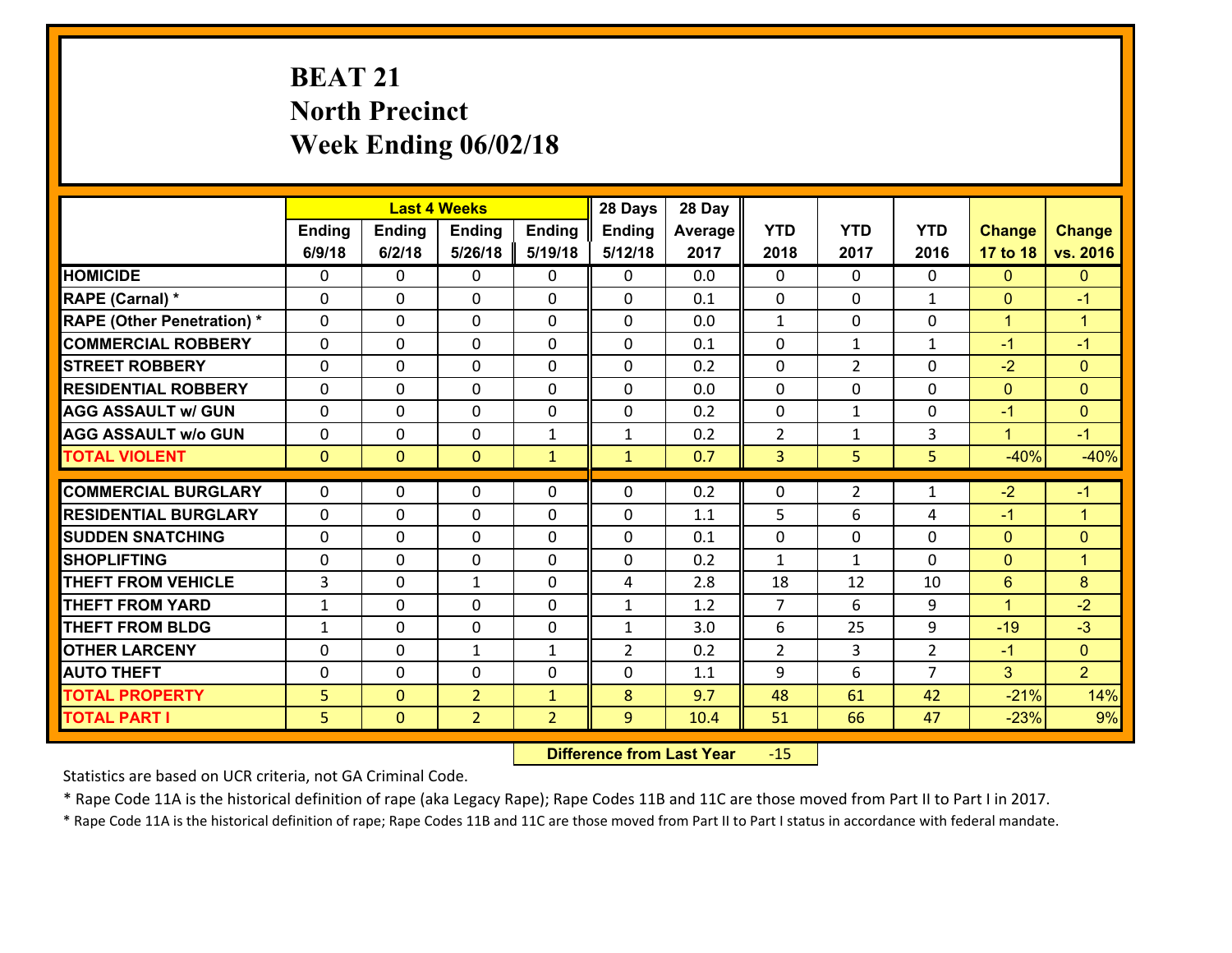# **BEAT 21 North Precinct Week Ending 06/02/18**

|                                   |               |                | <b>Last 4 Weeks</b> |                | 28 Days        | 28 Day  |                |                |                |                      |                      |
|-----------------------------------|---------------|----------------|---------------------|----------------|----------------|---------|----------------|----------------|----------------|----------------------|----------------------|
|                                   | <b>Ending</b> | Ending         | <b>Ending</b>       | Ending         | <b>Ending</b>  | Average | <b>YTD</b>     | <b>YTD</b>     | <b>YTD</b>     | <b>Change</b>        | <b>Change</b>        |
|                                   | 6/9/18        | 6/2/18         | 5/26/18             | 5/19/18        | 5/12/18        | 2017    | 2018           | 2017           | 2016           | 17 to 18             | vs. 2016             |
| <b>HOMICIDE</b>                   | $\Omega$      | 0              | $\Omega$            | 0              | $\Omega$       | 0.0     | 0              | $\Omega$       | 0              | $\Omega$             | $\Omega$             |
| RAPE (Carnal) *                   | $\Omega$      | 0              | $\mathbf{0}$        | $\Omega$       | $\Omega$       | 0.1     | $\Omega$       | $\Omega$       | $\mathbf{1}$   | $\mathbf{0}$         | $-1$                 |
| <b>RAPE (Other Penetration) *</b> | 0             | 0              | $\mathbf 0$         | 0              | 0              | 0.0     | $\mathbf{1}$   | 0              | 0              | $\mathbf{1}$         | $\overline{1}$       |
| <b>COMMERCIAL ROBBERY</b>         | 0             | 0              | $\mathbf 0$         | 0              | 0              | 0.1     | 0              | $\mathbf{1}$   | $\mathbf{1}$   | $-1$                 | $-1$                 |
| <b>STREET ROBBERY</b>             | 0             | 0              | $\mathbf 0$         | 0              | 0              | 0.2     | 0              | $\overline{2}$ | 0              | $-2$                 | $\overline{0}$       |
| <b>RESIDENTIAL ROBBERY</b>        | 0             | 0              | $\mathbf 0$         | $\mathbf{0}$   | 0              | 0.0     | $\mathbf 0$    | 0              | 0              | $\mathbf{0}$         | $\overline{0}$       |
| <b>AGG ASSAULT w/ GUN</b>         | 0             | 0              | $\mathbf 0$         | 0              | 0              | 0.2     | 0              | $\mathbf{1}$   | 0              | $-1$                 | $\overline{0}$       |
| <b>AGG ASSAULT w/o GUN</b>        | 0             | 0              | 0                   | 1              | $\mathbf{1}$   | 0.2     | $\overline{2}$ | $\mathbf{1}$   | 3              | $\blacktriangleleft$ | $-1$                 |
| <b>TOTAL VIOLENT</b>              | $\mathbf{0}$  | $\overline{0}$ | $\mathbf{0}$        | $\mathbf{1}$   | $\mathbf{1}$   | 0.7     | $\overline{3}$ | 5              | 5              | $-40%$               | $-40%$               |
| <b>COMMERCIAL BURGLARY</b>        | $\mathbf{0}$  | 0              | $\mathbf{0}$        | 0              | $\Omega$       | 0.2     | $\mathbf{0}$   | $\overline{2}$ | $\mathbf{1}$   | $-2$                 | $-1$                 |
| <b>RESIDENTIAL BURGLARY</b>       | 0             | 0              | 0                   | 0              | 0              | 1.1     | 5              | 6              | 4              | $-1$                 | $\blacktriangleleft$ |
| <b>SUDDEN SNATCHING</b>           | $\mathbf{0}$  | 0              | $\mathbf 0$         | 0              | 0              | 0.1     | 0              | $\mathbf{0}$   | 0              | $\mathbf{0}$         | $\overline{0}$       |
| <b>SHOPLIFTING</b>                | 0             | 0              | $\mathbf 0$         | 0              | 0              | 0.2     | $\mathbf{1}$   | $\mathbf{1}$   | 0              | $\mathbf{0}$         | $\blacktriangleleft$ |
| <b>THEFT FROM VEHICLE</b>         | 3             | 0              | 1                   | 0              | 4              | 2.8     | 18             | 12             | 10             | 6                    | 8                    |
| <b>THEFT FROM YARD</b>            | $\mathbf{1}$  | 0              | $\mathbf 0$         | 0              | $\mathbf{1}$   | 1.2     | $\overline{7}$ | 6              | 9              | $\mathbf{1}$         | $-2$                 |
| <b>THEFT FROM BLDG</b>            | $\mathbf{1}$  | 0              | $\mathbf 0$         | $\mathbf{0}$   | $\mathbf{1}$   | 3.0     | 6              | 25             | 9              | $-19$                | $-3$                 |
| <b>OTHER LARCENY</b>              | 0             | 0              | $\mathbf{1}$        | $\mathbf{1}$   | $\overline{2}$ | 0.2     | $\overline{2}$ | 3              | $\overline{2}$ | $-1$                 | $\overline{0}$       |
| <b>AUTO THEFT</b>                 | 0             | 0              | $\mathbf 0$         | 0              | 0              | 1.1     | 9              | 6              | $\overline{7}$ | 3                    | $\overline{2}$       |
| <b>TOTAL PROPERTY</b>             | 5             | $\mathbf{0}$   | $\overline{2}$      | $\mathbf{1}$   | 8              | 9.7     | 48             | 61             | 42             | $-21%$               | 14%                  |
| <b>TOTAL PART I</b>               | 5             | $\mathbf{0}$   | $\overline{2}$      | $\overline{2}$ | 9              | 10.4    | 51             | 66             | 47             | $-23%$               | 9%                   |
|                                   |               |                |                     |                |                |         |                |                |                |                      |                      |

 **Difference from Last Year**r -15

Statistics are based on UCR criteria, not GA Criminal Code.

\* Rape Code 11A is the historical definition of rape (aka Legacy Rape); Rape Codes 11B and 11C are those moved from Part II to Part I in 2017.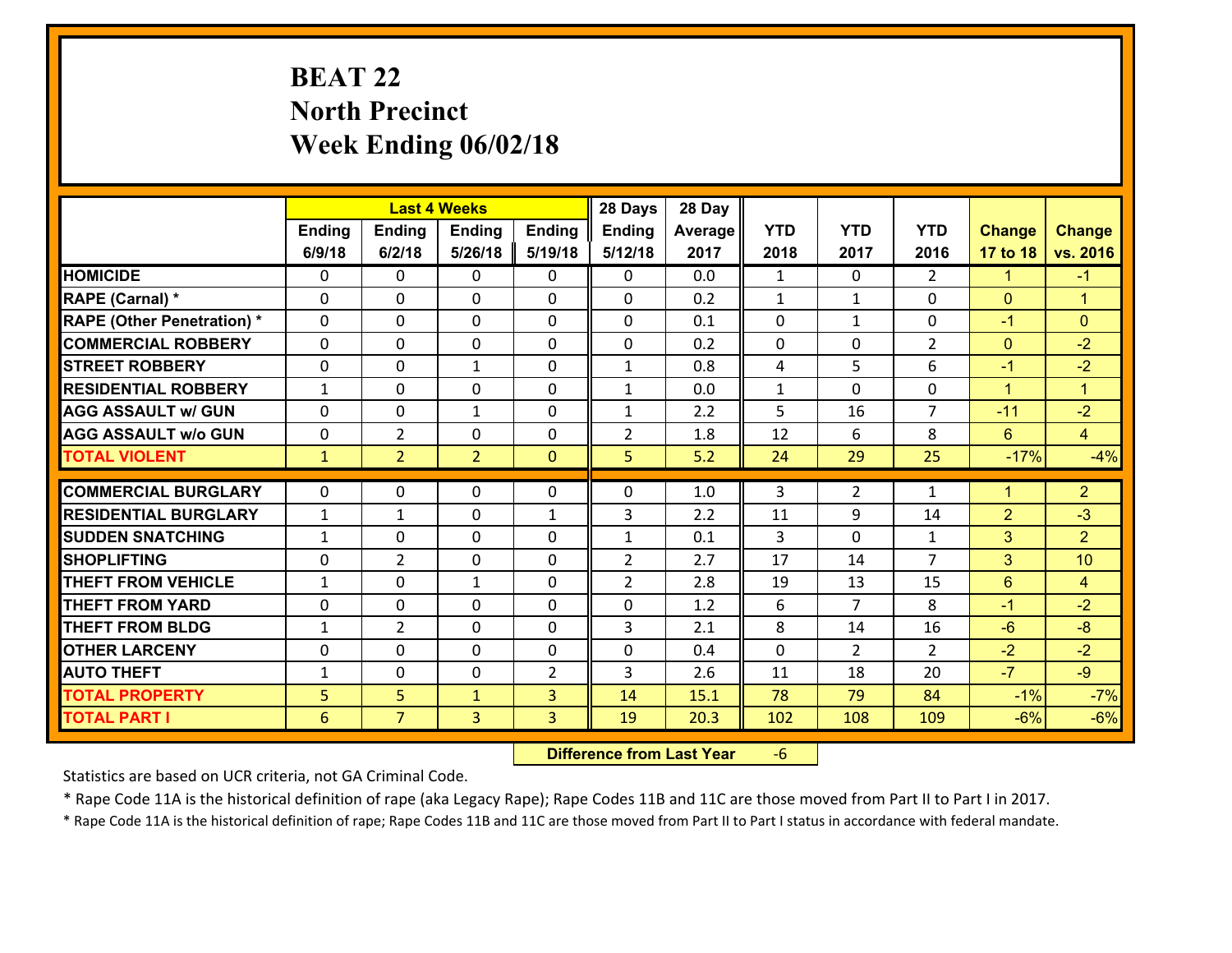# **BEAT 22 North Precinct Week Ending 06/02/18**

|                                   |              |                | <b>Last 4 Weeks</b> |                | 28 Days        | 28 Day  |              |                |                |                 |                      |
|-----------------------------------|--------------|----------------|---------------------|----------------|----------------|---------|--------------|----------------|----------------|-----------------|----------------------|
|                                   | Ending       | <b>Ending</b>  | <b>Ending</b>       | <b>Ending</b>  | <b>Ending</b>  | Average | <b>YTD</b>   | <b>YTD</b>     | <b>YTD</b>     | <b>Change</b>   | <b>Change</b>        |
|                                   | 6/9/18       | 6/2/18         | 5/26/18             | 5/19/18        | 5/12/18        | 2017    | 2018         | 2017           | 2016           | 17 to 18        | vs. 2016             |
| <b>HOMICIDE</b>                   | $\Omega$     | 0              | 0                   | 0              | 0              | 0.0     | $\mathbf{1}$ | $\Omega$       | $\overline{2}$ | 1               | $-1$                 |
| RAPE (Carnal) *                   | 0            | 0              | $\mathbf{0}$        | 0              | 0              | 0.2     | $\mathbf{1}$ | $\mathbf{1}$   | $\Omega$       | $\mathbf{0}$    | $\blacktriangleleft$ |
| <b>RAPE (Other Penetration) *</b> | $\Omega$     | 0              | $\mathbf{0}$        | $\Omega$       | $\Omega$       | 0.1     | 0            | $\mathbf{1}$   | $\Omega$       | $-1$            | $\mathbf{0}$         |
| <b>COMMERCIAL ROBBERY</b>         | 0            | 0              | 0                   | $\Omega$       | $\Omega$       | 0.2     | 0            | 0              | $\overline{2}$ | $\mathbf{0}$    | $-2$                 |
| <b>STREET ROBBERY</b>             | $\Omega$     | 0              | $\mathbf{1}$        | $\Omega$       | $\mathbf{1}$   | 0.8     | 4            | 5              | 6              | $-1$            | $-2$                 |
| <b>RESIDENTIAL ROBBERY</b>        | $\mathbf{1}$ | 0              | $\mathbf 0$         | $\Omega$       | $\mathbf{1}$   | 0.0     | $\mathbf 1$  | $\Omega$       | 0              | $\mathbf{1}$    | $\blacktriangleleft$ |
| <b>AGG ASSAULT w/ GUN</b>         | $\Omega$     | 0              | $\mathbf{1}$        | 0              | $\mathbf{1}$   | 2.2     | 5            | 16             | $\overline{7}$ | $-11$           | $-2$                 |
| <b>AGG ASSAULT w/o GUN</b>        | 0            | $\overline{2}$ | $\mathbf 0$         | 0              | $\overline{2}$ | 1.8     | 12           | 6              | 8              | $6\overline{6}$ | $\overline{4}$       |
| <b>TOTAL VIOLENT</b>              | $\mathbf{1}$ | $\overline{2}$ | $\overline{2}$      | $\overline{0}$ | 5              | 5.2     | 24           | 29             | 25             | $-17%$          | $-4%$                |
| <b>COMMERCIAL BURGLARY</b>        | $\Omega$     |                |                     |                |                |         |              |                |                |                 |                      |
|                                   |              | 0              | $\mathbf{0}$        | 0              | 0              | 1.0     | 3            | $\overline{2}$ | $\mathbf{1}$   | $\mathbf 1$     | $\overline{2}$       |
| <b>RESIDENTIAL BURGLARY</b>       | $\mathbf{1}$ | 1              | $\mathbf{0}$        | $\mathbf{1}$   | 3              | 2.2     | 11           | 9              | 14             | $\overline{2}$  | $-3$                 |
| <b>SUDDEN SNATCHING</b>           | $\mathbf{1}$ | 0              | 0                   | $\Omega$       | $\mathbf{1}$   | 0.1     | 3            | $\Omega$       | $\mathbf{1}$   | 3               | $\overline{2}$       |
| <b>SHOPLIFTING</b>                | $\Omega$     | $\overline{2}$ | $\mathbf 0$         | $\Omega$       | $\overline{2}$ | 2.7     | 17           | 14             | $\overline{7}$ | 3               | 10                   |
| <b>THEFT FROM VEHICLE</b>         | $\mathbf{1}$ | 0              | 1                   | $\Omega$       | $\overline{2}$ | 2.8     | 19           | 13             | 15             | 6               | $\overline{4}$       |
| <b>THEFT FROM YARD</b>            | 0            | 0              | $\mathbf 0$         | $\Omega$       | 0              | 1.2     | 6            | $\overline{7}$ | 8              | $-1$            | $-2$                 |
| <b>THEFT FROM BLDG</b>            | $\mathbf{1}$ | $\overline{2}$ | $\mathbf 0$         | 0              | 3              | 2.1     | 8            | 14             | 16             | $-6$            | $-8$                 |
| <b>OTHER LARCENY</b>              | $\mathbf 0$  | 0              | $\mathbf 0$         | 0              | 0              | 0.4     | $\mathbf 0$  | $\overline{2}$ | $\overline{2}$ | $-2$            | $-2$                 |
| <b>AUTO THEFT</b>                 | $\mathbf{1}$ | 0              | 0                   | 2              | 3              | 2.6     | 11           | 18             | 20             | $-7$            | $-9$                 |
| <b>TOTAL PROPERTY</b>             | 5            | 5              | $\mathbf{1}$        | 3              | 14             | 15.1    | 78           | 79             | 84             | $-1%$           | $-7%$                |
| <b>TOTAL PART I</b>               | 6            | $\overline{7}$ | 3                   | 3              | 19             | 20.3    | 102          | 108            | 109            | $-6%$           | $-6%$                |

 **Difference from Last Year**‐6

Statistics are based on UCR criteria, not GA Criminal Code.

\* Rape Code 11A is the historical definition of rape (aka Legacy Rape); Rape Codes 11B and 11C are those moved from Part II to Part I in 2017.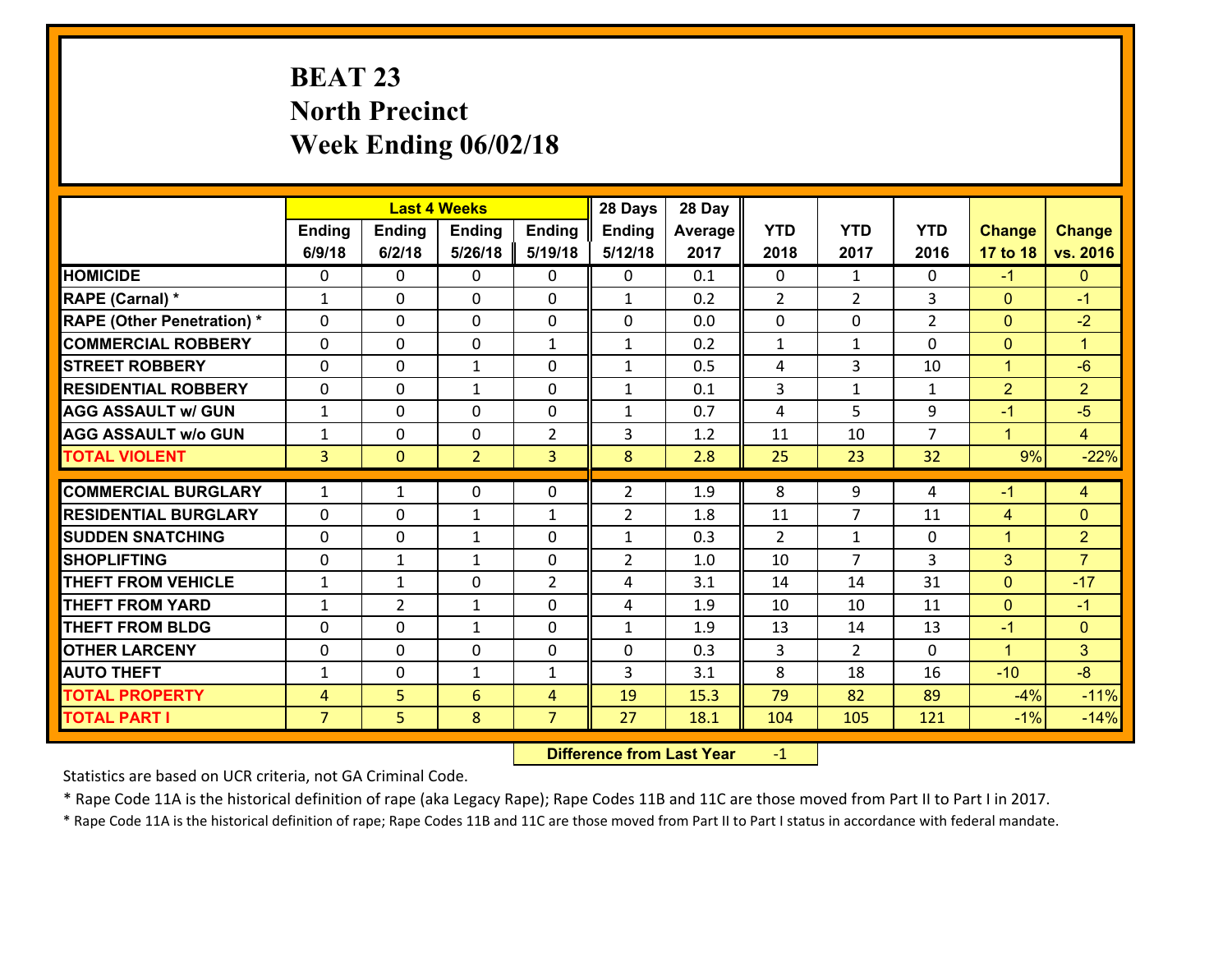# **BEAT 23 North Precinct Week Ending 06/02/18**

|                                              |                                  |                | <b>Last 4 Weeks</b> |                     | 28 Days        | 28 Day       |                |                |                |                |                      |
|----------------------------------------------|----------------------------------|----------------|---------------------|---------------------|----------------|--------------|----------------|----------------|----------------|----------------|----------------------|
|                                              | Ending                           | <b>Ending</b>  | <b>Ending</b>       | <b>Ending</b>       | Ending         | Average      | <b>YTD</b>     | <b>YTD</b>     | <b>YTD</b>     | <b>Change</b>  | <b>Change</b>        |
|                                              | 6/9/18                           | 6/2/18         | 5/26/18             | 5/19/18             | 5/12/18        | 2017         | 2018           | 2017           | 2016           | 17 to 18       | vs. 2016             |
| <b>HOMICIDE</b>                              | $\Omega$                         | 0              | 0                   | 0                   | 0              | 0.1          | $\Omega$       | $\mathbf{1}$   | 0              | $-1$           | $\mathbf{0}$         |
| RAPE (Carnal) *                              | $\mathbf{1}$                     | 0              | $\mathbf 0$         | 0                   | $\mathbf{1}$   | 0.2          | 2              | $\overline{2}$ | 3              | $\mathbf{0}$   | $-1$                 |
| <b>RAPE (Other Penetration) *</b>            | 0                                | 0              | $\mathbf{0}$        | 0                   | 0              | 0.0          | $\mathbf 0$    | 0              | $\overline{2}$ | $\mathbf{0}$   | $-2$                 |
| <b>COMMERCIAL ROBBERY</b>                    | $\mathbf{0}$                     | 0              | $\mathbf{0}$        | $\mathbf{1}$        | $\mathbf{1}$   | 0.2          | $\mathbf{1}$   | $\mathbf{1}$   | $\Omega$       | $\mathbf{0}$   | $\blacktriangleleft$ |
| <b>STREET ROBBERY</b>                        | $\Omega$                         | 0              | $\mathbf{1}$        | 0                   | $\mathbf{1}$   | 0.5          | 4              | 3              | 10             | $\mathbf{1}$   | $-6$                 |
| <b>RESIDENTIAL ROBBERY</b>                   | $\Omega$                         | 0              | 1                   | $\Omega$            | $\mathbf{1}$   | 0.1          | 3              | $\mathbf{1}$   | $\mathbf{1}$   | $\overline{2}$ | $\overline{2}$       |
| <b>AGG ASSAULT w/ GUN</b>                    | $\mathbf{1}$                     | 0              | $\mathbf 0$         | 0                   | $\mathbf{1}$   | 0.7          | 4              | 5              | 9              | $-1$           | $-5$                 |
| <b>AGG ASSAULT w/o GUN</b>                   | $\mathbf{1}$                     | 0              | $\mathbf 0$         | $\overline{2}$      | 3              | 1.2          | 11             | 10             | $\overline{7}$ | $\mathbf{1}$   | $\overline{4}$       |
| <b>TOTAL VIOLENT</b>                         | $\overline{3}$                   | $\overline{0}$ | $\overline{2}$      | $\overline{3}$      | 8              | 2.8          | 25             | 23             | 32             | 9%             | $-22%$               |
|                                              |                                  |                |                     |                     |                |              |                |                |                |                |                      |
|                                              |                                  |                |                     |                     |                |              |                |                |                |                |                      |
| <b>COMMERCIAL BURGLARY</b>                   | $\mathbf{1}$                     | 1              | $\mathbf{0}$        | 0                   | $\overline{2}$ | 1.9          | 8              | 9              | 4              | $-1$           | $\overline{4}$       |
| <b>RESIDENTIAL BURGLARY</b>                  | 0                                | 0              | $\mathbf{1}$        | $\mathbf{1}$        | $\overline{2}$ | 1.8          | 11             | 7              | 11             | 4              | $\mathbf{0}$         |
| <b>SUDDEN SNATCHING</b>                      | 0                                | 0              | $\mathbf{1}$        | 0                   | $\mathbf{1}$   | 0.3          | 2              | $\mathbf{1}$   | 0              | $\mathbf{1}$   | $\overline{2}$       |
| <b>SHOPLIFTING</b>                           | 0                                | 1              | $\mathbf{1}$        | $\Omega$            | $\overline{2}$ | 1.0          | 10             | $\overline{7}$ | 3              | 3              | $\overline{7}$       |
| <b>THEFT FROM VEHICLE</b>                    | $\mathbf{1}$                     | 1              | 0                   | $\overline{2}$      | 4              | 3.1          | 14             | 14             | 31             | $\mathbf{0}$   | $-17$                |
| <b>THEFT FROM YARD</b>                       | $\mathbf{1}$                     | $\overline{2}$ | $\mathbf{1}$        | 0                   | 4              | 1.9          | 10             | 10             | 11             | $\overline{0}$ | $-1$                 |
| <b>THEFT FROM BLDG</b>                       | 0                                | 0              | 1                   | 0                   | $\mathbf{1}$   | 1.9          | 13             | 14             | 13             | $-1$           | $\overline{0}$       |
| <b>OTHER LARCENY</b>                         | $\mathbf 0$                      | 0              | $\mathbf 0$         | 0                   | 0              | 0.3          | $\overline{3}$ | $\overline{2}$ | $\mathbf 0$    | $\mathbf{1}$   | $\overline{3}$       |
| <b>AUTO THEFT</b>                            | $\mathbf{1}$                     | 0              | $\mathbf{1}$        | $\mathbf{1}$        | 3              | 3.1          | 8              | 18             | 16             | $-10$          | $-8$                 |
| <b>TOTAL PROPERTY</b><br><b>TOTAL PART I</b> | $\overline{4}$<br>$\overline{7}$ | 5<br>5         | 6<br>8              | 4<br>$\overline{7}$ | 19<br>27       | 15.3<br>18.1 | 79<br>104      | 82<br>105      | 89<br>121      | $-4%$<br>$-1%$ | $-11%$<br>$-14%$     |

 **Difference from Last Year**r -1

Statistics are based on UCR criteria, not GA Criminal Code.

\* Rape Code 11A is the historical definition of rape (aka Legacy Rape); Rape Codes 11B and 11C are those moved from Part II to Part I in 2017.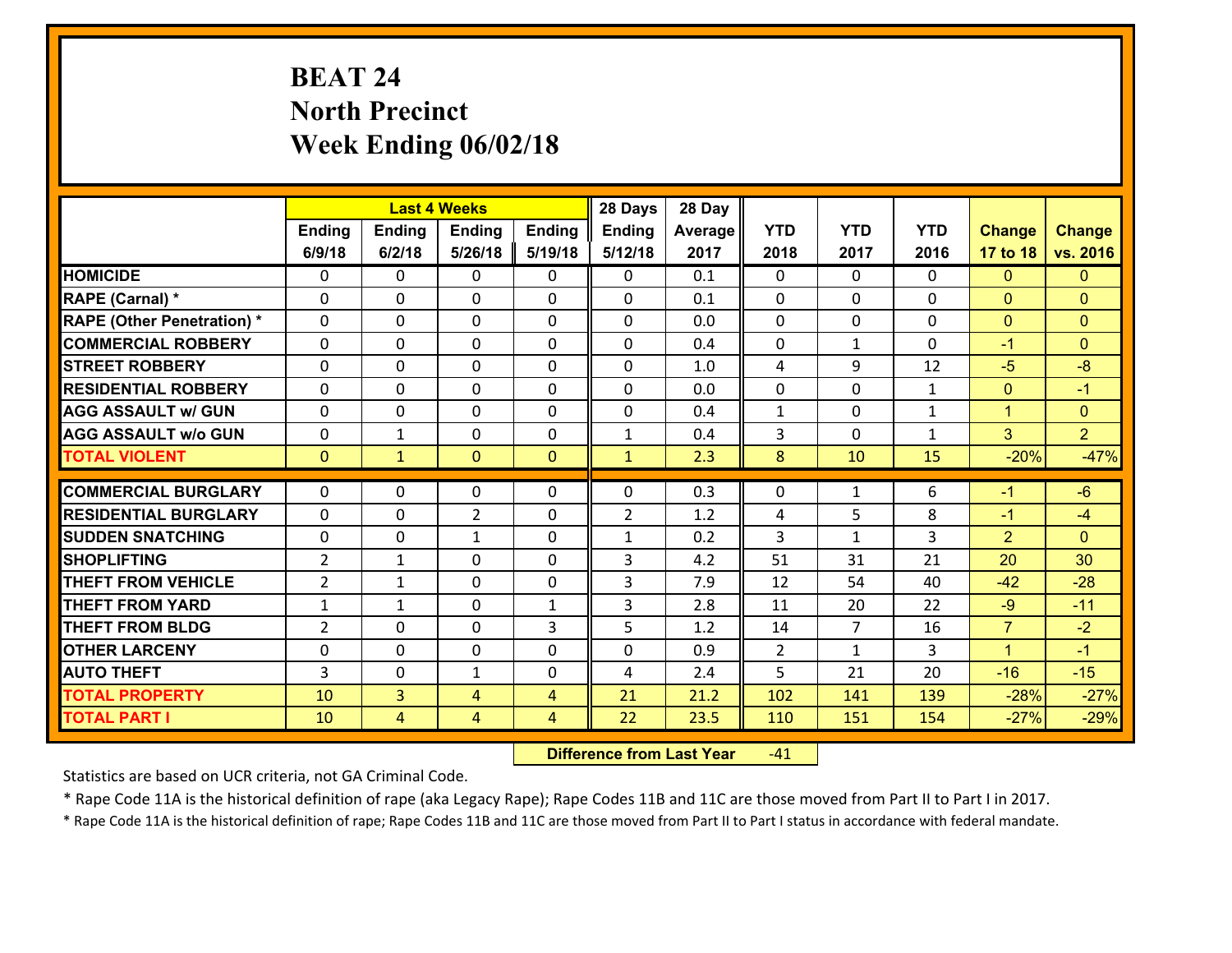# **BEAT 24 North Precinct Week Ending 06/02/18**

|                                   |                |                | <b>Last 4 Weeks</b> |                | 28 Days        | 28 Day  |                |                |              |                |                |
|-----------------------------------|----------------|----------------|---------------------|----------------|----------------|---------|----------------|----------------|--------------|----------------|----------------|
|                                   | Ending         | <b>Ending</b>  | Ending              | <b>Ending</b>  | <b>Ending</b>  | Average | <b>YTD</b>     | <b>YTD</b>     | <b>YTD</b>   | <b>Change</b>  | <b>Change</b>  |
|                                   | 6/9/18         | 6/2/18         | 5/26/18             | 5/19/18        | 5/12/18        | 2017    | 2018           | 2017           | 2016         | 17 to 18       | vs. 2016       |
| <b>HOMICIDE</b>                   | $\Omega$       | 0              | $\mathbf{0}$        | 0              | $\mathbf{0}$   | 0.1     | $\Omega$       | $\Omega$       | $\Omega$     | $\mathbf{0}$   | $\mathbf{0}$   |
| RAPE (Carnal) *                   | $\Omega$       | 0              | $\mathbf 0$         | $\Omega$       | 0              | 0.1     | $\mathbf{0}$   | $\Omega$       | $\Omega$     | $\mathbf{0}$   | $\mathbf{0}$   |
| <b>RAPE (Other Penetration) *</b> | $\Omega$       | 0              | $\mathbf 0$         | $\Omega$       | $\Omega$       | 0.0     | $\Omega$       | $\Omega$       | $\Omega$     | $\mathbf{0}$   | $\mathbf{0}$   |
| <b>COMMERCIAL ROBBERY</b>         | 0              | 0              | $\mathbf 0$         | 0              | 0              | 0.4     | 0              | $\mathbf 1$    | $\Omega$     | $-1$           | $\mathbf{0}$   |
| <b>STREET ROBBERY</b>             | $\Omega$       | 0              | $\mathbf{0}$        | $\Omega$       | $\Omega$       | 1.0     | 4              | 9              | 12           | $-5$           | $-8$           |
| <b>RESIDENTIAL ROBBERY</b>        | $\Omega$       | 0              | $\mathbf{0}$        | $\Omega$       | $\Omega$       | 0.0     | $\Omega$       | $\Omega$       | $\mathbf{1}$ | $\mathbf{0}$   | $-1$           |
| <b>AGG ASSAULT w/ GUN</b>         | $\Omega$       | $\Omega$       | $\mathbf 0$         | $\Omega$       | 0              | 0.4     | $\mathbf{1}$   | $\Omega$       | $\mathbf{1}$ | $\mathbf{1}$   | $\mathbf{0}$   |
| <b>AGG ASSAULT w/o GUN</b>        | $\Omega$       | 1              | $\mathbf 0$         | $\Omega$       | $\mathbf{1}$   | 0.4     | 3              | $\Omega$       | $\mathbf{1}$ | $\overline{3}$ | 2 <sup>1</sup> |
| <b>TOTAL VIOLENT</b>              | $\mathbf{0}$   | $\mathbf{1}$   | $\mathbf{0}$        | $\overline{0}$ | $\mathbf{1}$   | 2.3     | 8              | 10             | 15           | $-20%$         | $-47%$         |
| <b>COMMERCIAL BURGLARY</b>        | $\Omega$       |                |                     |                |                |         |                |                |              |                |                |
|                                   |                | 0              | $\mathbf{0}$        | 0              | $\Omega$       | 0.3     | $\mathbf{0}$   | $\mathbf{1}$   | 6            | $-1$           | $-6$           |
| <b>RESIDENTIAL BURGLARY</b>       | 0              | 0              | $\overline{2}$      | 0              | $\overline{2}$ | 1.2     | 4              | 5              | 8            | $-1$           | $-4$           |
| <b>SUDDEN SNATCHING</b>           | 0              | 0              | $\mathbf{1}$        | 0              | $\mathbf{1}$   | 0.2     | 3              | $\mathbf{1}$   | 3            | $\overline{2}$ | $\mathbf{0}$   |
| <b>SHOPLIFTING</b>                | $\overline{2}$ | 1              | $\mathbf{0}$        | $\Omega$       | 3              | 4.2     | 51             | 31             | 21           | 20             | 30             |
|                                   |                |                |                     |                |                |         |                |                |              |                | $-28$          |
| <b>THEFT FROM VEHICLE</b>         | $\overline{2}$ | 1              | $\mathbf{0}$        | $\Omega$       | 3              | 7.9     | 12             | 54             | 40           | $-42$          |                |
| <b>THEFT FROM YARD</b>            | $\mathbf{1}$   | 1              | $\mathbf 0$         | $\mathbf{1}$   | 3              | 2.8     | 11             | 20             | 22           | $-9$           | $-11$          |
| <b>THEFT FROM BLDG</b>            | $\overline{2}$ | 0              | 0                   | 3              | 5              | 1.2     | 14             | $\overline{7}$ | 16           | $\overline{7}$ | $-2$           |
| <b>OTHER LARCENY</b>              | 0              | 0              | $\mathbf 0$         | 0              | 0              | 0.9     | $\overline{2}$ | $\mathbf{1}$   | 3            | $\mathbf{1}$   | $-1$           |
| <b>AUTO THEFT</b>                 | $\overline{3}$ | 0              | $\mathbf{1}$        | 0              | 4              | 2.4     | 5              | 21             | 20           | $-16$          | $-15$          |
| <b>TOTAL PROPERTY</b>             | 10             | $\overline{3}$ | $\overline{4}$      | $\overline{4}$ | 21             | 21.2    | 102            | 141            | 139          | $-28%$         | $-27%$         |

 **Difference from Last Year**r -41

Statistics are based on UCR criteria, not GA Criminal Code.

\* Rape Code 11A is the historical definition of rape (aka Legacy Rape); Rape Codes 11B and 11C are those moved from Part II to Part I in 2017.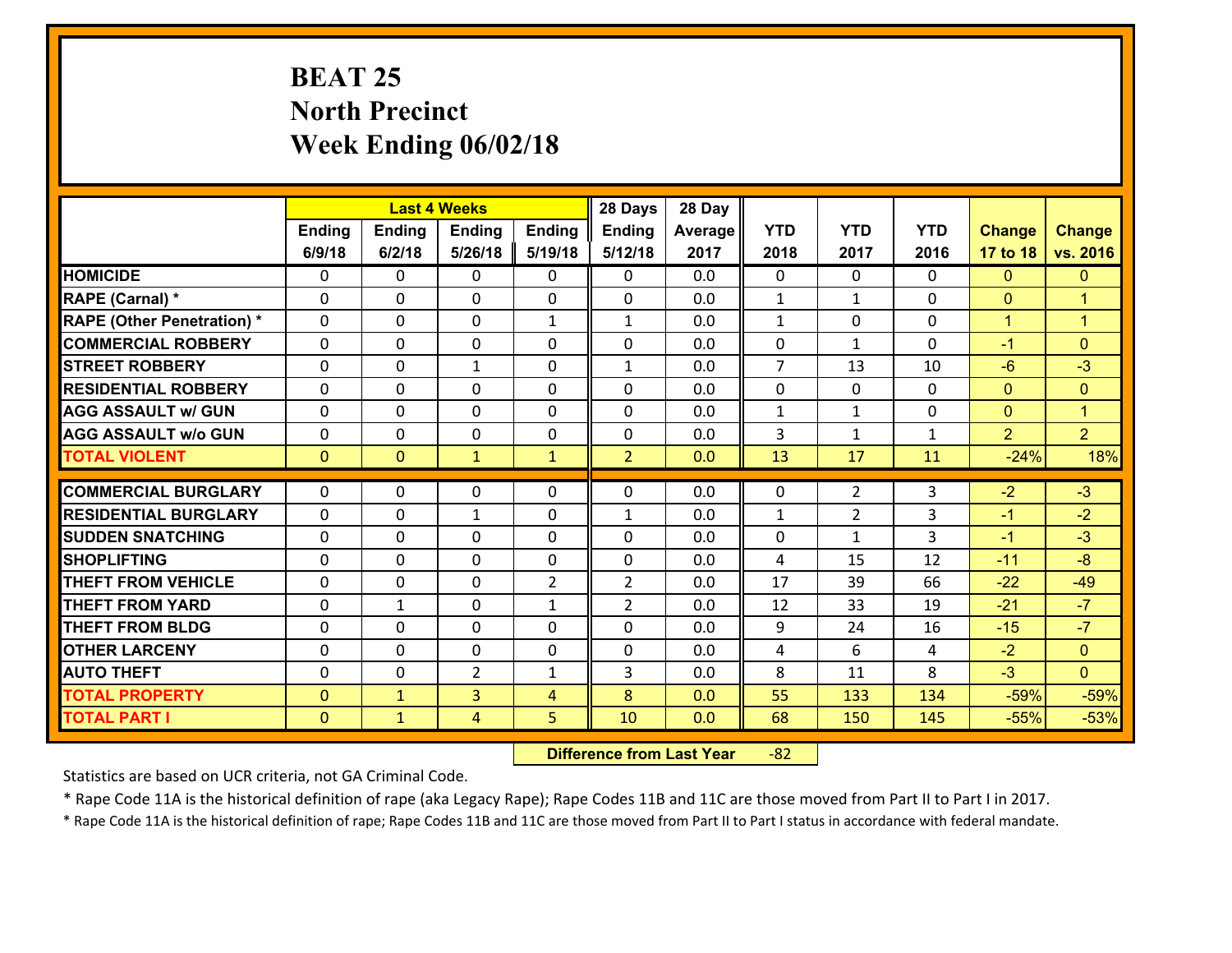# **BEAT 25 North Precinct Week Ending 06/02/18**

|                                              |                              |                              | <b>Last 4 Weeks</b> |                | 28 Days        | 28 Day     |                |                |              |                  |                      |
|----------------------------------------------|------------------------------|------------------------------|---------------------|----------------|----------------|------------|----------------|----------------|--------------|------------------|----------------------|
|                                              | Ending                       | <b>Ending</b>                | Ending              | <b>Ending</b>  | <b>Ending</b>  | Average    | <b>YTD</b>     | <b>YTD</b>     | <b>YTD</b>   | <b>Change</b>    | <b>Change</b>        |
|                                              | 6/9/18                       | 6/2/18                       | 5/26/18             | 5/19/18        | 5/12/18        | 2017       | 2018           | 2017           | 2016         | 17 to 18         | vs. 2016             |
| <b>HOMICIDE</b>                              | $\Omega$                     | 0                            | 0                   | 0              | 0              | 0.0        | $\Omega$       | $\Omega$       | $\Omega$     | $\mathbf{0}$     | $\mathbf{0}$         |
| RAPE (Carnal) *                              | 0                            | 0                            | $\mathbf{0}$        | 0              | 0              | 0.0        | $\mathbf{1}$   | $\mathbf{1}$   | $\Omega$     | $\mathbf{0}$     | $\overline{1}$       |
| <b>RAPE (Other Penetration) *</b>            | $\Omega$                     | 0                            | $\mathbf{0}$        | $\mathbf{1}$   | $\mathbf{1}$   | 0.0        | $\mathbf{1}$   | $\Omega$       | $\Omega$     | $\mathbf{1}$     | $\blacktriangleleft$ |
| <b>COMMERCIAL ROBBERY</b>                    | 0                            | 0                            | 0                   | $\Omega$       | $\Omega$       | 0.0        | 0              | $\mathbf{1}$   | $\Omega$     | $-1$             | $\mathbf{0}$         |
| <b>STREET ROBBERY</b>                        | $\Omega$                     | 0                            | $\mathbf{1}$        | $\Omega$       | $\mathbf{1}$   | 0.0        | $\overline{7}$ | 13             | 10           | $-6$             | $-3$                 |
| <b>RESIDENTIAL ROBBERY</b>                   | $\Omega$                     | $\Omega$                     | $\mathbf 0$         | $\Omega$       | 0              | 0.0        | $\mathbf 0$    | $\Omega$       | 0            | $\mathbf{0}$     | $\mathbf{0}$         |
| <b>AGG ASSAULT w/ GUN</b>                    | $\Omega$                     | 0                            | $\mathbf 0$         | $\Omega$       | 0              | 0.0        | $\mathbf{1}$   | $\mathbf{1}$   | 0            | $\mathbf{0}$     | $\mathbf{1}$         |
| <b>AGG ASSAULT w/o GUN</b>                   | 0                            | 0                            | $\mathbf 0$         | 0              | $\mathbf 0$    | 0.0        | 3              | $\mathbf{1}$   | $\mathbf{1}$ | $\overline{2}$   | 2 <sup>1</sup>       |
| <b>TOTAL VIOLENT</b>                         | $\mathbf{0}$                 | $\overline{0}$               | $\mathbf{1}$        | $\mathbf{1}$   | $\overline{2}$ | 0.0        | 13             | 17             | 11           | $-24%$           | 18%                  |
| <b>COMMERCIAL BURGLARY</b>                   | $\Omega$                     | 0                            | $\mathbf{0}$        | 0              | $\Omega$       | 0.0        | 0              | $\overline{2}$ | 3            | $-2$             | $-3$                 |
| <b>RESIDENTIAL BURGLARY</b>                  | $\Omega$                     | 0                            | $\mathbf{1}$        | $\Omega$       | $\mathbf{1}$   | 0.0        | 1              | $\overline{2}$ | 3            | $-1$             | $-2$                 |
|                                              |                              |                              |                     |                |                |            |                |                |              |                  |                      |
|                                              |                              |                              |                     |                |                |            |                |                |              |                  |                      |
| <b>SUDDEN SNATCHING</b>                      | 0                            | 0                            | 0                   | $\Omega$       | 0              | 0.0        | 0              | $\mathbf{1}$   | 3            | $-1$             | $-3$                 |
| <b>SHOPLIFTING</b>                           | $\Omega$                     | $\Omega$                     | $\mathbf 0$         | $\Omega$       | 0              | 0.0        | 4              | 15             | 12           | $-11$            | $-8$                 |
| <b>THEFT FROM VEHICLE</b>                    | $\Omega$                     | 0                            | $\mathbf 0$         | $\overline{2}$ | $\overline{2}$ | 0.0        | 17             | 39             | 66           | $-22$            | $-49$                |
| <b>THEFT FROM YARD</b>                       | 0                            | 1                            | $\mathbf 0$         | $\mathbf{1}$   | $\overline{2}$ | 0.0        | 12             | 33             | 19           | $-21$            | $-7$                 |
| <b>THEFT FROM BLDG</b>                       | 0                            | 0                            | $\mathbf 0$         | 0              | 0              | 0.0        | 9              | 24             | 16           | $-15$            | $-7$                 |
| <b>OTHER LARCENY</b>                         | $\mathbf 0$                  | 0                            | $\mathbf 0$         | 0              | 0              | 0.0        | 4              | 6              | 4            | $-2$             | $\overline{0}$       |
| <b>AUTO THEFT</b>                            | 0                            | 0                            | $\overline{2}$      | $\mathbf{1}$   | 3              | 0.0        | 8              | 11             | 8            | $-3$             | $\overline{0}$       |
| <b>TOTAL PROPERTY</b><br><b>TOTAL PART I</b> | $\mathbf{0}$<br>$\mathbf{0}$ | $\mathbf{1}$<br>$\mathbf{1}$ | $\overline{3}$<br>4 | 4<br>5         | 8<br>10        | 0.0<br>0.0 | 55<br>68       | 133<br>150     | 134<br>145   | $-59%$<br>$-55%$ | $-59%$<br>$-53%$     |

 **Difference from Last Year**r -82

Statistics are based on UCR criteria, not GA Criminal Code.

\* Rape Code 11A is the historical definition of rape (aka Legacy Rape); Rape Codes 11B and 11C are those moved from Part II to Part I in 2017.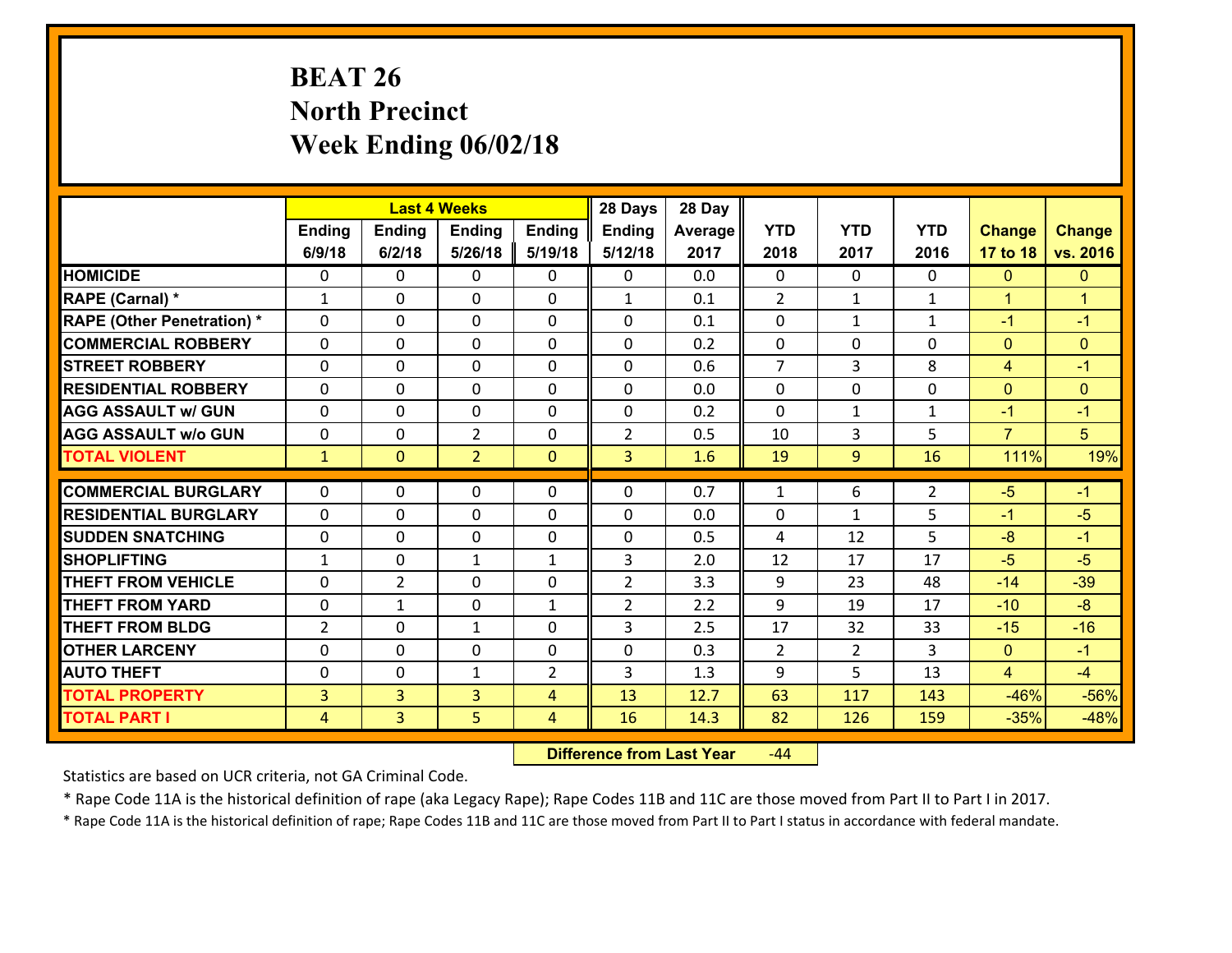# **BEAT 26 North Precinct Week Ending 06/02/18**

|                                               |                |                | <b>Last 4 Weeks</b> |                | 28 Days        | 28 Day  |                |                |              |                |                      |
|-----------------------------------------------|----------------|----------------|---------------------|----------------|----------------|---------|----------------|----------------|--------------|----------------|----------------------|
|                                               | Ending         | <b>Ending</b>  | <b>Ending</b>       | Ending         | <b>Ending</b>  | Average | <b>YTD</b>     | <b>YTD</b>     | <b>YTD</b>   | <b>Change</b>  | <b>Change</b>        |
|                                               | 6/9/18         | 6/2/18         | 5/26/18             | 5/19/18        | 5/12/18        | 2017    | 2018           | 2017           | 2016         | 17 to 18       | vs. 2016             |
| <b>HOMICIDE</b>                               | $\Omega$       | 0              | $\Omega$            | 0              | $\Omega$       | 0.0     | $\Omega$       | $\Omega$       | 0            | $\mathbf{0}$   | $\mathbf{0}$         |
| RAPE (Carnal) *                               | $\mathbf{1}$   | 0              | $\mathbf{0}$        | 0              | $\mathbf{1}$   | 0.1     | 2              | $\mathbf{1}$   | $\mathbf{1}$ | $\mathbf{1}$   | $\blacktriangleleft$ |
| <b>RAPE (Other Penetration) *</b>             | $\Omega$       | 0              | $\mathbf{0}$        | $\Omega$       | $\Omega$       | 0.1     | $\Omega$       | $\mathbf 1$    | $\mathbf{1}$ | $-1$           | $-1$                 |
| <b>COMMERCIAL ROBBERY</b>                     | 0              | 0              | 0                   | 0              | 0              | 0.2     | $\mathbf{0}$   | 0              | $\Omega$     | $\mathbf{0}$   | $\mathbf{0}$         |
| <b>STREET ROBBERY</b>                         | $\Omega$       | 0              | $\mathbf 0$         | 0              | 0              | 0.6     | $\overline{7}$ | $\overline{3}$ | 8            | $\overline{4}$ | $-1$                 |
| <b>RESIDENTIAL ROBBERY</b>                    | $\Omega$       | $\Omega$       | $\mathbf 0$         | $\Omega$       | 0              | 0.0     | $\Omega$       | $\Omega$       | $\Omega$     | $\mathbf{0}$   | $\mathbf{0}$         |
| <b>AGG ASSAULT w/ GUN</b>                     | $\Omega$       | 0              | $\mathbf 0$         | 0              | 0              | 0.2     | $\mathbf 0$    | $\mathbf{1}$   | $\mathbf{1}$ | $-1$           | $-1$                 |
| <b>AGG ASSAULT w/o GUN</b>                    | 0              | 0              | $\overline{2}$      | 0              | $\overline{2}$ | 0.5     | 10             | 3              | 5            | $\overline{7}$ | 5                    |
| <b>TOTAL VIOLENT</b>                          | $\mathbf{1}$   | $\overline{0}$ | $\overline{2}$      | $\mathbf{0}$   | $\overline{3}$ | 1.6     | 19             | 9              | 16           | 111%           | 19%                  |
| <b>COMMERCIAL BURGLARY</b>                    | $\Omega$       | 0              | $\mathbf{0}$        | $\Omega$       | $\Omega$       | 0.7     | $\mathbf{1}$   | 6              | 2            | $-5$           | $-1$                 |
|                                               |                |                |                     |                |                |         |                |                |              |                | $-5$                 |
| <b>RESIDENTIAL BURGLARY</b>                   | 0              | 0              | $\mathbf 0$         | 0              | 0              | 0.0     | 0              | $\mathbf 1$    | 5            | $-1$           |                      |
| <b>SUDDEN SNATCHING</b><br><b>SHOPLIFTING</b> | 0              | 0              | $\mathbf 0$         | 0              | 0<br>3         | 0.5     | 4              | 12<br>17       | 5<br>17      | $-8$<br>$-5$   | $-1$<br>$-5$         |
|                                               | $\mathbf{1}$   | 0              | 1                   | $\mathbf{1}$   |                | 2.0     | 12             |                |              |                |                      |
| <b>THEFT FROM VEHICLE</b>                     | $\Omega$       | $\overline{2}$ | $\mathbf 0$         | 0              | $\overline{2}$ | 3.3     | 9              | 23             | 48           | $-14$          | $-39$                |
| <b>THEFT FROM YARD</b>                        | $\mathbf 0$    | $\mathbf{1}$   | $\mathbf 0$         | $\mathbf{1}$   | $\overline{2}$ | 2.2     | 9              | 19             | 17           | $-10$          | $-8$                 |
| <b>THEFT FROM BLDG</b>                        | $\overline{2}$ | 0              | 1                   | 0              | 3              | 2.5     | 17             | 32             | 33           | $-15$          | $-16$                |
| <b>OTHER LARCENY</b>                          | 0              | 0              | $\mathbf 0$         | 0              | 0              | 0.3     | $\overline{2}$ | $\overline{2}$ | 3            | $\mathbf{0}$   | $-1$                 |
| <b>AUTO THEFT</b>                             | 0              | 0              | $\mathbf{1}$        | 2              | 3              | 1.3     | 9              | 5              | 13           | $\overline{4}$ | $-4$                 |
| <b>TOTAL PROPERTY</b>                         | $\overline{3}$ | 3              | $\overline{3}$      | 4              | 13             | 12.7    | 63             | 117            | 143          | $-46%$         | $-56%$               |
| <b>TOTAL PART I</b>                           | $\overline{4}$ | $\overline{3}$ | 5                   | $\overline{4}$ | 16             | 14.3    | 82             | 126            | 159          | $-35%$         | $-48%$               |

 **Difference from Last Year**r -44

Statistics are based on UCR criteria, not GA Criminal Code.

\* Rape Code 11A is the historical definition of rape (aka Legacy Rape); Rape Codes 11B and 11C are those moved from Part II to Part I in 2017.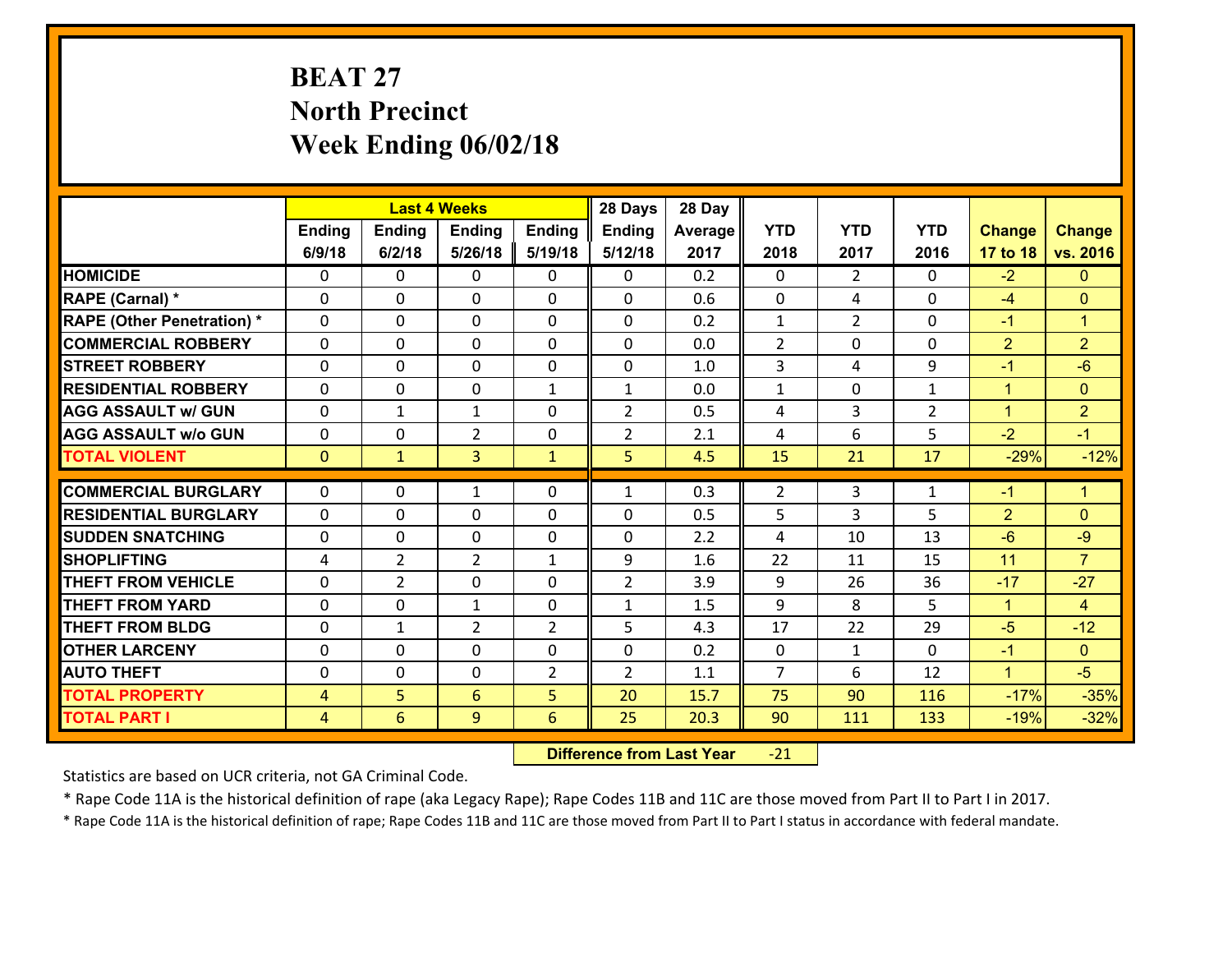# **BEAT 27 North Precinct Week Ending 06/02/18**

|                                   |                |                | <b>Last 4 Weeks</b> |                | 28 Days        | 28 Day  |                |                |                |                |                      |
|-----------------------------------|----------------|----------------|---------------------|----------------|----------------|---------|----------------|----------------|----------------|----------------|----------------------|
|                                   | Ending         | <b>Ending</b>  | <b>Ending</b>       | Ending         | <b>Ending</b>  | Average | <b>YTD</b>     | <b>YTD</b>     | <b>YTD</b>     | <b>Change</b>  | <b>Change</b>        |
|                                   | 6/9/18         | 6/2/18         | 5/26/18             | 5/19/18        | 5/12/18        | 2017    | 2018           | 2017           | 2016           | 17 to 18       | vs. 2016             |
| <b>HOMICIDE</b>                   | $\Omega$       | 0              | $\Omega$            | 0              | $\Omega$       | 0.2     | $\Omega$       | $\overline{2}$ | $\Omega$       | $-2$           | $\mathbf{0}$         |
| RAPE (Carnal) *                   | 0              | 0              | $\mathbf{0}$        | 0              | 0              | 0.6     | $\mathbf{0}$   | 4              | 0              | $-4$           | $\mathbf{0}$         |
| <b>RAPE (Other Penetration) *</b> | $\Omega$       | 0              | $\mathbf{0}$        | $\Omega$       | 0              | 0.2     | $\mathbf{1}$   | $\overline{2}$ | $\Omega$       | $-1$           | $\blacktriangleleft$ |
| <b>COMMERCIAL ROBBERY</b>         | 0              | 0              | 0                   | 0              | 0              | 0.0     | $\overline{2}$ | 0              | 0              | $\overline{2}$ | $\overline{2}$       |
| <b>STREET ROBBERY</b>             | $\Omega$       | 0              | $\mathbf 0$         | 0              | 0              | 1.0     | $\mathbf{3}$   | 4              | 9              | $-1$           | $-6$                 |
| <b>RESIDENTIAL ROBBERY</b>        | $\Omega$       | $\Omega$       | $\mathbf 0$         | $\mathbf{1}$   | $\mathbf{1}$   | 0.0     | $\mathbf{1}$   | 0              | $\mathbf{1}$   | $\mathbf{1}$   | $\overline{0}$       |
| <b>AGG ASSAULT w/ GUN</b>         | $\Omega$       | 1              | $\mathbf{1}$        | 0              | $\overline{2}$ | 0.5     | 4              | 3              | $\overline{2}$ | $\mathbf{1}$   | $\overline{2}$       |
| <b>AGG ASSAULT w/o GUN</b>        | 0              | 0              | $\overline{2}$      | $\mathbf 0$    | $\overline{2}$ | 2.1     | 4              | 6              | 5              | $-2$           | $-1$                 |
| <b>TOTAL VIOLENT</b>              | $\mathbf{0}$   | $\mathbf{1}$   | $\overline{3}$      | $\mathbf{1}$   | 5              | 4.5     | 15             | 21             | 17             | $-29%$         | $-12%$               |
| <b>COMMERCIAL BURGLARY</b>        | $\Omega$       | 0              | 1                   | $\Omega$       | $\mathbf{1}$   | 0.3     | $\overline{2}$ | 3              | 1              | $-1$           | $\blacktriangleleft$ |
|                                   |                |                |                     |                |                |         |                |                |                |                |                      |
| <b>RESIDENTIAL BURGLARY</b>       | 0              | 0              | $\mathbf 0$         | 0              | 0              | 0.5     | 5              | 3              | 5              | $\overline{2}$ | $\mathbf{0}$         |
| <b>SUDDEN SNATCHING</b>           | 0              | 0              | $\mathbf 0$         | 0              | 0              | 2.2     | 4              | 10             | 13             | $-6$           | $-9$                 |
| <b>SHOPLIFTING</b>                | 4              | $\overline{2}$ | $\overline{2}$      | $\mathbf{1}$   | 9              | 1.6     | 22             | 11             | 15             | 11             | $\overline{7}$       |
| <b>THEFT FROM VEHICLE</b>         | 0              | $\overline{2}$ | $\mathbf 0$         | 0              | $\overline{2}$ | 3.9     | 9              | 26             | 36             | $-17$          | $-27$                |
| <b>THEFT FROM YARD</b>            | 0              | 0              | $\mathbf{1}$        | 0              | $\mathbf{1}$   | 1.5     | 9              | 8              | 5              | $\mathbf{1}$   | $\overline{4}$       |
| <b>THEFT FROM BLDG</b>            | 0              | 1              | $\overline{2}$      | $\overline{2}$ | 5              | 4.3     | 17             | 22             | 29             | $-5$           | $-12$                |
| <b>OTHER LARCENY</b>              | 0              | 0              | $\mathbf 0$         | 0              | 0              | 0.2     | $\mathbf 0$    | $\mathbf{1}$   | $\Omega$       | $-1$           | $\overline{0}$       |
| <b>AUTO THEFT</b>                 | $\mathbf{0}$   | 0              | $\mathbf{0}$        | 2              | $\overline{2}$ | 1.1     | $\overline{7}$ | 6              | 12             | $\mathbf{1}$   | $-5$                 |
| <b>TOTAL PROPERTY</b>             | $\overline{4}$ | 5              | 6                   | 5              | 20             | 15.7    | 75             | 90             | 116            | $-17%$         | $-35%$               |
| <b>TOTAL PART I</b>               | $\overline{4}$ | 6              | 9                   | 6              | 25             | 20.3    | 90             | 111            | 133            | $-19%$         | $-32%$               |

 **Difference from Last Year**r -21

Statistics are based on UCR criteria, not GA Criminal Code.

\* Rape Code 11A is the historical definition of rape (aka Legacy Rape); Rape Codes 11B and 11C are those moved from Part II to Part I in 2017.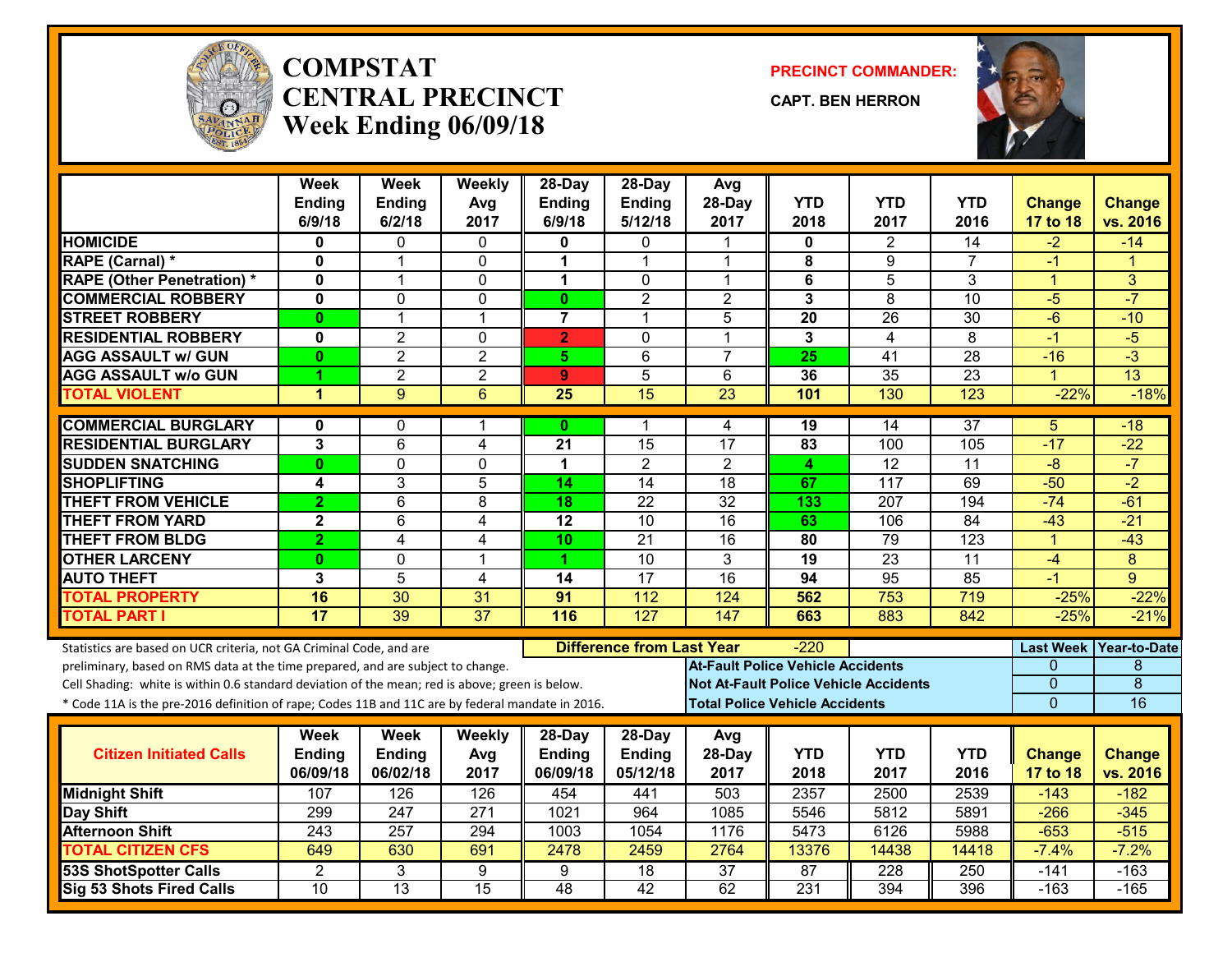

#### **COMPSTATCENTRAL PRECINCTWeek Ending 06/09/18**

**PRECINCT COMMANDER:**

**CAPT. BEN HERRON**



|                                                                                                  | Week<br><b>Ending</b>   | <b>Week</b><br><b>Ending</b> | Weekly<br>Avg   | 28-Day<br><b>Ending</b> | $28$ -Day<br><b>Ending</b>       | Avg<br>28-Day                            | <b>YTD</b>                            | <b>YTD</b>                                   | <b>YTD</b>      | <b>Change</b>        | <b>Change</b>        |
|--------------------------------------------------------------------------------------------------|-------------------------|------------------------------|-----------------|-------------------------|----------------------------------|------------------------------------------|---------------------------------------|----------------------------------------------|-----------------|----------------------|----------------------|
|                                                                                                  | 6/9/18                  | 6/2/18                       | 2017            | 6/9/18                  | 5/12/18                          | 2017                                     | 2018                                  | 2017                                         | 2016            | 17 to 18             | vs. 2016             |
| <b>HOMICIDE</b>                                                                                  | 0                       | 0                            | 0               | 0                       | 0                                | 1                                        | 0                                     | $\overline{2}$                               | 14              | $-2$                 | $-14$                |
| <b>RAPE (Carnal) *</b>                                                                           | $\mathbf 0$             | 1                            | $\mathbf{0}$    | 1                       | 1                                | 1                                        | 8                                     | 9                                            | $\overline{7}$  | -1                   | $\blacktriangleleft$ |
| <b>RAPE (Other Penetration) *</b>                                                                | $\mathbf 0$             | 1                            | $\mathbf{0}$    | 1                       | $\Omega$                         | 1                                        | $\bf 6$                               | $\overline{5}$                               | 3               | $\blacktriangleleft$ | 3                    |
| <b>COMMERCIAL ROBBERY</b>                                                                        | $\mathbf 0$             | $\Omega$                     | 0               | $\mathbf{0}$            | $\overline{2}$                   | $\overline{2}$                           | $\mathbf{3}$                          | 8                                            | 10              | $-5$                 | $-7$                 |
| <b>STREET ROBBERY</b>                                                                            | $\bf{0}$                | $\mathbf{1}$                 | $\overline{1}$  | $\overline{7}$          | 1                                | 5                                        | 20                                    | $\overline{26}$                              | 30              | $-6$                 | $-10$                |
| <b>RESIDENTIAL ROBBERY</b>                                                                       | $\mathbf 0$             | $\overline{2}$               | $\mathbf 0$     | $\overline{2}$          | $\Omega$                         | $\mathbf 1$                              | $\mathbf{3}$                          | 4                                            | 8               | $-1$                 | $-5$                 |
| <b>AGG ASSAULT w/ GUN</b>                                                                        | 0                       | $\overline{2}$               | $\overline{2}$  | 5                       | 6                                | $\overline{7}$                           | 25                                    | 41                                           | 28              | $-16$                | $-3$                 |
| <b>AGG ASSAULT W/o GUN</b>                                                                       |                         | $\overline{2}$               | $\overline{2}$  | 9                       | $\overline{5}$                   | 6                                        | 36                                    | $\overline{35}$                              | $\overline{23}$ | 1                    | $\overline{13}$      |
| <b>TOTAL VIOLENT</b>                                                                             | 1                       | $\overline{9}$               | $\overline{6}$  | $\overline{25}$         | 15                               | 23                                       | 101                                   | 130                                          | 123             | $-22%$               | $-18%$               |
| <b>COMMERCIAL BURGLARY</b>                                                                       | 0                       | 0                            | -1              | $\mathbf{0}$            | 1                                | 4                                        | 19                                    | 14                                           | $\overline{37}$ | 5                    | $-18$                |
| <b>RESIDENTIAL BURGLARY</b>                                                                      | 3                       | 6                            | 4               | 21                      | 15                               | 17                                       | 83                                    | 100                                          | 105             | $-17$                | $-22$                |
| <b>SUDDEN SNATCHING</b>                                                                          | $\mathbf{0}$            | $\overline{0}$               | $\mathbf 0$     | 1                       | $\overline{2}$                   | $\overline{2}$                           | 4                                     | $\overline{12}$                              | $\overline{11}$ | $-8$                 | $-7$                 |
| <b>SHOPLIFTING</b>                                                                               | 4                       | 3                            | 5               | 14                      | 14                               | 18                                       | 67                                    | 117                                          | 69              | $-50$                | $-2$                 |
| <b>THEFT FROM VEHICLE</b>                                                                        | $\overline{2}$          | $\overline{6}$               | 8               | 18                      | $\overline{22}$                  | $\overline{32}$                          | 133                                   | $\overline{207}$                             | 194             | $-74$                | $-61$                |
| <b>THEFT FROM YARD</b>                                                                           | $\overline{\mathbf{2}}$ | 6                            | $\overline{4}$  | $\overline{12}$         | $\overline{10}$                  | 16                                       | 63                                    | 106                                          | $\overline{84}$ | $-43$                | $-21$                |
| <b>THEFT FROM BLDG</b>                                                                           | $\overline{2}$          | 4                            | $\overline{4}$  | 10                      | 21                               | 16                                       | 80                                    | 79                                           | 123             | $\overline{1}$       | $-43$                |
| <b>OTHER LARCENY</b>                                                                             | 0                       | 0                            | 1               | 1                       | 10                               | 3                                        | 19                                    | 23                                           | 11              | $-4$                 | 8                    |
| <b>AUTO THEFT</b>                                                                                | 3                       | 5                            | 4               | 14                      | 17                               | 16                                       | 94                                    | 95                                           | 85              | $-1$                 | 9                    |
| <b>TOTAL PROPERTY</b>                                                                            | 16                      | 30                           | 31              | 91                      | 112                              | 124                                      | 562                                   | 753                                          | 719             | $-25%$               | $-22%$               |
| <b>TOTAL PART I</b>                                                                              | 17                      | 39                           | $\overline{37}$ | 116                     | 127                              | 147                                      | 663                                   | 883                                          | 842             | $-25%$               | $-21%$               |
| Statistics are based on UCR criteria, not GA Criminal Code, and are                              |                         |                              |                 |                         | <b>Difference from Last Year</b> |                                          | -220                                  |                                              |                 | <b>Last Week</b>     | <b>Year-to-Date</b>  |
| preliminary, based on RMS data at the time prepared, and are subject to change.                  |                         |                              |                 |                         |                                  | <b>At-Fault Police Vehicle Accidents</b> |                                       |                                              |                 | 0                    | 8                    |
| Cell Shading: white is within 0.6 standard deviation of the mean; red is above; green is below.  |                         |                              |                 |                         |                                  |                                          |                                       | <b>Not At-Fault Police Vehicle Accidents</b> |                 | $\Omega$             | $\overline{8}$       |
| * Code 11A is the pre-2016 definition of rape; Codes 11B and 11C are by federal mandate in 2016. |                         |                              |                 |                         |                                  |                                          | <b>Total Police Vehicle Accidents</b> |                                              |                 | $\mathbf 0$          | 16                   |
|                                                                                                  | Week                    | <b>Week</b>                  | Weekly          | 28-Day                  | 28-Day                           | Avg                                      |                                       |                                              |                 |                      |                      |
| <b>Citizen Initiated Calls</b>                                                                   | Ending                  | Ending                       | Avg             | <b>Ending</b>           | Ending                           | 28-Day                                   | <b>YTD</b>                            | <b>YTD</b>                                   | <b>YTD</b>      | <b>Change</b>        | <b>Change</b>        |
|                                                                                                  | 06/09/18                | 06/02/18                     | 2017            | 06/09/18                | 05/12/18                         | 2017                                     | 2018                                  | 2017                                         | 2016            | 17 to 18             | vs. 2016             |
| <b>Midnight Shift</b>                                                                            | 107                     | 126                          | 126             | 454                     | 441                              | 503                                      | 2357                                  | 2500                                         | 2539            | $-143$               | $-182$               |
| Day Shift                                                                                        | 299                     | $\overline{247}$             | 271             | 1021                    | 964                              | 1085                                     | 5546                                  | 5812                                         | 5891            | $-266$               | $-345$               |
| <b>Afternoon Shift</b>                                                                           | 243                     | 257                          | 294             | 1003                    | 1054                             | 1176                                     | 5473                                  | 6126                                         | 5988            | $-653$               | $-515$               |
| <b>TOTAL CITIZEN CFS</b>                                                                         | 649                     | 630                          | 691             | 2478                    | 2459                             | 2764                                     | 13376                                 | 14438                                        | 14418           | $-7.4%$              | $-7.2%$              |
| <b>53S ShotSpotter Calls</b>                                                                     | $\overline{2}$          | $\overline{3}$               | 9               | 9                       | 18                               | $\overline{37}$                          | 87                                    | 228                                          | 250             | $-141$               | $-163$               |
| Sig 53 Shots Fired Calls                                                                         | 10                      | $\overline{13}$              | 15              | 48                      | 42                               | 62                                       | $\overline{231}$                      | 394                                          | 396             | $-163$               | $-165$               |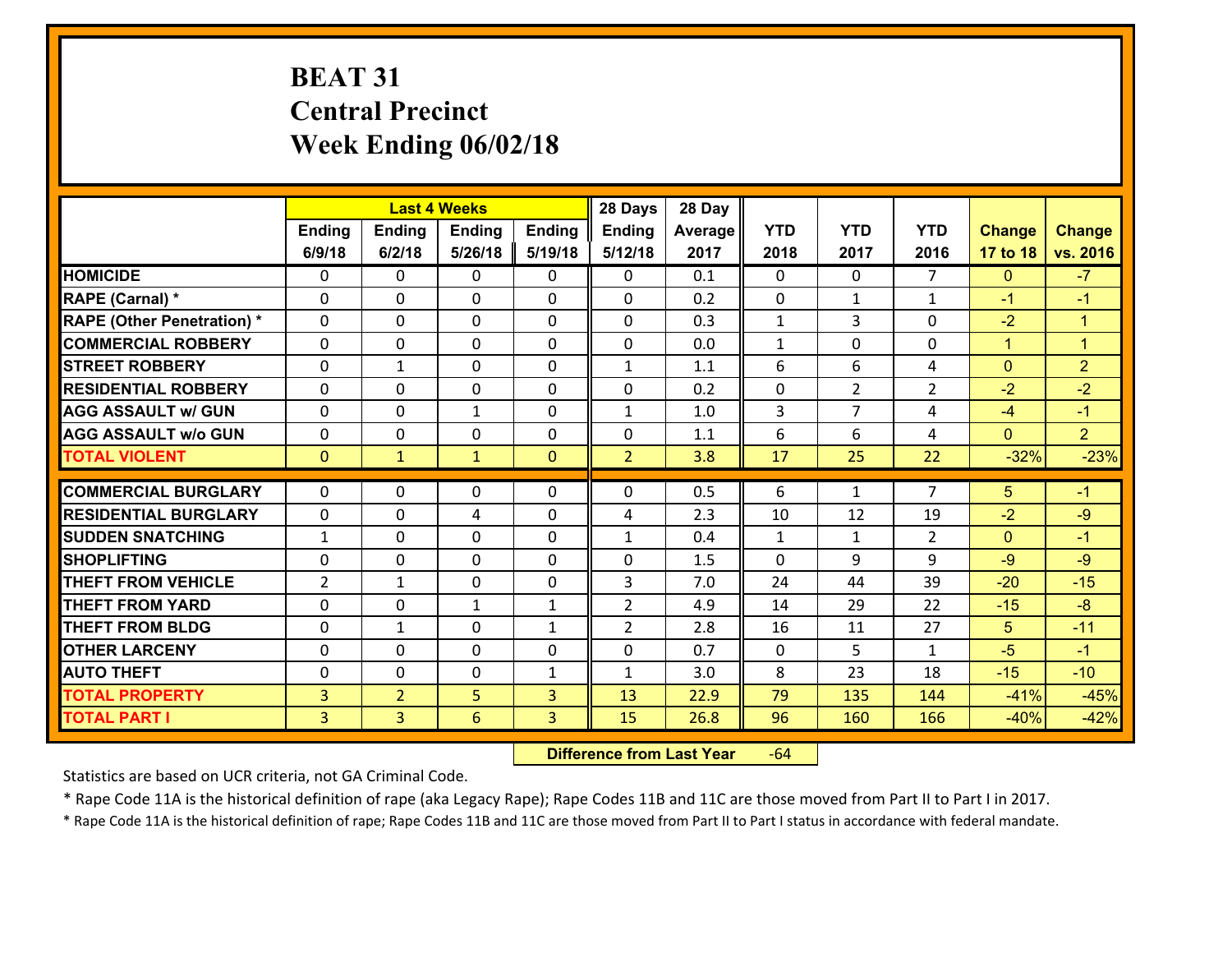# **BEAT 31 Central Precinct Week Ending 06/02/18**

|                                   |                |                | <b>Last 4 Weeks</b> |              | 28 Days        | 28 Day  |              |                |                |                |                      |
|-----------------------------------|----------------|----------------|---------------------|--------------|----------------|---------|--------------|----------------|----------------|----------------|----------------------|
|                                   | <b>Ending</b>  | Ending         | <b>Ending</b>       | Ending       | <b>Ending</b>  | Average | <b>YTD</b>   | <b>YTD</b>     | <b>YTD</b>     | <b>Change</b>  | <b>Change</b>        |
|                                   | 6/9/18         | 6/2/18         | 5/26/18             | 5/19/18      | 5/12/18        | 2017    | 2018         | 2017           | 2016           | 17 to 18       | vs. 2016             |
| <b>HOMICIDE</b>                   | $\Omega$       | 0              | $\Omega$            | 0            | $\Omega$       | 0.1     | 0            | $\Omega$       | $\overline{7}$ | $\mathbf{0}$   | $-7$                 |
| RAPE (Carnal) *                   | $\Omega$       | 0              | $\mathbf{0}$        | $\Omega$     | $\Omega$       | 0.2     | $\Omega$     | $\mathbf{1}$   | $\mathbf{1}$   | $-1$           | $-1$                 |
| <b>RAPE (Other Penetration) *</b> | 0              | 0              | $\mathbf 0$         | 0            | 0              | 0.3     | $\mathbf{1}$ | 3              | 0              | $-2$           | $\blacktriangleleft$ |
| <b>COMMERCIAL ROBBERY</b>         | 0              | 0              | $\mathbf 0$         | 0            | 0              | 0.0     | $\mathbf{1}$ | 0              | 0              | $\mathbf{1}$   | $\blacktriangleleft$ |
| <b>STREET ROBBERY</b>             | 0              | $\mathbf{1}$   | $\mathbf 0$         | 0            | $\mathbf{1}$   | 1.1     | 6            | 6              | 4              | $\mathbf{0}$   | $\overline{2}$       |
| <b>RESIDENTIAL ROBBERY</b>        | 0              | 0              | $\mathbf 0$         | $\mathbf{0}$ | 0              | 0.2     | 0            | $\overline{2}$ | $\overline{2}$ | $-2$           | $-2$                 |
| <b>AGG ASSAULT w/ GUN</b>         | 0              | 0              | 1                   | 0            | $\mathbf{1}$   | 1.0     | 3            | $\overline{7}$ | 4              | $-4$           | $-1$                 |
| <b>AGG ASSAULT w/o GUN</b>        | 0              | 0              | 0                   | $\mathbf{0}$ | 0              | 1.1     | 6            | 6              | 4              | $\mathbf{0}$   | $\overline{2}$       |
| <b>TOTAL VIOLENT</b>              | $\mathbf{0}$   | $\mathbf{1}$   | $\mathbf{1}$        | $\mathbf{0}$ | $\overline{2}$ | 3.8     | 17           | 25             | 22             | $-32%$         | $-23%$               |
| <b>COMMERCIAL BURGLARY</b>        | $\Omega$       | 0              | $\mathbf{0}$        | 0            | $\Omega$       | 0.5     | 6            | $\mathbf{1}$   | $\overline{7}$ | 5              | $-1$                 |
| <b>RESIDENTIAL BURGLARY</b>       | $\mathbf{0}$   | 0              | 4                   | 0            | 4              | 2.3     | 10           | 12             | 19             | $-2$           | $-9$                 |
| <b>SUDDEN SNATCHING</b>           | $\mathbf{1}$   | 0              | $\mathbf 0$         | 0            | $\mathbf{1}$   | 0.4     | $\mathbf{1}$ | $\mathbf{1}$   | $\overline{2}$ | $\mathbf{0}$   | $-1$                 |
| <b>SHOPLIFTING</b>                | 0              | 0              | $\mathbf 0$         | 0            | 0              | 1.5     | 0            | 9              | 9              | $-9$           | $-9$                 |
| <b>THEFT FROM VEHICLE</b>         | $\overline{2}$ | $\mathbf{1}$   | $\mathbf 0$         | 0            | 3              | 7.0     | 24           | 44             | 39             | $-20$          | $-15$                |
| <b>THEFT FROM YARD</b>            | 0              | 0              | 1                   | $\mathbf{1}$ | $\overline{2}$ | 4.9     | 14           | 29             | 22             | $-15$          | $-8$                 |
| <b>THEFT FROM BLDG</b>            | 0              | $\mathbf{1}$   | $\mathbf 0$         | $\mathbf{1}$ | $\overline{2}$ | 2.8     | 16           | 11             | 27             | 5 <sup>5</sup> | $-11$                |
| <b>OTHER LARCENY</b>              | 0              | 0              | $\mathbf 0$         | 0            | 0              | 0.7     | $\mathbf 0$  | 5              | $\mathbf{1}$   | $-5$           | $-1$                 |
| <b>AUTO THEFT</b>                 | 0              | 0              | $\mathbf 0$         | $\mathbf{1}$ | $\mathbf{1}$   | 3.0     | 8            | 23             | 18             | $-15$          | $-10$                |
| <b>TOTAL PROPERTY</b>             | $\overline{3}$ | $\overline{2}$ | 5                   | 3            | 13             | 22.9    | 79           | 135            | 144            | $-41%$         | $-45%$               |
| <b>TOTAL PART I</b>               | $\overline{3}$ | $\overline{3}$ | 6                   | 3            | 15             | 26.8    | 96           | 160            | 166            | $-40%$         | $-42%$               |

 **Difference from Last Year**r -64

Statistics are based on UCR criteria, not GA Criminal Code.

\* Rape Code 11A is the historical definition of rape (aka Legacy Rape); Rape Codes 11B and 11C are those moved from Part II to Part I in 2017.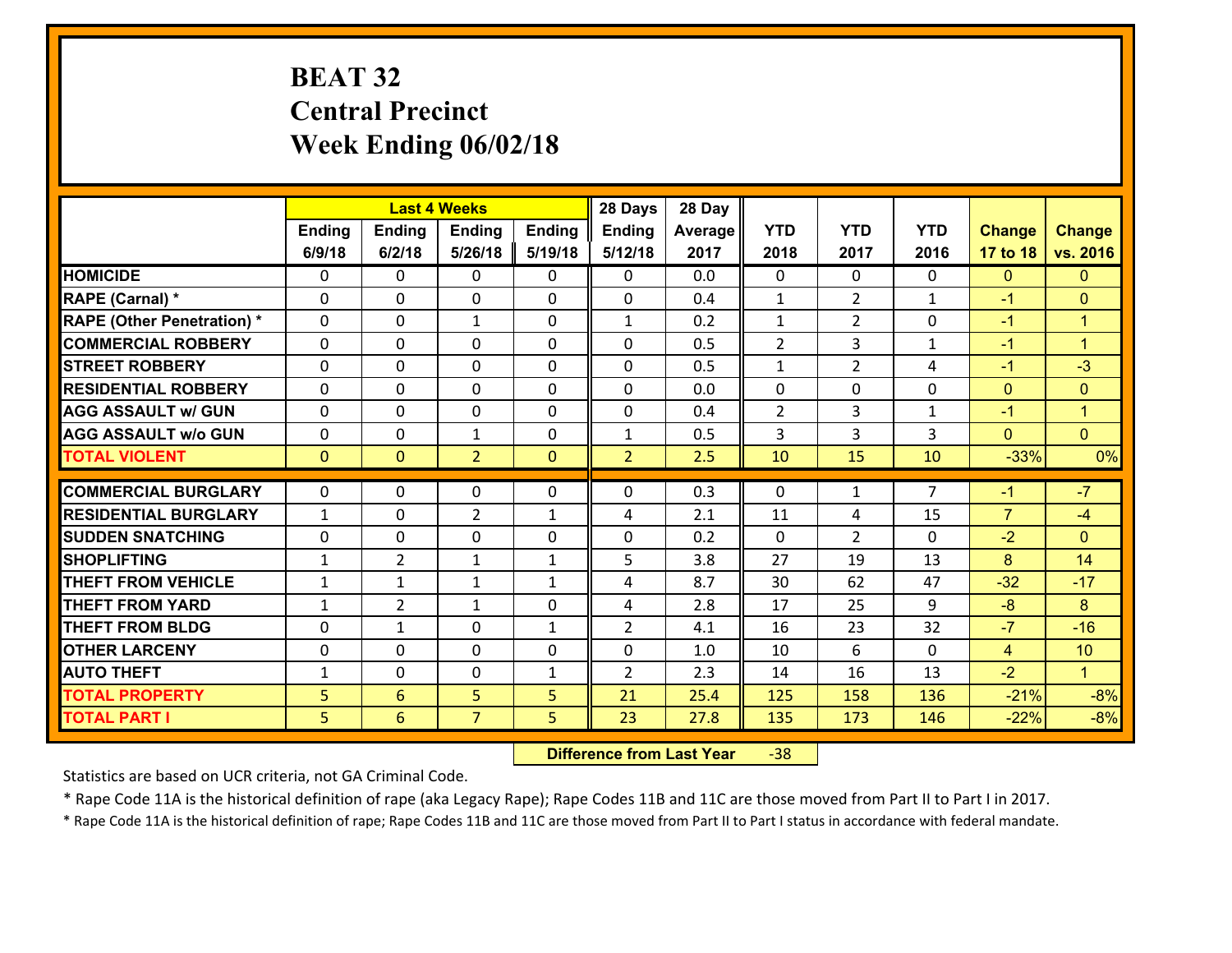# **BEAT 32 Central Precinct Week Ending 06/02/18**

|                                   |              |                 | <b>Last 4 Weeks</b> |              | 28 Days        | 28 Day  |                |                |                |                |                      |
|-----------------------------------|--------------|-----------------|---------------------|--------------|----------------|---------|----------------|----------------|----------------|----------------|----------------------|
|                                   | Ending       | <b>Ending</b>   | <b>Ending</b>       | Ending       | <b>Ending</b>  | Average | <b>YTD</b>     | <b>YTD</b>     | <b>YTD</b>     | <b>Change</b>  | <b>Change</b>        |
|                                   | 6/9/18       | 6/2/18          | 5/26/18             | 5/19/18      | 5/12/18        | 2017    | 2018           | 2017           | 2016           | 17 to 18       | vs. 2016             |
| <b>HOMICIDE</b>                   | 0            | 0               | $\mathbf{0}$        | 0            | $\mathbf{0}$   | 0.0     | $\mathbf 0$    | $\mathbf{0}$   | $\Omega$       | $\mathbf{0}$   | $\mathbf{0}$         |
| RAPE (Carnal) *                   | 0            | 0               | $\mathbf{0}$        | 0            | $\Omega$       | 0.4     | 1              | $\overline{2}$ | $\mathbf{1}$   | $-1$           | $\mathbf{0}$         |
| <b>RAPE (Other Penetration) *</b> | $\Omega$     | 0               | $\mathbf{1}$        | $\Omega$     | $\mathbf{1}$   | 0.2     | $\mathbf{1}$   | $\overline{2}$ | $\Omega$       | $-1$           | $\blacktriangleleft$ |
| <b>COMMERCIAL ROBBERY</b>         | $\Omega$     | $\Omega$        | $\mathbf 0$         | $\Omega$     | 0              | 0.5     | $\overline{2}$ | 3              | $\mathbf{1}$   | $-1$           | $\blacktriangleleft$ |
| <b>STREET ROBBERY</b>             | 0            | 0               | $\mathbf 0$         | 0            | 0              | 0.5     | $\mathbf{1}$   | $\overline{2}$ | 4              | $-1$           | $-3$                 |
| <b>RESIDENTIAL ROBBERY</b>        | 0            | 0               | $\mathbf 0$         | 0            | 0              | 0.0     | $\mathbf 0$    | 0              | 0              | $\overline{0}$ | $\mathbf{0}$         |
| <b>AGG ASSAULT w/ GUN</b>         | 0            | 0               | $\mathbf 0$         | 0            | 0              | 0.4     | $\overline{2}$ | $\overline{3}$ | $\mathbf{1}$   | $-1$           | $\mathbf{1}$         |
| <b>AGG ASSAULT w/o GUN</b>        | 0            | 0               | $\mathbf{1}$        | 0            | $\mathbf{1}$   | 0.5     | 3              | $\overline{3}$ | 3              | $\mathbf{0}$   | $\overline{0}$       |
| <b>TOTAL VIOLENT</b>              | $\mathbf{0}$ | $\overline{0}$  | $\overline{2}$      | $\mathbf{0}$ | $\overline{2}$ | 2.5     | 10             | 15             | 10             | $-33%$         | 0%                   |
| <b>COMMERCIAL BURGLARY</b>        | $\Omega$     |                 |                     |              |                |         |                |                | $\overline{7}$ |                | $-7$                 |
|                                   |              | 0               | 0                   | 0            | 0              | 0.3     | $\mathbf{0}$   | $\mathbf{1}$   |                | $-1$           |                      |
| <b>RESIDENTIAL BURGLARY</b>       | $\mathbf{1}$ | 0               | $\overline{2}$      | $\mathbf{1}$ | 4              | 2.1     | 11             | 4              | 15             | $\overline{7}$ | $-4$                 |
| <b>SUDDEN SNATCHING</b>           | $\Omega$     | $\Omega$        | $\mathbf 0$         | $\Omega$     | 0              | 0.2     | $\Omega$       | $\overline{2}$ | $\Omega$       | $-2$           | $\Omega$             |
| <b>SHOPLIFTING</b>                | $\mathbf{1}$ | $\overline{2}$  | 1                   | $\mathbf{1}$ | 5              | 3.8     | 27             | 19             | 13             | 8              | 14                   |
| <b>THEFT FROM VEHICLE</b>         | 1            | 1               | 1                   | $\mathbf{1}$ | 4              | 8.7     | 30             | 62             | 47             | $-32$          | $-17$                |
| <b>THEFT FROM YARD</b>            | $\mathbf{1}$ | $\overline{2}$  | 1                   | 0            | 4              | 2.8     | 17             | 25             | 9              | $-8$           | 8                    |
| <b>THEFT FROM BLDG</b>            | 0            | 1               | $\mathbf 0$         | $\mathbf{1}$ | $\overline{2}$ | 4.1     | 16             | 23             | 32             | $-7$           | $-16$                |
| <b>OTHER LARCENY</b>              | 0            | 0               | $\mathbf 0$         | 0            | 0              | 1.0     | 10             | 6              | 0              | $\overline{4}$ | 10                   |
| <b>AUTO THEFT</b>                 | $\mathbf{1}$ | 0               | 0                   | $\mathbf{1}$ | $\overline{2}$ | 2.3     | 14             | 16             | 13             | $-2$           | $\blacklozenge$      |
| <b>TOTAL PROPERTY</b>             | 5            | 6               | 5                   | 5            | 21             | 25.4    | 125            | 158            | 136            | $-21%$         | $-8%$                |
| <b>TOTAL PART I</b>               | 5            | $6\overline{6}$ | $\overline{7}$      | 5            | 23             | 27.8    | 135            | 173            | 146            | $-22%$         | $-8%$                |

 **Difference from Last Year**‐38

Statistics are based on UCR criteria, not GA Criminal Code.

\* Rape Code 11A is the historical definition of rape (aka Legacy Rape); Rape Codes 11B and 11C are those moved from Part II to Part I in 2017.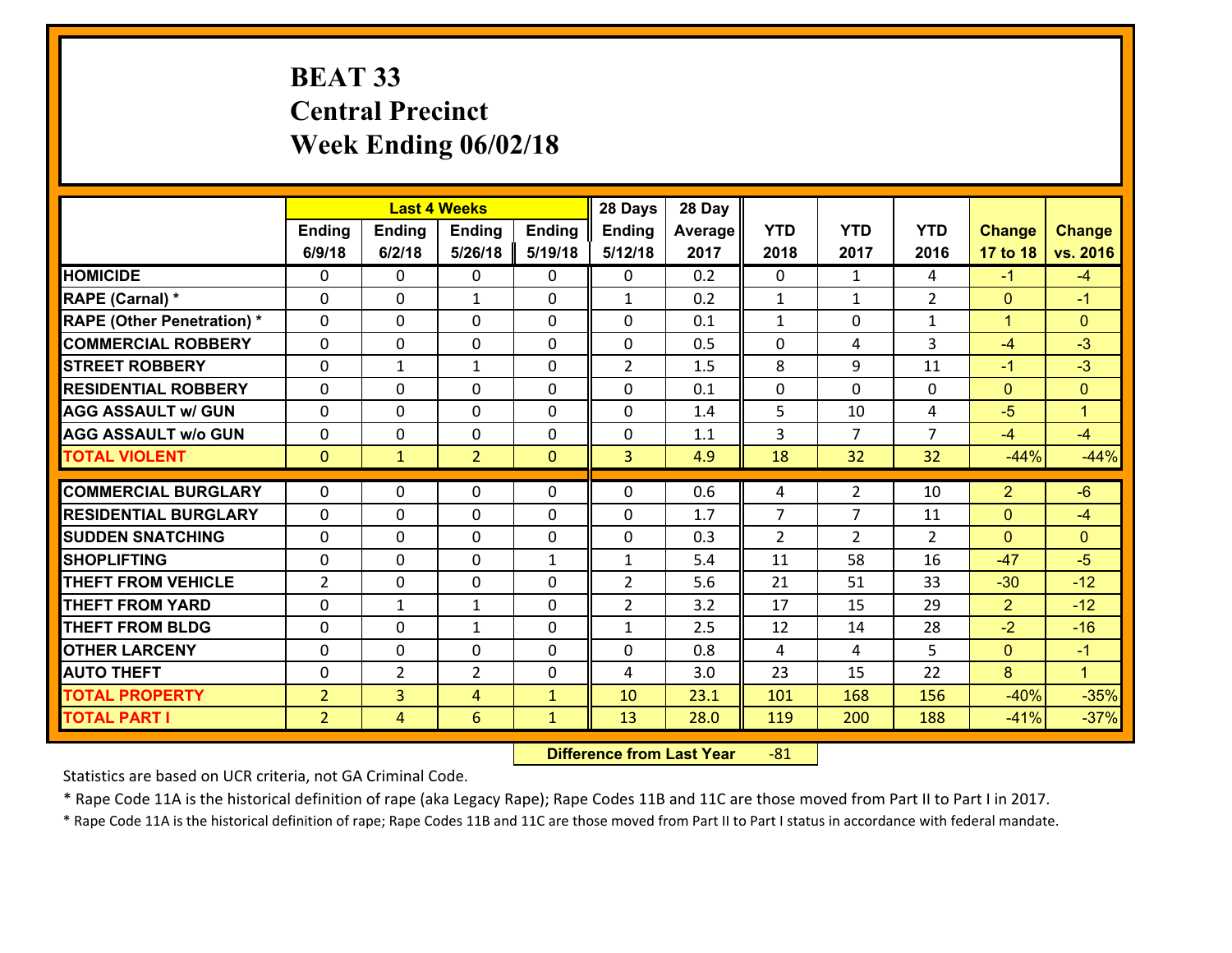# **BEAT 33 Central Precinct Week Ending 06/02/18**

|                                   |                |                | <b>Last 4 Weeks</b> |                | 28 Days        | 28 Day  |                |                |                |                |                      |
|-----------------------------------|----------------|----------------|---------------------|----------------|----------------|---------|----------------|----------------|----------------|----------------|----------------------|
|                                   | Ending         | <b>Ending</b>  | Ending              | <b>Ending</b>  | <b>Ending</b>  | Average | <b>YTD</b>     | <b>YTD</b>     | <b>YTD</b>     | <b>Change</b>  | <b>Change</b>        |
|                                   | 6/9/18         | 6/2/18         | 5/26/18             | 5/19/18        | 5/12/18        | 2017    | 2018           | 2017           | 2016           | 17 to 18       | vs. 2016             |
| <b>HOMICIDE</b>                   | $\Omega$       | 0              | $\mathbf{0}$        | 0              | $\mathbf{0}$   | 0.2     | $\Omega$       | $\mathbf{1}$   | 4              | $-1$           | $-4$                 |
| RAPE (Carnal) *                   | $\Omega$       | 0              | 1                   | $\Omega$       | $\mathbf{1}$   | 0.2     | $\mathbf{1}$   | $\mathbf{1}$   | $\overline{2}$ | $\mathbf{0}$   | $-1$                 |
| <b>RAPE (Other Penetration) *</b> | $\Omega$       | 0              | $\mathbf 0$         | $\Omega$       | 0              | 0.1     | $\mathbf{1}$   | $\Omega$       | $\mathbf{1}$   | $\mathbf{1}$   | $\mathbf{0}$         |
| <b>COMMERCIAL ROBBERY</b>         | 0              | 0              | $\mathbf 0$         | 0              | 0              | 0.5     | 0              | 4              | 3              | $-4$           | $-3$                 |
| <b>STREET ROBBERY</b>             | $\Omega$       | $\mathbf{1}$   | $\mathbf{1}$        | $\Omega$       | $\overline{2}$ | 1.5     | 8              | 9              | 11             | $-1$           | $-3$                 |
| <b>RESIDENTIAL ROBBERY</b>        | $\Omega$       | 0              | $\mathbf{0}$        | $\Omega$       | $\Omega$       | 0.1     | 0              | 0              | $\Omega$       | $\mathbf{0}$   | $\mathbf{0}$         |
| <b>AGG ASSAULT w/ GUN</b>         | $\Omega$       | $\Omega$       | $\mathbf 0$         | $\Omega$       | 0              | 1.4     | 5              | 10             | 4              | $-5$           | $\blacktriangleleft$ |
| <b>AGG ASSAULT w/o GUN</b>        | $\Omega$       | 0              | $\mathbf 0$         | $\Omega$       | $\mathbf 0$    | 1.1     | 3              | $\overline{7}$ | $\overline{7}$ | $-4$           | $-4$                 |
| <b>TOTAL VIOLENT</b>              | $\mathbf{0}$   | $\mathbf{1}$   | $\overline{2}$      | $\overline{0}$ | $\overline{3}$ | 4.9     | 18             | 32             | 32             | $-44%$         | $-44%$               |
|                                   |                |                |                     |                |                |         |                |                |                |                |                      |
| <b>COMMERCIAL BURGLARY</b>        | $\Omega$       | 0              | $\mathbf{0}$        | 0              | $\Omega$       | 0.6     | 4              | $\overline{2}$ | 10             | $\overline{2}$ | $-6$                 |
| <b>RESIDENTIAL BURGLARY</b>       | 0              | 0              | $\mathbf 0$         | 0              | 0              | 1.7     | 7              | 7              | 11             | $\mathbf{0}$   | $-4$                 |
| <b>SUDDEN SNATCHING</b>           | 0              | 0              | $\mathbf 0$         | 0              | 0              | 0.3     | $\overline{2}$ | $\overline{2}$ | $\overline{2}$ | $\mathbf{0}$   | $\mathbf{0}$         |
| <b>SHOPLIFTING</b>                | 0              | 0              | $\mathbf{0}$        | $\mathbf{1}$   | $\mathbf{1}$   | 5.4     | 11             | 58             | 16             | $-47$          | $-5$                 |
| <b>THEFT FROM VEHICLE</b>         | $\overline{2}$ | 0              | $\mathbf{0}$        | $\Omega$       | $\overline{2}$ | 5.6     | 21             | 51             | 33             | $-30$          | $-12$                |
| <b>THEFT FROM YARD</b>            | 0              | 1              | 1                   | $\Omega$       | $\overline{2}$ | 3.2     | 17             | 15             | 29             | $\overline{2}$ | $-12$                |
|                                   |                |                |                     |                |                |         |                |                |                |                |                      |
| <b>THEFT FROM BLDG</b>            | $\mathbf{0}$   | 0              | 1                   | 0              | $\mathbf{1}$   | 2.5     | 12             | 14             | 28             | $-2$           | $-16$                |
| <b>OTHER LARCENY</b>              | 0              | 0              | $\mathbf 0$         | 0              | 0              | 0.8     | 4              | 4              | 5              | $\overline{0}$ | $-1$                 |
| <b>AUTO THEFT</b>                 | 0              | $\overline{2}$ | $\overline{2}$      | 0              | 4              | 3.0     | 23             | 15             | 22             | 8              | $\mathbf{1}$         |
| <b>TOTAL PROPERTY</b>             | $\overline{2}$ | $\overline{3}$ | $\overline{4}$      | $\mathbf{1}$   | 10             | 23.1    | 101            | 168            | 156            | $-40%$         | $-35%$               |

 **Difference from Last Year**r -81

Statistics are based on UCR criteria, not GA Criminal Code.

\* Rape Code 11A is the historical definition of rape (aka Legacy Rape); Rape Codes 11B and 11C are those moved from Part II to Part I in 2017.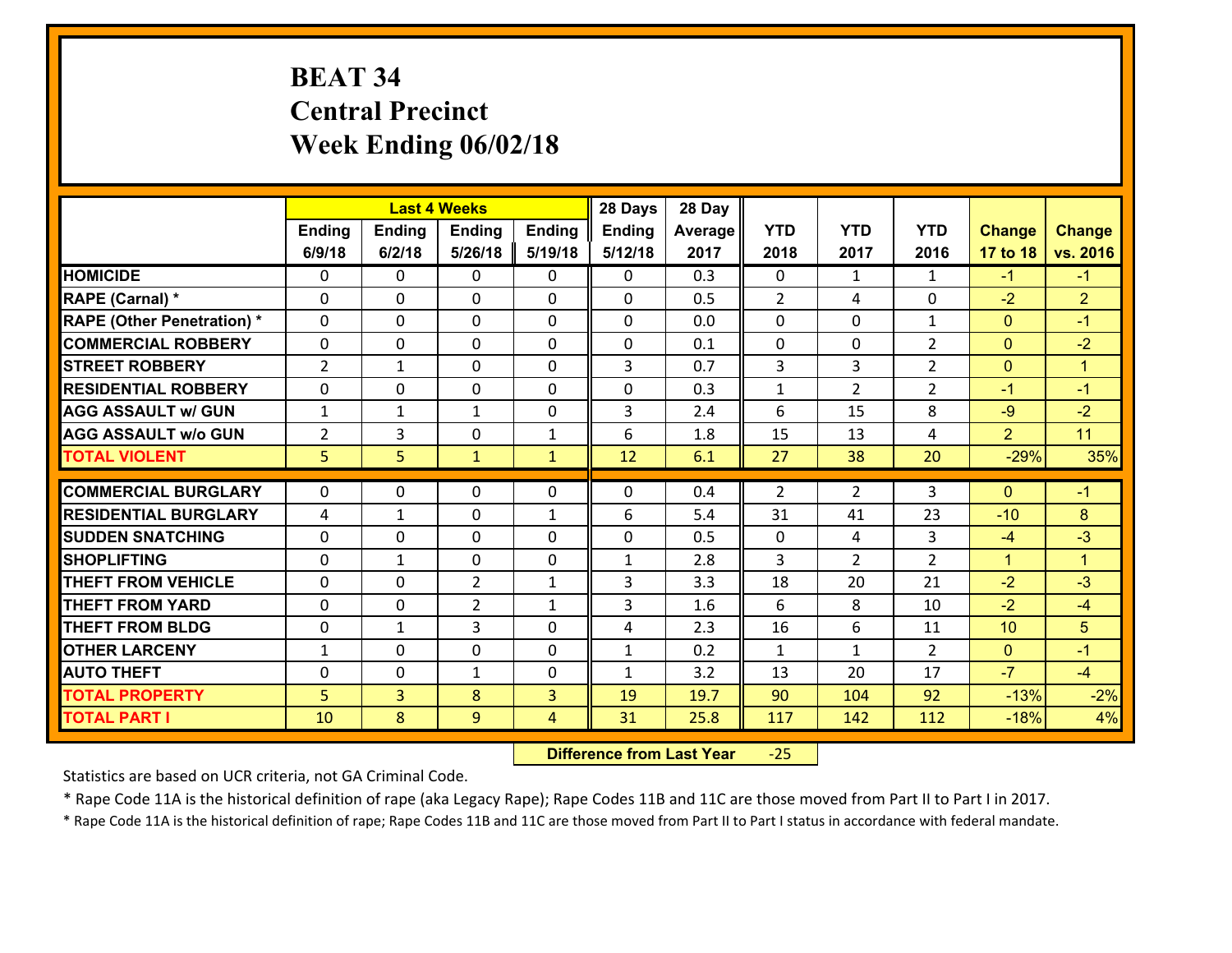# **BEAT 34 Central Precinct Week Ending 06/02/18**

|                                   |                |               | <b>Last 4 Weeks</b> |              | 28 Days       | 28 Day  |                  |                |                     |                |                              |
|-----------------------------------|----------------|---------------|---------------------|--------------|---------------|---------|------------------|----------------|---------------------|----------------|------------------------------|
|                                   | Ending         | <b>Ending</b> | <b>Ending</b>       | Ending       | <b>Ending</b> | Average | <b>YTD</b>       | <b>YTD</b>     | <b>YTD</b>          | <b>Change</b>  | <b>Change</b>                |
|                                   | 6/9/18         | 6/2/18        | 5/26/18             | 5/19/18      | 5/12/18       | 2017    | 2018             | 2017           | 2016                | 17 to 18       | vs. 2016                     |
| <b>HOMICIDE</b>                   | $\Omega$       | 0             | $\Omega$            | 0            | $\Omega$      | 0.3     | $\Omega$         | $\mathbf{1}$   | $\mathbf{1}$        | $-1$           | $-1$                         |
| RAPE (Carnal) *                   | 0              | 0             | $\mathbf{0}$        | 0            | $\Omega$      | 0.5     | 2                | 4              | $\Omega$            | $-2$           | $\overline{2}$               |
| <b>RAPE (Other Penetration) *</b> | $\Omega$       | 0             | $\mathbf{0}$        | $\Omega$     | $\Omega$      | 0.0     | $\Omega$         | $\Omega$       | $\mathbf{1}$        | $\mathbf{0}$   | $-1$                         |
| <b>COMMERCIAL ROBBERY</b>         | 0              | 0             | 0                   | 0            | 0             | 0.1     | $\mathbf{0}$     | 0              | $\overline{2}$      | $\mathbf{0}$   | $-2$                         |
| <b>STREET ROBBERY</b>             | $\overline{2}$ | $\mathbf 1$   | $\mathbf 0$         | 0            | 3             | 0.7     | $\overline{3}$   | $\overline{3}$ | $\overline{2}$      | $\overline{0}$ | $\mathbf{1}$                 |
| <b>RESIDENTIAL ROBBERY</b>        | $\Omega$       | 0             | $\mathbf 0$         | $\Omega$     | 0             | 0.3     | $\mathbf{1}$     | $\overline{2}$ | $\overline{2}$      | $-1$           | $-1$                         |
| <b>AGG ASSAULT w/ GUN</b>         | $\mathbf{1}$   | $\mathbf 1$   | $\mathbf{1}$        | 0            | 3             | 2.4     | 6                | 15             | 8                   | $-9$           | $-2$                         |
| <b>AGG ASSAULT w/o GUN</b>        | $\overline{2}$ | 3             | $\mathbf 0$         | $\mathbf{1}$ | 6             | 1.8     | 15               | 13             | 4                   | $\overline{2}$ | 11                           |
| <b>TOTAL VIOLENT</b>              | 5              | 5             | $\mathbf{1}$        | $\mathbf{1}$ | 12            | 6.1     | 27               | 38             | 20                  | $-29%$         | 35%                          |
| <b>COMMERCIAL BURGLARY</b>        | $\Omega$       | 0             | $\mathbf{0}$        | $\Omega$     | $\Omega$      | 0.4     | $\overline{2}$   | $\overline{2}$ | 3                   | $\Omega$       | $-1$                         |
|                                   |                |               |                     |              |               |         |                  |                |                     |                |                              |
| <b>RESIDENTIAL BURGLARY</b>       | 4              | 1             | $\mathbf 0$         | $\mathbf{1}$ | 6             | 5.4     | 31               | 41             | 23                  | $-10$          | 8                            |
| <b>SUDDEN SNATCHING</b>           | 0              | 0             | $\mathbf 0$         | 0            | 0             | 0.5     | $\mathbf 0$<br>3 | 4              | 3<br>$\overline{2}$ | $-4$           | $-3$<br>$\blacktriangleleft$ |
| <b>SHOPLIFTING</b>                | 0              | $\mathbf 1$   | $\mathbf 0$         | 0            | $\mathbf{1}$  | 2.8     |                  | $\overline{2}$ |                     | $\mathbf{1}$   |                              |
| <b>THEFT FROM VEHICLE</b>         | $\Omega$       | 0             | $\overline{2}$      | $\mathbf{1}$ | 3             | 3.3     | 18               | 20             | 21                  | $-2$           | $-3$                         |
| <b>THEFT FROM YARD</b>            | 0              | 0             | $\overline{2}$      | $\mathbf{1}$ | 3             | 1.6     | 6                | 8              | 10                  | $-2$           | $-4$                         |
| <b>THEFT FROM BLDG</b>            | 0              | 1             | 3                   | 0            | 4             | 2.3     | 16               | 6              | 11                  | 10             | 5                            |
| <b>OTHER LARCENY</b>              | $\mathbf{1}$   | 0             | 0                   | 0            | $\mathbf{1}$  | 0.2     | $\mathbf{1}$     | $\mathbf{1}$   | $\overline{2}$      | $\mathbf{0}$   | $-1$                         |
| <b>AUTO THEFT</b>                 | 0              | 0             | $\mathbf{1}$        | 0            | $\mathbf{1}$  | 3.2     | 13               | 20             | 17                  | $-7$           | $-4$                         |
| <b>TOTAL PROPERTY</b>             | 5              | 3             | 8                   | 3            | 19            | 19.7    | 90               | 104            | 92                  | $-13%$         | $-2%$                        |
| <b>TOTAL PART I</b>               | 10             | 8             | 9                   | 4            | 31            | 25.8    | 117              | 142            | 112                 | $-18%$         | 4%                           |

 **Difference from Last Year**‐25

Statistics are based on UCR criteria, not GA Criminal Code.

\* Rape Code 11A is the historical definition of rape (aka Legacy Rape); Rape Codes 11B and 11C are those moved from Part II to Part I in 2017.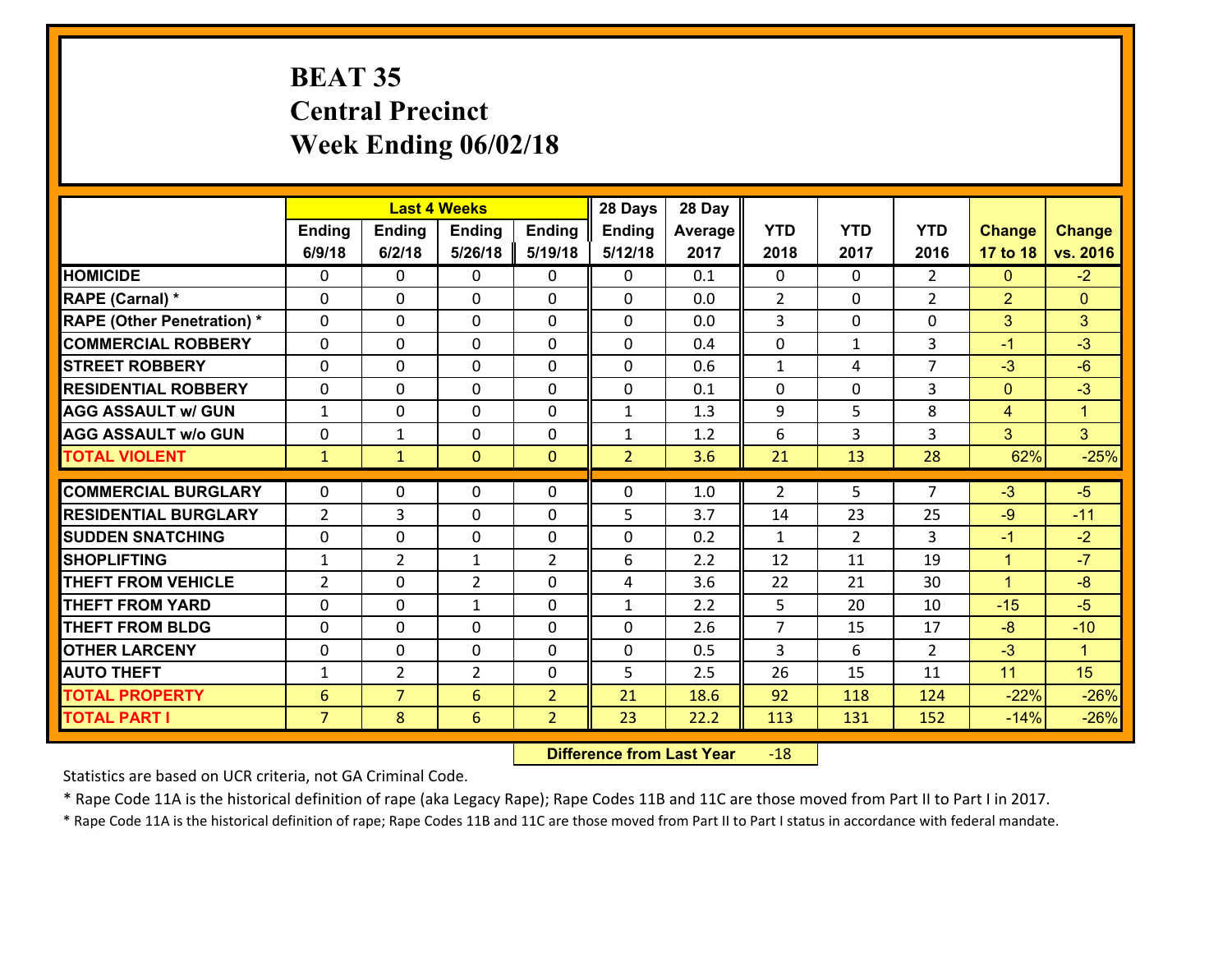## **BEAT 35 Central Precinct Week Ending 06/02/18**

|                                   |                 |                | <b>Last 4 Weeks</b> |                | 28 Days        | 28 Day  |                |                |                |                |                |
|-----------------------------------|-----------------|----------------|---------------------|----------------|----------------|---------|----------------|----------------|----------------|----------------|----------------|
|                                   | Ending          | <b>Ending</b>  | Ending              | <b>Ending</b>  | <b>Ending</b>  | Average | <b>YTD</b>     | <b>YTD</b>     | <b>YTD</b>     | <b>Change</b>  | <b>Change</b>  |
|                                   | 6/9/18          | 6/2/18         | 5/26/18             | 5/19/18        | 5/12/18        | 2017    | 2018           | 2017           | 2016           | 17 to 18       | vs. 2016       |
| <b>HOMICIDE</b>                   | $\Omega$        | 0              | 0                   | 0              | 0              | 0.1     | $\Omega$       | $\Omega$       | $\overline{2}$ | $\mathbf{0}$   | $-2$           |
| RAPE (Carnal) *                   | 0               | 0              | $\mathbf{0}$        | 0              | 0              | 0.0     | $\overline{2}$ | $\mathbf{0}$   | $\overline{2}$ | $\overline{2}$ | $\mathbf{0}$   |
| <b>RAPE (Other Penetration) *</b> | $\Omega$        | 0              | $\mathbf{0}$        | $\Omega$       | 0              | 0.0     | 3              | $\Omega$       | $\Omega$       | 3              | 3              |
| <b>COMMERCIAL ROBBERY</b>         | 0               | 0              | $\mathbf{0}$        | $\Omega$       | 0              | 0.4     | 0              | $\mathbf{1}$   | 3              | $-1$           | $-3$           |
| <b>STREET ROBBERY</b>             | $\Omega$        | 0              | $\mathbf{0}$        | $\Omega$       | 0              | 0.6     | $\mathbf{1}$   | 4              | $\overline{7}$ | $-3$           | $-6$           |
| <b>RESIDENTIAL ROBBERY</b>        | $\Omega$        | $\Omega$       | $\mathbf 0$         | $\Omega$       | 0              | 0.1     | 0              | 0              | 3              | $\mathbf{0}$   | $-3$           |
| <b>AGG ASSAULT w/ GUN</b>         | $\mathbf{1}$    | 0              | $\mathbf 0$         | 0              | $\mathbf{1}$   | 1.3     | 9              | 5              | 8              | $\overline{4}$ | $\mathbf{1}$   |
| <b>AGG ASSAULT w/o GUN</b>        | 0               | 1              | $\mathbf 0$         | 0              | $\mathbf{1}$   | 1.2     | 6              | $\overline{3}$ | 3              | $\overline{3}$ | 3 <sup>1</sup> |
| <b>TOTAL VIOLENT</b>              | $\mathbf{1}$    | $\mathbf{1}$   | $\mathbf{O}$        | $\mathbf{0}$   | $\overline{2}$ | 3.6     | 21             | 13             | 28             | 62%            | $-25%$         |
| <b>COMMERCIAL BURGLARY</b>        | $\Omega$        | 0              | $\mathbf{0}$        | 0              | 0              |         | 2              | 5              | $\overline{7}$ | $-3$           | $-5$           |
|                                   |                 |                |                     |                |                | 1.0     |                |                |                |                |                |
| <b>RESIDENTIAL BURGLARY</b>       | $\overline{2}$  | 3              | $\mathbf{0}$        | $\Omega$       | 5              | 3.7     | 14             | 23             | 25             | $-9$           | $-11$          |
| <b>SUDDEN SNATCHING</b>           | 0               | 0              | $\mathbf 0$         | 0              | 0              | 0.2     | $\mathbf{1}$   | $\overline{2}$ | 3              | $-1$           | $-2$           |
| <b>SHOPLIFTING</b>                | $\mathbf{1}$    | $\overline{2}$ | $\mathbf{1}$        | $\overline{2}$ | 6              | 2.2     | 12             | 11             | 19             | $\mathbf{1}$   | $-7$           |
| <b>THEFT FROM VEHICLE</b>         | $\overline{2}$  | 0              | $\overline{2}$      | $\Omega$       | 4              | 3.6     | 22             | 21             | 30             | $\mathbf{1}$   | $-8$           |
| <b>THEFT FROM YARD</b>            | 0               | 0              | $\mathbf{1}$        | 0              | $\mathbf{1}$   | 2.2     | 5              | 20             | 10             | $-15$          | $-5$           |
| <b>THEFT FROM BLDG</b>            | 0               | 0              | $\mathbf 0$         | 0              | 0              | 2.6     | $\overline{7}$ | 15             | 17             | $-8$           | $-10$          |
| <b>OTHER LARCENY</b>              | $\mathbf 0$     | 0              | $\mathbf 0$         | 0              | 0              | 0.5     | 3              | 6              | $\overline{2}$ | $-3$           | $\mathbf{1}$   |
| <b>AUTO THEFT</b>                 | $\mathbf{1}$    | $\overline{2}$ | $\overline{2}$      | 0              | 5              | 2.5     | 26             | 15             | 11             | 11             | 15             |
| <b>TOTAL PROPERTY</b>             | $6\phantom{1}6$ | $\overline{7}$ | 6                   | $\overline{2}$ | 21             | 18.6    | 92             | 118            | 124            | $-22%$         | $-26%$         |
| <b>TOTAL PART I</b>               | $\overline{7}$  | 8              | 6                   | $\overline{2}$ | 23             | 22.2    | 113            | 131            | 152            | $-14%$         | $-26%$         |

 **Difference from Last Year**r -18

Statistics are based on UCR criteria, not GA Criminal Code.

\* Rape Code 11A is the historical definition of rape (aka Legacy Rape); Rape Codes 11B and 11C are those moved from Part II to Part I in 2017.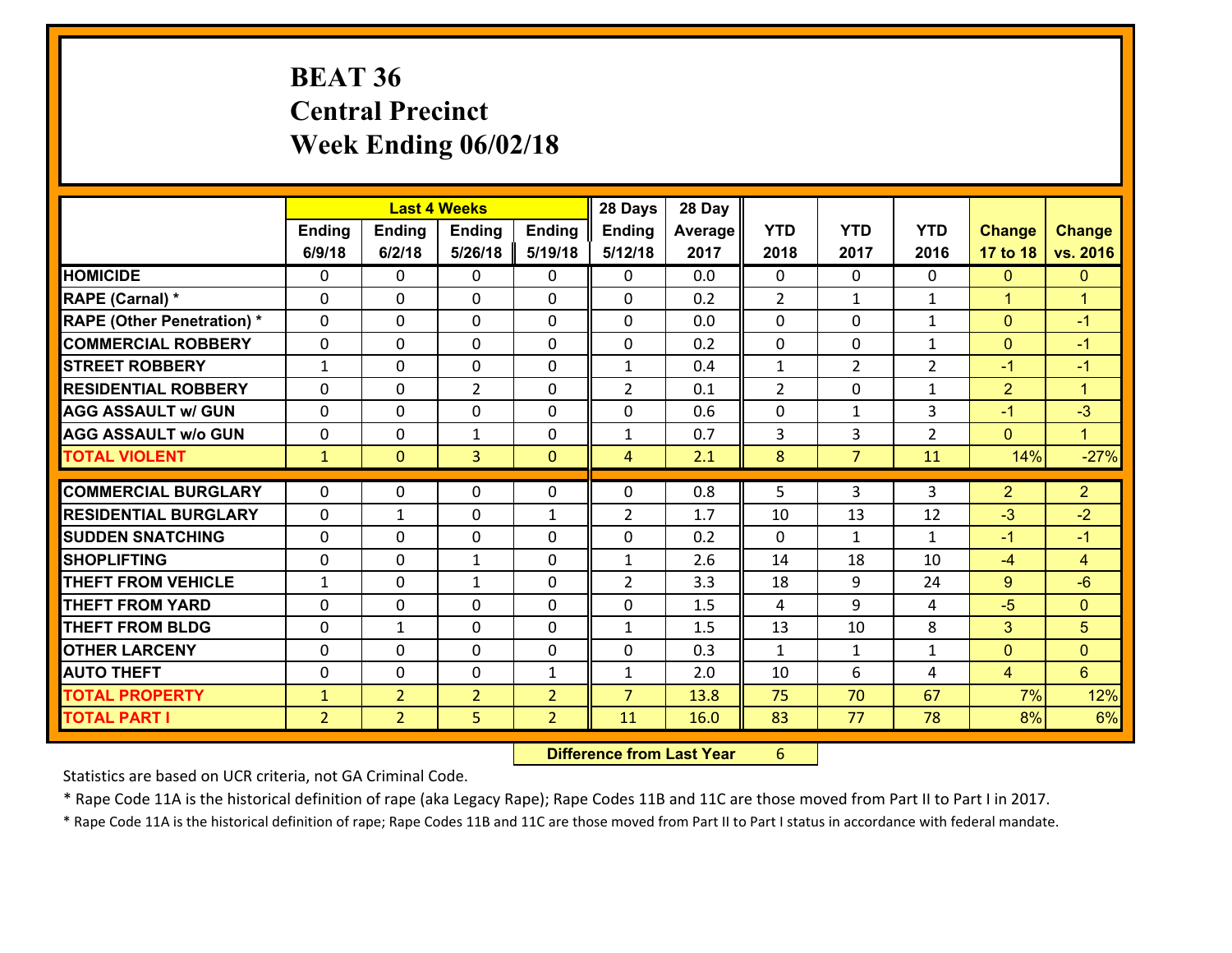# **BEAT 36 Central Precinct Week Ending 06/02/18**

|                                   |                |                | <b>Last 4 Weeks</b> |                | 28 Days        | 28 Day  |                |                |                |                |                |
|-----------------------------------|----------------|----------------|---------------------|----------------|----------------|---------|----------------|----------------|----------------|----------------|----------------|
|                                   | Ending         | <b>Ending</b>  | <b>Ending</b>       | <b>Ending</b>  | <b>Ending</b>  | Average | <b>YTD</b>     | <b>YTD</b>     | <b>YTD</b>     | <b>Change</b>  | <b>Change</b>  |
|                                   | 6/9/18         | 6/2/18         | 5/26/18             | 5/19/18        | 5/12/18        | 2017    | 2018           | 2017           | 2016           | 17 to 18       | vs. 2016       |
| <b>HOMICIDE</b>                   | 0              | 0              | 0                   | 0              | 0              | 0.0     | 0              | $\Omega$       | 0              | $\mathbf{0}$   | $\mathbf{0}$   |
| RAPE (Carnal) *                   | $\mathbf{0}$   | 0              | $\mathbf 0$         | 0              | 0              | 0.2     | $\overline{2}$ | $\mathbf{1}$   | $\mathbf{1}$   | $\mathbf{1}$   | $\mathbf{1}$   |
| <b>RAPE (Other Penetration) *</b> | $\mathbf{0}$   | 0              | $\mathbf{0}$        | $\Omega$       | 0              | 0.0     | $\Omega$       | 0              | $\mathbf{1}$   | $\mathbf{0}$   | $-1$           |
| <b>COMMERCIAL ROBBERY</b>         | $\mathbf{0}$   | 0              | $\mathbf 0$         | $\Omega$       | 0              | 0.2     | $\Omega$       | $\Omega$       | $\mathbf{1}$   | $\mathbf{0}$   | $-1$           |
| <b>STREET ROBBERY</b>             | $\mathbf{1}$   | 0              | $\mathbf{0}$        | $\Omega$       | $\mathbf{1}$   | 0.4     | $\mathbf{1}$   | $\overline{2}$ | $\overline{2}$ | $-1$           | $-1$           |
| <b>RESIDENTIAL ROBBERY</b>        | $\Omega$       | 0              | $\overline{2}$      | $\Omega$       | $\overline{2}$ | 0.1     | 2              | $\Omega$       | $\mathbf{1}$   | $\overline{2}$ | $\mathbf{1}$   |
| <b>AGG ASSAULT w/ GUN</b>         | 0              | 0              | $\mathbf 0$         | 0              | 0              | 0.6     | 0              | $\mathbf{1}$   | 3              | $-1$           | $-3$           |
| <b>AGG ASSAULT W/o GUN</b>        | $\mathbf{0}$   | 0              | 1                   | 0              | $\mathbf{1}$   | 0.7     | 3              | 3              | $\overline{2}$ | $\mathbf{0}$   | $\mathbf{1}$   |
| <b>TOTAL VIOLENT</b>              | $\mathbf{1}$   | $\overline{0}$ | 3                   | $\overline{0}$ | $\overline{4}$ | 2.1     | 8              | 7 <sup>1</sup> | 11             | 14%            | $-27%$         |
|                                   |                |                |                     |                |                |         |                |                |                |                |                |
|                                   |                |                |                     |                |                |         |                |                |                |                |                |
| <b>COMMERCIAL BURGLARY</b>        | $\mathbf{0}$   | 0              | 0                   | 0              | $\Omega$       | 0.8     | 5              | 3              | 3              | $\overline{2}$ | 2 <sup>1</sup> |
| <b>RESIDENTIAL BURGLARY</b>       | $\Omega$       | 1              | $\mathbf 0$         | 1              | $\overline{2}$ | 1.7     | 10             | 13             | 12             | -3             | $-2$           |
| <b>ISUDDEN SNATCHING</b>          | $\mathbf{0}$   | 0              | 0                   | 0              | $\Omega$       | 0.2     | $\mathbf{0}$   | $\mathbf{1}$   | $\mathbf{1}$   | $-1$           | $-1$           |
| <b>SHOPLIFTING</b>                | $\mathbf{0}$   | 0              | $\mathbf{1}$        | 0              | $\mathbf{1}$   | 2.6     | 14             | 18             | 10             | -4             | $\overline{4}$ |
| <b>THEFT FROM VEHICLE</b>         | $\mathbf{1}$   | 0              | $\mathbf{1}$        | 0              | $\overline{2}$ | 3.3     | 18             | 9              | 24             | 9              | $-6$           |
| <b>THEFT FROM YARD</b>            | $\mathbf{0}$   | 0              | $\mathbf{0}$        | $\Omega$       | $\Omega$       | 1.5     | 4              | 9              | 4              | $-5$           | $\mathbf{0}$   |
| <b>THEFT FROM BLDG</b>            | $\Omega$       | $\mathbf{1}$   | $\mathbf 0$         | $\Omega$       | $\mathbf{1}$   | 1.5     | 13             | 10             | 8              | 3              | 5              |
| <b>OTHER LARCENY</b>              | $\mathbf{0}$   | 0              | $\mathbf{0}$        | $\Omega$       | $\Omega$       | 0.3     | $\mathbf{1}$   | $\mathbf{1}$   | $\mathbf{1}$   | $\mathbf{0}$   | $\mathbf{0}$   |
| <b>AUTO THEFT</b>                 | $\mathbf{0}$   | 0              | $\mathbf{0}$        | $\mathbf{1}$   | $\mathbf{1}$   | 2.0     | 10             | 6              | 4              | 4              | 6              |
| <b>TOTAL PROPERTY</b>             | $\mathbf{1}$   | $\overline{2}$ | $\overline{2}$      | $\overline{2}$ | $\overline{7}$ | 13.8    | 75             | 70             | 67             | 7%             | 12%            |
| <b>TOTAL PART I</b>               | $\overline{2}$ | $\overline{2}$ | 5                   | $\overline{2}$ | 11             | 16.0    | 83             | 77             | 78             | 8%             | 6%             |

 **Difference from Last Year**r 6

Statistics are based on UCR criteria, not GA Criminal Code.

\* Rape Code 11A is the historical definition of rape (aka Legacy Rape); Rape Codes 11B and 11C are those moved from Part II to Part I in 2017.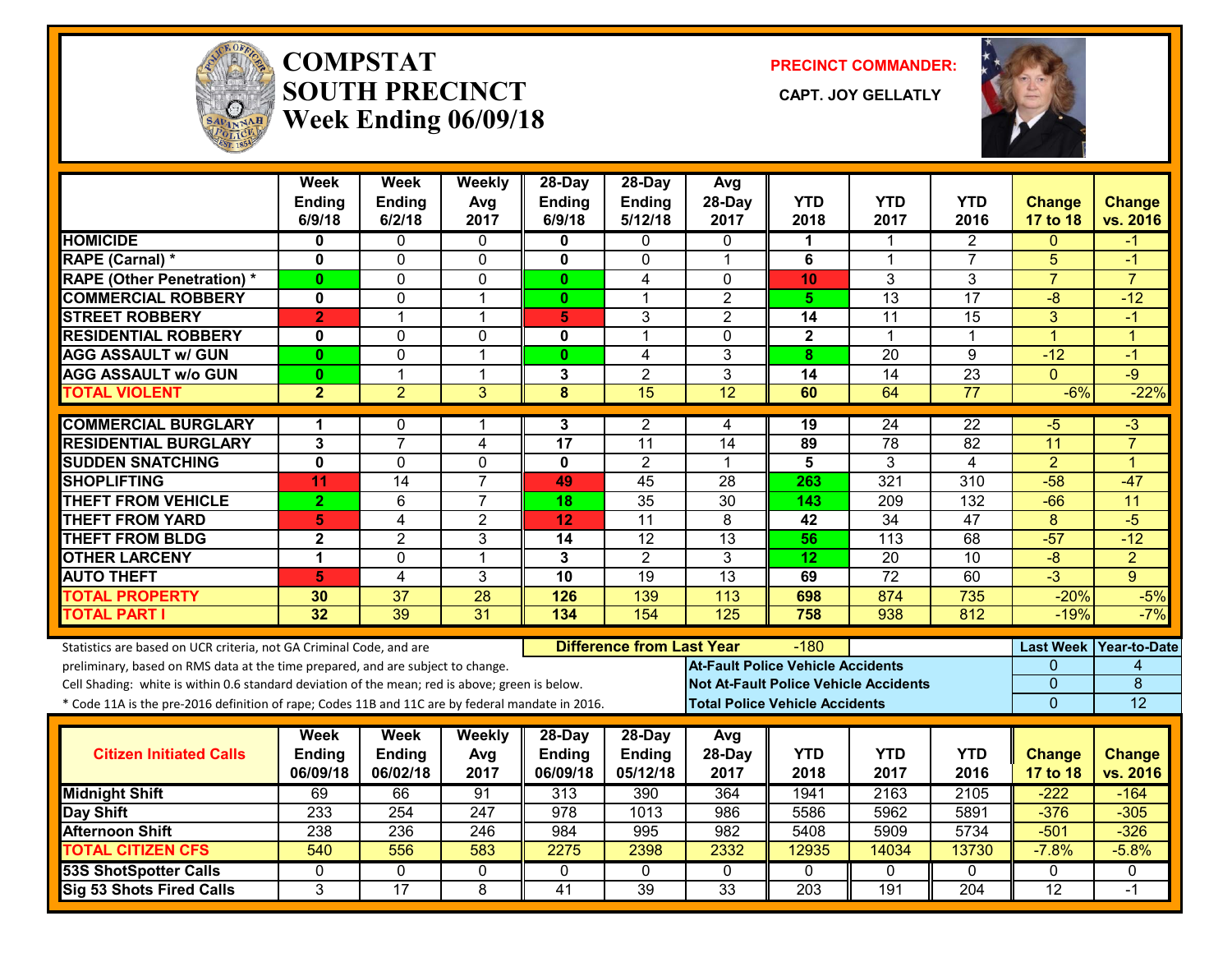

#### **COMPSTATSOUTH PRECINCT** CAPT. JOY GELLATLY **Week Ending 06/09/18**

**PRECINCT COMMANDER:**



|                                                                                                  | <b>Week</b><br>Ending   | <b>Week</b><br>Ending | Weekly<br>Avg  | 28-Day<br><b>Ending</b> | 28-Day<br>Ending                 | Avg<br>28-Day   | <b>YTD</b>                               | <b>YTD</b>                                   | <b>YTD</b>      | <b>Change</b>   | <b>Change</b>          |
|--------------------------------------------------------------------------------------------------|-------------------------|-----------------------|----------------|-------------------------|----------------------------------|-----------------|------------------------------------------|----------------------------------------------|-----------------|-----------------|------------------------|
|                                                                                                  | 6/9/18                  | 6/2/18                | 2017           | 6/9/18                  | 5/12/18                          | 2017            | 2018                                     | 2017                                         | 2016            | 17 to 18        | vs. 2016               |
| <b>HOMICIDE</b>                                                                                  | 0                       | 0                     | $\Omega$       | 0                       | 0                                | 0               | 1                                        | $\mathbf 1$                                  | 2               | $\Omega$        | -1                     |
| <b>RAPE (Carnal) *</b>                                                                           | $\mathbf{0}$            | 0                     | $\mathbf 0$    | $\mathbf{0}$            | 0                                | $\mathbf{1}$    | 6                                        | $\mathbf 1$                                  | $\overline{7}$  | 5               | $-1$                   |
| <b>RAPE (Other Penetration)*</b>                                                                 | $\mathbf{0}$            | 0                     | $\mathbf 0$    | $\mathbf{0}$            | 4                                | $\Omega$        | 10                                       | 3                                            | 3               | $\overline{7}$  | $\overline{7}$         |
| <b>COMMERCIAL ROBBERY</b>                                                                        | 0                       | 0                     | $\mathbf 1$    | $\mathbf{0}$            | 1                                | $\overline{c}$  | 5.                                       | 13                                           | 17              | $-8$            | $-12$                  |
| <b>STREET ROBBERY</b>                                                                            | $\overline{2}$          | $\mathbf{1}$          | $\mathbf{1}$   | 5                       | 3                                | $\overline{2}$  | 14                                       | 11                                           | 15              | 3               | $-1$                   |
| <b>RESIDENTIAL ROBBERY</b>                                                                       | $\mathbf 0$             | 0                     | $\mathbf{0}$   | 0                       | 1                                | $\mathbf{0}$    | $\mathbf{2}$                             | 1                                            | 1               | $\overline{1}$  | 1                      |
| <b>AGG ASSAULT w/ GUN</b>                                                                        | 0                       | 0                     | $\overline{1}$ | $\mathbf{0}$            | 4                                | 3               | 8                                        | 20                                           | 9               | $-12$           | $-1$                   |
| <b>AGG ASSAULT w/o GUN</b>                                                                       | $\mathbf{0}$            | $\mathbf{1}$          | $\mathbf{1}$   | 3                       | $\overline{2}$                   | 3               | 14                                       | 14                                           | $\overline{23}$ | $\overline{0}$  | $-9$                   |
| <b>TOTAL VIOLENT</b>                                                                             | $\overline{2}$          | $\overline{2}$        | 3              | $\overline{\mathbf{8}}$ | $\overline{15}$                  | 12              | 60                                       | 64                                           | $\overline{77}$ | $-6%$           | $-22%$                 |
| <b>COMMERCIAL BURGLARY</b>                                                                       | 1                       | 0                     | -1             | 3                       | $\overline{2}$                   | 4               | 19                                       | 24                                           | 22              | $-5$            | $-3$                   |
| <b>RESIDENTIAL BURGLARY</b>                                                                      | 3                       | $\overline{7}$        | $\overline{4}$ | 17                      | 11                               | 14              | 89                                       | $\overline{78}$                              | 82              | $\overline{11}$ | $\overline{7}$         |
| <b>SUDDEN SNATCHING</b>                                                                          | $\overline{\mathbf{0}}$ | 0                     | $\mathbf 0$    | 0                       | $\overline{2}$                   | 1               | $\overline{\mathbf{5}}$                  | 3                                            | $\overline{4}$  | $\overline{2}$  | 1                      |
| <b>SHOPLIFTING</b>                                                                               | 11                      | 14                    | $\overline{7}$ | 49                      | 45                               | 28              | 263                                      | 321                                          | 310             | $-58$           | $-47$                  |
| <b>THEFT FROM VEHICLE</b>                                                                        | $\overline{2}$          | 6                     | $\overline{7}$ | 18                      | $\overline{35}$                  | $\overline{30}$ | 143                                      | 209                                          | 132             | $-66$           | 11                     |
| <b>THEFT FROM YARD</b>                                                                           | 5                       | $\overline{4}$        | $\overline{2}$ | 12                      | 11                               | $\overline{8}$  | 42                                       | 34                                           | 47              | $\overline{8}$  | $-5$                   |
| <b>THEFT FROM BLDG</b>                                                                           | $\overline{\mathbf{2}}$ | $\overline{2}$        | 3              | 14                      | 12                               | 13              | 56                                       | 113                                          | 68              | $-57$           | $-12$                  |
| <b>OTHER LARCENY</b>                                                                             | $\mathbf 1$             | $\Omega$              | $\overline{1}$ | 3                       | $\overline{2}$                   | 3               | $\overline{12}$                          | $\overline{20}$                              | $\overline{10}$ | $-8$            | $\overline{2}$         |
| <b>AUTO THEFT</b>                                                                                | 5                       | 4                     | 3              | $\overline{10}$         | $\overline{19}$                  | $\overline{13}$ | 69                                       | $\overline{72}$                              | 60              | $-3$            | $\overline{9}$         |
| <b>TOTAL PROPERTY</b>                                                                            | 30                      | 37                    | 28             | 126                     | 139                              | 113             | 698                                      | 874                                          | 735             | $-20%$          | $-5%$                  |
| <b>TOTAL PART I</b>                                                                              | $\overline{32}$         | 39                    | 31             | $\frac{1}{134}$         | 154                              | 125             | 758                                      | 938                                          | 812             | $-19%$          | $-7%$                  |
| Statistics are based on UCR criteria, not GA Criminal Code, and are                              |                         |                       |                |                         | <b>Difference from Last Year</b> |                 | $-180$                                   |                                              |                 |                 | Last Week Year-to-Date |
| preliminary, based on RMS data at the time prepared, and are subject to change.                  |                         |                       |                |                         |                                  |                 | <b>At-Fault Police Vehicle Accidents</b> |                                              |                 | 0               | 4                      |
| Cell Shading: white is within 0.6 standard deviation of the mean; red is above; green is below.  |                         |                       |                |                         |                                  |                 |                                          | <b>Not At-Fault Police Vehicle Accidents</b> |                 | 0               | 8                      |
| * Code 11A is the pre-2016 definition of rape; Codes 11B and 11C are by federal mandate in 2016. |                         |                       |                |                         |                                  |                 | <b>Total Police Vehicle Accidents</b>    |                                              |                 | $\overline{0}$  | 12                     |
|                                                                                                  |                         |                       |                |                         |                                  |                 |                                          |                                              |                 |                 |                        |
|                                                                                                  | Week                    | Week                  | Weekly         | 28-Day                  | 28-Day                           | Avg             |                                          |                                              |                 |                 |                        |
| <b>Citizen Initiated Calls</b>                                                                   | Ending                  | Ending                | Avg            | <b>Ending</b>           | Ending                           | 28-Day          | <b>YTD</b>                               | <b>YTD</b>                                   | <b>YTD</b>      | <b>Change</b>   | <b>Change</b>          |
|                                                                                                  | 06/09/18                | 06/02/18              | 2017           | 06/09/18                | 05/12/18                         | 2017            | 2018                                     | 2017                                         | 2016            | 17 to 18        | vs. 2016               |
| <b>Midnight Shift</b>                                                                            | 69                      | 66                    | 91             | $\overline{313}$        | 390                              | 364             | 1941                                     | 2163                                         | 2105            | $-222$          | $-164$                 |
| Day Shift                                                                                        | 233                     | 254                   | 247            | 978                     | 1013                             | 986             | 5586                                     | 5962                                         | 5891            | $-376$          | $-305$                 |
| <b>Afternoon Shift</b>                                                                           | 238                     | 236                   | 246            | 984                     | 995                              | 982             | 5408                                     | 5909                                         | 5734            | $-501$          | $-326$                 |
| <b>TOTAL CITIZEN CFS</b>                                                                         | $\overline{540}$        | 556                   | 583            | 2275                    | 2398                             | 2332            | 12935                                    | 14034                                        | 13730           | $-7.8%$         | $-5.8%$                |
| <b>53S ShotSpotter Calls</b>                                                                     | $\mathbf{0}$            | 0                     | 0              | $\mathbf{0}$            | $\mathbf{0}$                     | $\mathbf{0}$    | $\mathbf{0}$                             | $\mathbf{0}$                                 | $\Omega$        | 0               | 0                      |
| <b>Sig 53 Shots Fired Calls</b>                                                                  | 3                       | $\overline{17}$       | 8              | 41                      | $\overline{39}$                  | $\overline{33}$ | $\overline{203}$                         | 191                                          | 204             | $\overline{12}$ | $-1$                   |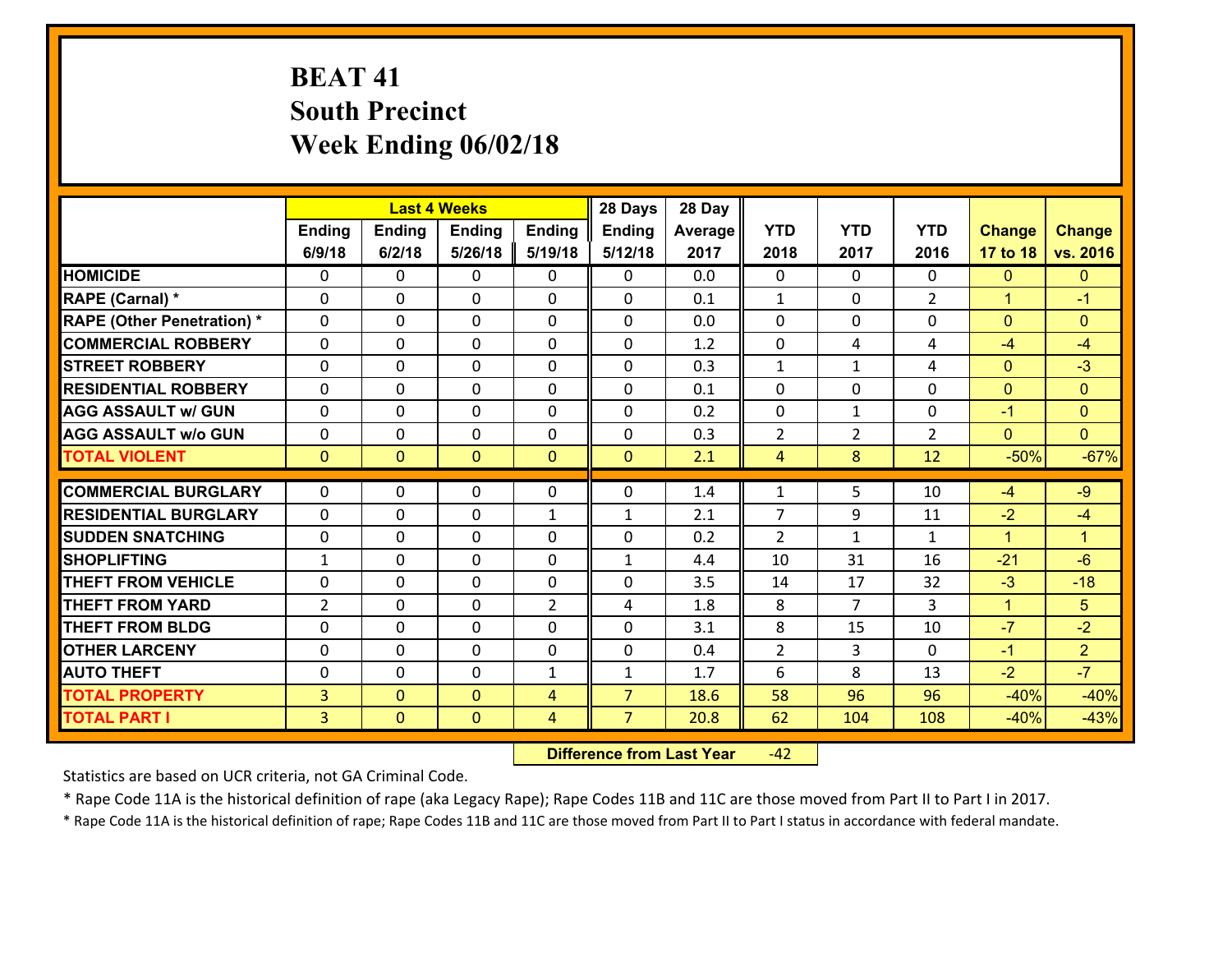# **BEAT 41 South Precinct Week Ending 06/02/18**

|                                   |                |                | <b>Last 4 Weeks</b> |                | 28 Days        | 28 Day  |                |                |                |               |                      |
|-----------------------------------|----------------|----------------|---------------------|----------------|----------------|---------|----------------|----------------|----------------|---------------|----------------------|
|                                   | Ending         | <b>Ending</b>  | <b>Ending</b>       | <b>Ending</b>  | <b>Ending</b>  | Average | <b>YTD</b>     | <b>YTD</b>     | <b>YTD</b>     | <b>Change</b> | <b>Change</b>        |
|                                   | 6/9/18         | 6/2/18         | 5/26/18             | 5/19/18        | 5/12/18        | 2017    | 2018           | 2017           | 2016           | 17 to 18      | vs. 2016             |
| <b>HOMICIDE</b>                   | $\Omega$       | 0              | $\mathbf{0}$        | 0              | 0              | 0.0     | $\mathbf 0$    | $\Omega$       | $\Omega$       | $\mathbf{0}$  | $\mathbf{0}$         |
| RAPE (Carnal) *                   | 0              | 0              | $\mathbf{0}$        | 0              | $\Omega$       | 0.1     | 1              | 0              | $\overline{2}$ | $\mathbf{1}$  | $-1$                 |
| <b>RAPE (Other Penetration) *</b> | $\Omega$       | $\Omega$       | $\Omega$            | $\Omega$       | $\Omega$       | 0.0     | $\Omega$       | $\Omega$       | $\Omega$       | $\mathbf{0}$  | $\Omega$             |
| <b>COMMERCIAL ROBBERY</b>         | $\Omega$       | $\Omega$       | $\mathbf 0$         | $\Omega$       | 0              | 1.2     | $\mathbf 0$    | 4              | 4              | $-4$          | $-4$                 |
| <b>STREET ROBBERY</b>             | 0              | 0              | $\mathbf 0$         | 0              | 0              | 0.3     | $\mathbf{1}$   | $\mathbf{1}$   | 4              | $\mathbf{0}$  | $-3$                 |
| <b>RESIDENTIAL ROBBERY</b>        | $\Omega$       | 0              | $\mathbf 0$         | 0              | 0              | 0.1     | $\mathbf 0$    | $\mathbf{0}$   | 0              | $\mathbf{0}$  | $\mathbf{0}$         |
| <b>AGG ASSAULT w/ GUN</b>         | 0              | 0              | $\mathbf 0$         | 0              | 0              | 0.2     | $\mathbf 0$    | $\mathbf{1}$   | 0              | $-1$          | $\overline{0}$       |
| <b>AGG ASSAULT w/o GUN</b>        | 0              | 0              | $\mathbf 0$         | 0              | 0              | 0.3     | $\overline{2}$ | $\overline{2}$ | $\overline{2}$ | $\mathbf{0}$  | $\overline{0}$       |
| <b>TOTAL VIOLENT</b>              | $\mathbf{0}$   | $\overline{0}$ | $\mathbf{0}$        | $\overline{0}$ | $\mathbf{0}$   | 2.1     | $\overline{4}$ | 8              | 12             | $-50%$        | $-67%$               |
| <b>COMMERCIAL BURGLARY</b>        | $\Omega$       |                |                     |                |                |         |                |                |                |               |                      |
|                                   |                | 0              | 0                   | 0              | $\Omega$       | 1.4     | 1              | 5              | 10             | $-4$          | $-9$                 |
| <b>RESIDENTIAL BURGLARY</b>       | $\Omega$       | 0              | $\mathbf 0$         | $\mathbf{1}$   | 1              | 2.1     | $\overline{7}$ | 9              | 11             | $-2$          | $-4$                 |
| <b>SUDDEN SNATCHING</b>           | $\Omega$       | 0              | $\mathbf 0$         | $\Omega$       | 0              | 0.2     | $\mathcal{L}$  | $\mathbf{1}$   | $\mathbf{1}$   | $\mathbf{1}$  | $\blacktriangleleft$ |
| <b>SHOPLIFTING</b>                | $\mathbf{1}$   | 0              | $\mathbf 0$         | $\Omega$       | $\mathbf{1}$   | 4.4     | 10             | 31             | 16             | $-21$         | $-6$                 |
| <b>THEFT FROM VEHICLE</b>         | $\mathbf{0}$   | 0              | 0                   | 0              | $\Omega$       | 3.5     | 14             | 17             | 32             | $-3$          | $-18$                |
| <b>THEFT FROM YARD</b>            | $\overline{2}$ | 0              | $\mathbf 0$         | $\overline{2}$ | 4              | 1.8     | 8              | $\overline{7}$ | 3              | $\mathbf{1}$  | 5                    |
| <b>THEFT FROM BLDG</b>            | 0              | 0              | $\mathbf 0$         | 0              | 0              | 3.1     | 8              | 15             | 10             | $-7$          | $-2$                 |
| <b>OTHER LARCENY</b>              | 0              | 0              | $\mathbf 0$         | 0              | 0              | 0.4     | $\overline{2}$ | 3              | $\Omega$       | $-1$          | 2 <sup>1</sup>       |
| <b>AUTO THEFT</b>                 | 0              | 0              | $\mathbf 0$         | $\mathbf{1}$   | $\mathbf{1}$   | 1.7     | 6              | 8              | 13             | $-2$          | $-7$                 |
| <b>TOTAL PROPERTY</b>             | 3              | $\overline{0}$ | $\mathbf{O}$        | 4              | $\overline{7}$ | 18.6    | 58             | 96             | 96             | $-40%$        | $-40%$               |
| <b>TOTAL PART I</b>               | $\overline{3}$ | $\overline{0}$ | $\mathbf{0}$        | 4              | $\overline{7}$ | 20.8    | 62             | 104            | 108            | $-40%$        | $-43%$               |

 **Difference from Last Year**r -42

Statistics are based on UCR criteria, not GA Criminal Code.

\* Rape Code 11A is the historical definition of rape (aka Legacy Rape); Rape Codes 11B and 11C are those moved from Part II to Part I in 2017.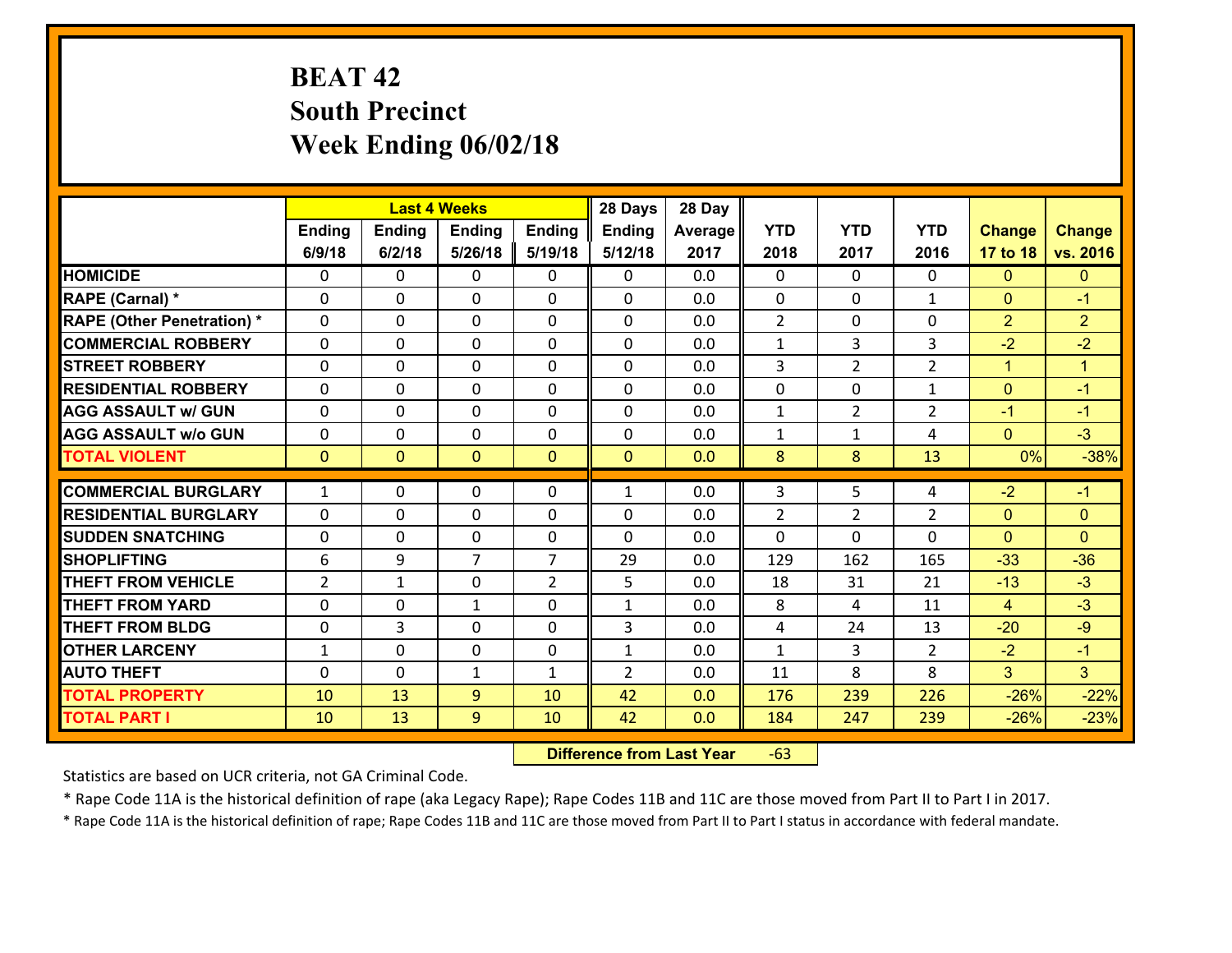# **BEAT 42 South Precinct Week Ending 06/02/18**

|                                              |                   |                | <b>Last 4 Weeks</b> |                   | 28 Days                        | 28 Day     |                |                |                     |                  |                        |
|----------------------------------------------|-------------------|----------------|---------------------|-------------------|--------------------------------|------------|----------------|----------------|---------------------|------------------|------------------------|
|                                              | Ending            | <b>Ending</b>  | <b>Ending</b>       | <b>Ending</b>     | <b>Ending</b>                  | Average    | <b>YTD</b>     | <b>YTD</b>     | <b>YTD</b>          | <b>Change</b>    | <b>Change</b>          |
|                                              | 6/9/18            | 6/2/18         | 5/26/18             | 5/19/18           | 5/12/18                        | 2017       | 2018           | 2017           | 2016                | 17 to 18         | vs. 2016               |
| <b>HOMICIDE</b>                              | $\Omega$          | 0              | $\mathbf{0}$        | 0                 | 0                              | 0.0        | $\Omega$       | $\Omega$       | $\Omega$            | $\mathbf{0}$     | $\mathbf{0}$           |
| RAPE (Carnal) *                              | $\Omega$          | 0              | $\mathbf{0}$        | 0                 | 0                              | 0.0        | $\mathbf{0}$   | $\Omega$       | $\mathbf{1}$        | $\mathbf{0}$     | $-1$                   |
| <b>RAPE (Other Penetration) *</b>            | $\Omega$          | $\Omega$       | $\Omega$            | $\Omega$          | $\Omega$                       | 0.0        | 2              | $\Omega$       | $\Omega$            | $\overline{2}$   | $\overline{2}$         |
| <b>COMMERCIAL ROBBERY</b>                    | 0                 | 0              | $\mathbf 0$         | 0                 | 0                              | 0.0        | $\mathbf{1}$   | 3              | 3                   | $-2$             | $-2$                   |
| <b>STREET ROBBERY</b>                        | $\Omega$          | 0              | $\mathbf 0$         | $\Omega$          | 0                              | 0.0        | 3              | $\overline{2}$ | $\overline{2}$      | $\mathbf{1}$     | $\blacktriangleleft$   |
| <b>RESIDENTIAL ROBBERY</b>                   | $\Omega$          | $\Omega$       | $\mathbf 0$         | $\Omega$          | $\Omega$                       | 0.0        | 0              | $\Omega$       | $\mathbf{1}$        | $\overline{0}$   | $-1$                   |
| <b>AGG ASSAULT w/ GUN</b>                    | $\Omega$          | 0              | $\mathbf 0$         | $\Omega$          | $\Omega$                       | 0.0        | $\mathbf{1}$   | $\overline{2}$ | $\overline{2}$      | $-1$             | $-1$                   |
| <b>AGG ASSAULT w/o GUN</b>                   | 0                 | 0              | $\mathbf 0$         | 0                 | 0                              | 0.0        | $\mathbf{1}$   | $\mathbf{1}$   | 4                   | $\overline{0}$   | $-3$                   |
| <b>TOTAL VIOLENT</b>                         | $\mathbf{0}$      | $\overline{0}$ | $\mathbf{0}$        | $\mathbf{0}$      | $\mathbf{0}$                   | 0.0        | 8              | 8              | 13                  | 0%               | $-38%$                 |
|                                              |                   |                |                     |                   |                                |            |                |                |                     |                  |                        |
|                                              |                   |                |                     |                   |                                |            |                |                |                     |                  |                        |
| <b>COMMERCIAL BURGLARY</b>                   | $\mathbf{1}$      | 0              | 0                   | 0                 | $\mathbf{1}$                   | 0.0        | 3              | 5              | 4                   | $-2$             | $-1$                   |
| <b>RESIDENTIAL BURGLARY</b>                  | $\Omega$          | 0              | $\mathbf{0}$        | 0                 | 0                              | 0.0        | $\overline{2}$ | 2              | $\overline{2}$      | $\mathbf{0}$     | $\mathbf{0}$           |
| <b>SUDDEN SNATCHING</b>                      | $\Omega$          | 0              | $\mathbf{0}$        | $\Omega$          | $\Omega$                       | 0.0        | $\Omega$       | 0              | $\Omega$            | $\Omega$         | $\Omega$               |
| <b>SHOPLIFTING</b>                           | 6                 | 9              | $\overline{7}$      | $\overline{7}$    | 29                             | 0.0        | 129            | 162            | 165                 | $-33$            | $-36$                  |
| <b>THEFT FROM VEHICLE</b>                    | $\overline{2}$    | 1              | $\mathbf{0}$        | $\overline{2}$    | 5                              | 0.0        | 18             | 31             | 21                  | $-13$            | $-3$                   |
| <b>THEFT FROM YARD</b>                       | 0                 | 0              | 1                   | $\Omega$<br>0     | $\mathbf{1}$                   | 0.0        | 8<br>4         | 4              | 11                  | 4                | $-3$                   |
| <b>THEFT FROM BLDG</b>                       | 0                 | 3              | $\mathbf 0$         |                   | 3                              | 0.0        |                | 24             | 13                  | $-20$            | $-9$                   |
| <b>OTHER LARCENY</b><br><b>AUTO THEFT</b>    | $\mathbf{1}$<br>0 | 0<br>0         | $\mathbf 0$         | 0<br>$\mathbf{1}$ | $\mathbf{1}$<br>$\overline{2}$ | 0.0<br>0.0 | $\mathbf{1}$   | 3<br>8         | $\overline{2}$<br>8 | $-2$<br>3        | $-1$<br>3 <sup>1</sup> |
|                                              |                   |                | 1                   |                   |                                | 0.0        | 11             |                | 226                 |                  |                        |
| <b>TOTAL PROPERTY</b><br><b>TOTAL PART I</b> | 10<br>10          | 13<br>13       | 9<br>9              | 10<br>10          | 42<br>42                       | 0.0        | 176<br>184     | 239<br>247     | 239                 | $-26%$<br>$-26%$ | $-22%$<br>$-23%$       |

 **Difference from Last Year**r -63

Statistics are based on UCR criteria, not GA Criminal Code.

\* Rape Code 11A is the historical definition of rape (aka Legacy Rape); Rape Codes 11B and 11C are those moved from Part II to Part I in 2017.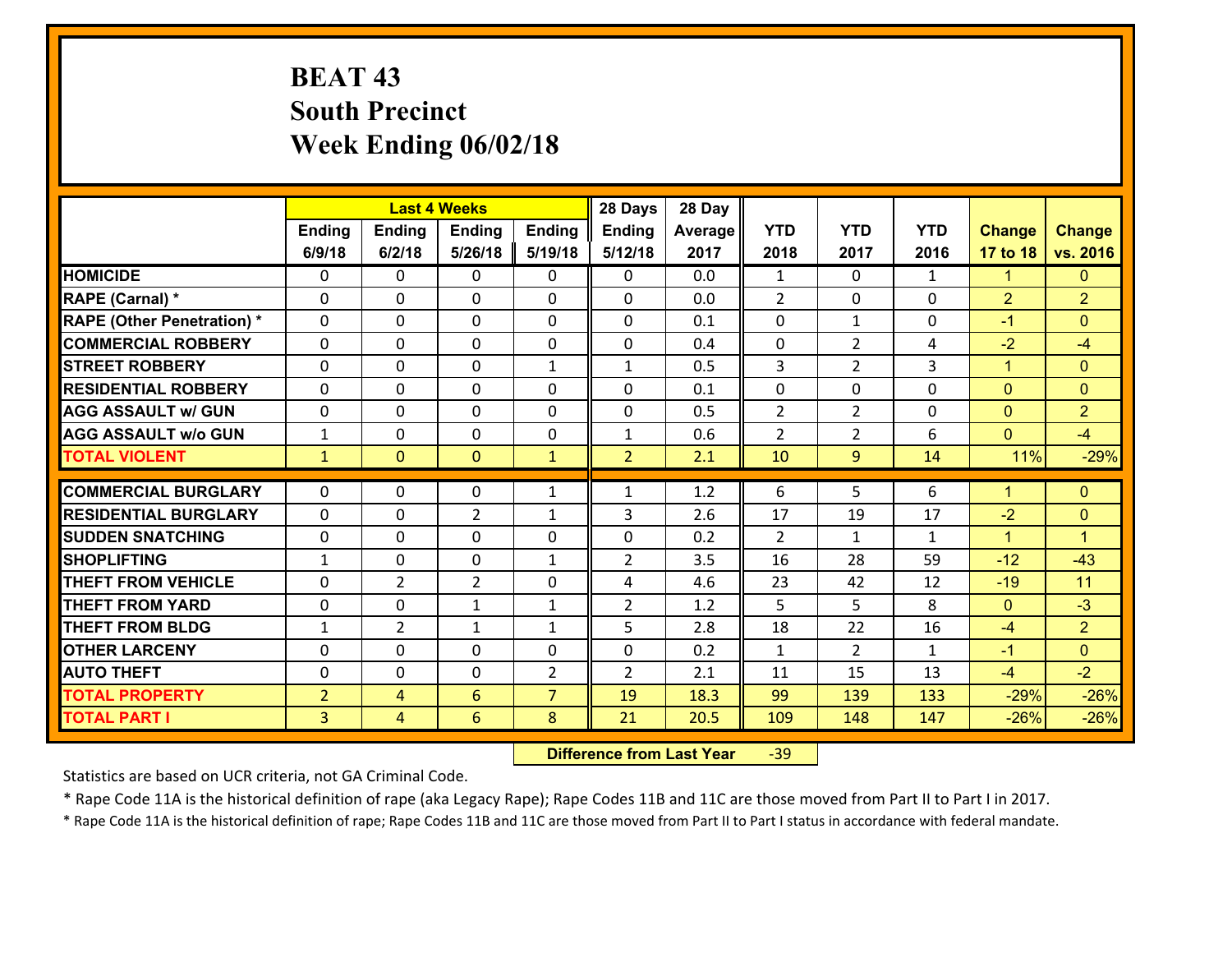# **BEAT 43 South Precinct Week Ending 06/02/18**

|                                   |                |                | <b>Last 4 Weeks</b> |                | 28 Days        | 28 Day  |                |                |              |                |                      |
|-----------------------------------|----------------|----------------|---------------------|----------------|----------------|---------|----------------|----------------|--------------|----------------|----------------------|
|                                   | Ending         | <b>Ending</b>  | <b>Ending</b>       | Ending         | <b>Ending</b>  | Average | <b>YTD</b>     | <b>YTD</b>     | <b>YTD</b>   | <b>Change</b>  | <b>Change</b>        |
|                                   | 6/9/18         | 6/2/18         | 5/26/18             | 5/19/18        | 5/12/18        | 2017    | 2018           | 2017           | 2016         | 17 to 18       | vs. 2016             |
| <b>HOMICIDE</b>                   | $\Omega$       | 0              | $\Omega$            | 0              | $\Omega$       | 0.0     | 1              | $\Omega$       | $\mathbf{1}$ | $\mathbf{1}$   | $\mathbf{0}$         |
| RAPE (Carnal) *                   | 0              | 0              | $\mathbf{0}$        | 0              | 0              | 0.0     | 2              | 0              | 0            | $\overline{2}$ | $\overline{2}$       |
| <b>RAPE (Other Penetration) *</b> | $\Omega$       | 0              | $\mathbf{0}$        | $\Omega$       | 0              | 0.1     | $\Omega$       | $\mathbf{1}$   | $\Omega$     | $-1$           | $\Omega$             |
| <b>COMMERCIAL ROBBERY</b>         | 0              | 0              | $\mathbf 0$         | 0              | 0              | 0.4     | $\mathbf{0}$   | $\overline{2}$ | 4            | $-2$           | $-4$                 |
| <b>STREET ROBBERY</b>             | $\Omega$       | 0              | $\mathbf 0$         | $\mathbf{1}$   | $\mathbf{1}$   | 0.5     | $\overline{3}$ | $\overline{2}$ | 3            | $\mathbf{1}$   | $\mathbf{0}$         |
| <b>RESIDENTIAL ROBBERY</b>        | $\Omega$       | $\Omega$       | $\mathbf 0$         | $\Omega$       | 0              | 0.1     | $\mathbf 0$    | 0              | $\Omega$     | $\mathbf{0}$   | $\overline{0}$       |
| <b>AGG ASSAULT w/ GUN</b>         | 0              | 0              | $\mathbf 0$         | $\Omega$       | 0              | 0.5     | $\overline{2}$ | $\overline{2}$ | 0            | $\mathbf{0}$   | $\overline{2}$       |
| <b>AGG ASSAULT w/o GUN</b>        | $\mathbf{1}$   | 0              | $\mathbf 0$         | 0              | $\mathbf{1}$   | 0.6     | $\overline{2}$ | $\overline{2}$ | 6            | $\mathbf{0}$   | $-4$                 |
| <b>TOTAL VIOLENT</b>              | $\mathbf{1}$   | $\overline{0}$ | $\mathbf{O}$        | $\mathbf{1}$   | $\overline{2}$ | 2.1     | 10             | 9              | 14           | 11%            | $-29%$               |
| <b>COMMERCIAL BURGLARY</b>        | $\Omega$       | 0              | $\mathbf{0}$        | $\mathbf{1}$   | $\mathbf{1}$   | 1.2     | 6              | 5.             | 6            | $\mathbf{1}$   | $\mathbf{0}$         |
|                                   |                |                |                     |                |                |         |                |                |              |                |                      |
| <b>RESIDENTIAL BURGLARY</b>       | 0              | 0              | $\overline{2}$      | $\mathbf{1}$   | 3              | 2.6     | 17             | 19             | 17           | $-2$           | $\mathbf{0}$         |
| <b>SUDDEN SNATCHING</b>           | 0              | 0              | $\mathbf 0$         | 0              | 0              | 0.2     | 2              | $\mathbf{1}$   | $\mathbf{1}$ | $\mathbf{1}$   | $\blacktriangleleft$ |
| <b>SHOPLIFTING</b>                | $\mathbf{1}$   | 0              | $\mathbf 0$         | $\mathbf{1}$   | $\overline{2}$ | 3.5     | 16             | 28             | 59           | $-12$          | $-43$                |
| <b>THEFT FROM VEHICLE</b>         | $\Omega$       | $\overline{2}$ | $\overline{2}$      | 0              | 4              | 4.6     | 23             | 42             | 12           | $-19$          | 11                   |
| <b>THEFT FROM YARD</b>            | $\mathbf 0$    | 0              | 1                   | $\mathbf{1}$   | $\overline{2}$ | 1.2     | 5              | 5              | 8            | $\mathbf{0}$   | $-3$                 |
| <b>THEFT FROM BLDG</b>            | $\mathbf{1}$   | $\overline{2}$ | 1                   | $\mathbf{1}$   | 5              | 2.8     | 18             | 22             | 16           | $-4$           | $\overline{2}$       |
| <b>OTHER LARCENY</b>              | 0              | 0              | $\mathbf 0$         | 0              | 0              | 0.2     | $\mathbf{1}$   | $\overline{2}$ | $\mathbf{1}$ | $-1$           | $\overline{0}$       |
| <b>AUTO THEFT</b>                 | 0              | 0              | $\mathbf{0}$        | 2              | $\overline{2}$ | 2.1     | 11             | 15             | 13           | $-4$           | $-2$                 |
| <b>TOTAL PROPERTY</b>             | $\overline{2}$ | 4              | 6                   | $\overline{7}$ | 19             | 18.3    | 99             | 139            | 133          | $-29%$         | $-26%$               |
| <b>TOTAL PART I</b>               | $\overline{3}$ | $\overline{4}$ | 6                   | 8              | 21             | 20.5    | 109            | 148            | 147          | $-26%$         | $-26%$               |

 **Difference from Last Year**r -39

Statistics are based on UCR criteria, not GA Criminal Code.

\* Rape Code 11A is the historical definition of rape (aka Legacy Rape); Rape Codes 11B and 11C are those moved from Part II to Part I in 2017.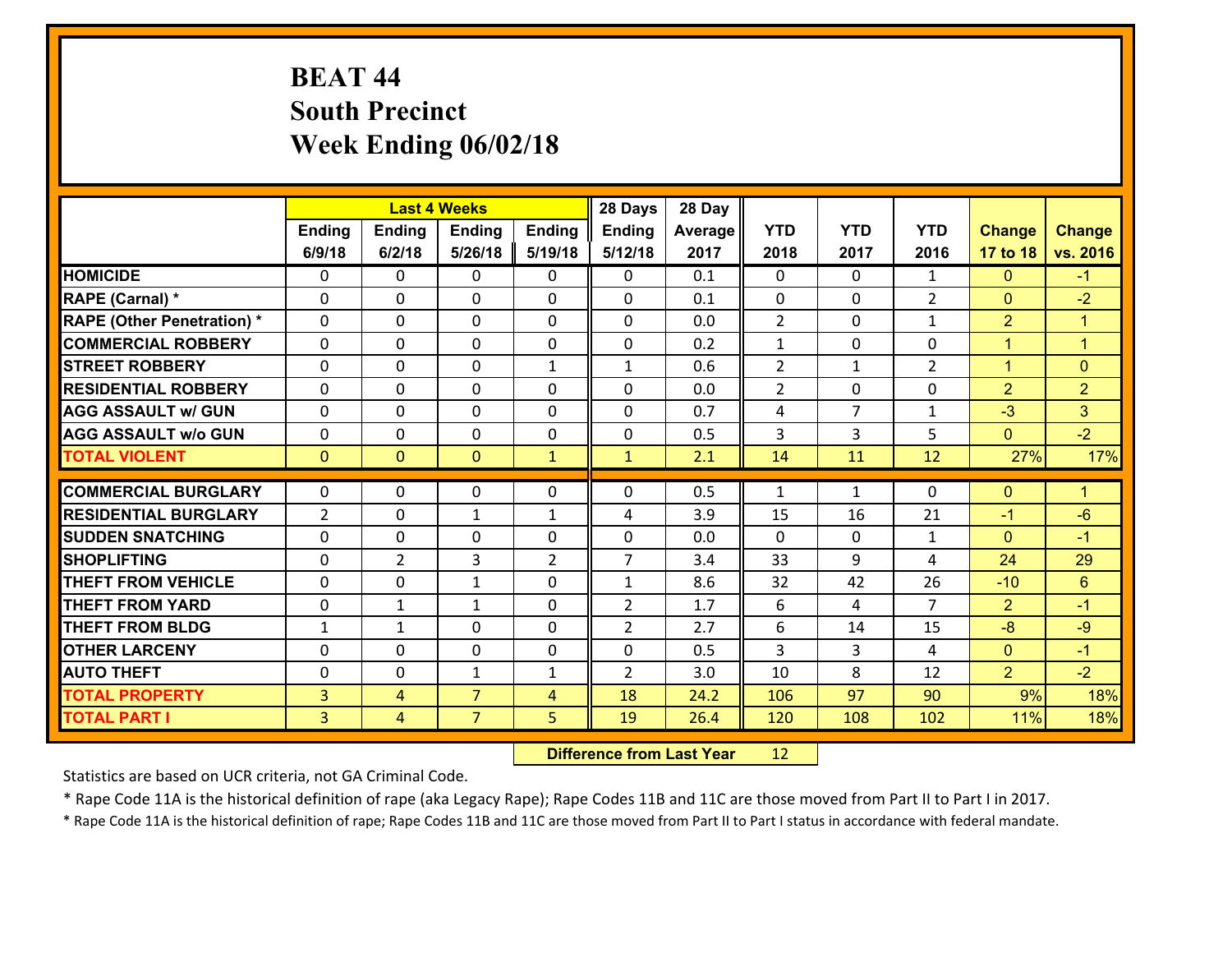# **BEAT 44 South Precinct Week Ending 06/02/18**

|                                   |                |                | <b>Last 4 Weeks</b> |                | 28 Days        | 28 Day  |                |                |                |                |                      |
|-----------------------------------|----------------|----------------|---------------------|----------------|----------------|---------|----------------|----------------|----------------|----------------|----------------------|
|                                   | Ending         | <b>Ending</b>  | <b>Ending</b>       | <b>Ending</b>  | <b>Ending</b>  | Average | <b>YTD</b>     | <b>YTD</b>     | <b>YTD</b>     | <b>Change</b>  | <b>Change</b>        |
|                                   | 6/9/18         | 6/2/18         | 5/26/18             | 5/19/18        | 5/12/18        | 2017    | 2018           | 2017           | 2016           | 17 to 18       | vs. 2016             |
| <b>HOMICIDE</b>                   | $\Omega$       | 0              | $\mathbf{0}$        | 0              | 0              | 0.1     | 0              | $\Omega$       | $\mathbf{1}$   | $\mathbf{0}$   | $-1$                 |
| RAPE (Carnal) *                   | 0              | 0              | $\mathbf{0}$        | 0              | $\Omega$       | 0.1     | $\mathbf{0}$   | 0              | $\overline{2}$ | $\mathbf{0}$   | $-2$                 |
| <b>RAPE (Other Penetration) *</b> | $\Omega$       | $\Omega$       | $\Omega$            | $\Omega$       | $\Omega$       | 0.0     | $\overline{2}$ | $\Omega$       | $\mathbf{1}$   | $\overline{2}$ | $\blacktriangleleft$ |
| <b>COMMERCIAL ROBBERY</b>         | $\Omega$       | $\Omega$       | $\mathbf 0$         | $\Omega$       | 0              | 0.2     | $\mathbf{1}$   | $\mathbf{0}$   | $\Omega$       | $\mathbf{1}$   | $\overline{1}$       |
| <b>STREET ROBBERY</b>             | 0              | 0              | $\mathbf 0$         | $\mathbf{1}$   | $\mathbf{1}$   | 0.6     | $\overline{2}$ | $\mathbf{1}$   | $\overline{2}$ | $\mathbf{1}$   | $\mathbf{0}$         |
| <b>RESIDENTIAL ROBBERY</b>        | $\Omega$       | 0              | $\mathbf 0$         | 0              | 0              | 0.0     | $\overline{2}$ | $\mathbf{0}$   | 0              | $\overline{2}$ | $\overline{2}$       |
| <b>AGG ASSAULT w/ GUN</b>         | 0              | 0              | $\mathbf 0$         | 0              | 0              | 0.7     | 4              | $\overline{7}$ | $\mathbf{1}$   | $-3$           | 3                    |
| <b>AGG ASSAULT w/o GUN</b>        | 0              | 0              | $\mathbf 0$         | 0              | 0              | 0.5     | 3              | $\overline{3}$ | 5              | $\mathbf{0}$   | $-2$                 |
| <b>TOTAL VIOLENT</b>              | $\mathbf{0}$   | $\overline{0}$ | $\mathbf{0}$        | $\mathbf{1}$   | $\mathbf{1}$   | 2.1     | 14             | 11             | 12             | 27%            | 17%                  |
|                                   |                |                |                     |                |                |         |                |                |                |                |                      |
| <b>COMMERCIAL BURGLARY</b>        | $\Omega$       | 0              | 0                   | 0              | $\Omega$       | 0.5     | 1              | $\mathbf{1}$   | 0              | $\mathbf{0}$   | $\mathbf{1}$         |
| <b>RESIDENTIAL BURGLARY</b>       | $\overline{2}$ | 0              | 1                   | $\mathbf{1}$   | 4              | 3.9     | 15             | 16             | 21             | $-1$           | $-6$                 |
| <b>SUDDEN SNATCHING</b>           | $\Omega$       | 0              | $\mathbf 0$         | $\Omega$       | $\Omega$       | 0.0     | $\Omega$       | $\Omega$       | $\mathbf{1}$   | $\Omega$       | $-1$                 |
| <b>SHOPLIFTING</b>                | $\Omega$       | $\overline{2}$ | 3                   | $\overline{2}$ | $\overline{7}$ | 3.4     | 33             | 9              | 4              | 24             | 29                   |
| <b>THEFT FROM VEHICLE</b>         | $\Omega$       | 0              | 1                   | 0              | $\mathbf{1}$   | 8.6     | 32             | 42             | 26             | $-10$          | 6                    |
| <b>THEFT FROM YARD</b>            | 0              | $\mathbf{1}$   | 1                   | 0              | $\overline{2}$ | 1.7     | 6              | 4              | $\overline{7}$ | $\overline{2}$ | $-1$                 |
| <b>THEFT FROM BLDG</b>            | $\mathbf{1}$   | $\mathbf{1}$   | $\mathbf 0$         | 0              | $\overline{2}$ | 2.7     | 6              | 14             | 15             | $-8$           | $-9$                 |
| <b>OTHER LARCENY</b>              | 0              | 0              | $\mathbf 0$         | 0              | 0              | 0.5     | 3              | 3              | 4              | $\mathbf{0}$   | $-1$                 |
| <b>AUTO THEFT</b>                 | 0              | 0              | 1                   | $\mathbf{1}$   | $\overline{2}$ | 3.0     | 10             | 8              | 12             | $\overline{2}$ | $-2$                 |
| <b>TOTAL PROPERTY</b>             | 3              | 4              | $\overline{7}$      | 4              | 18             | 24.2    | 106            | 97             | 90             | 9%             | 18%                  |
| <b>TOTAL PART I</b>               | $\overline{3}$ | $\overline{4}$ | $\overline{7}$      | 5              | 19             | 26.4    | 120            | 108            | 102            | 11%            | 18%                  |

 **Difference from Last Year**r 12

Statistics are based on UCR criteria, not GA Criminal Code.

\* Rape Code 11A is the historical definition of rape (aka Legacy Rape); Rape Codes 11B and 11C are those moved from Part II to Part I in 2017.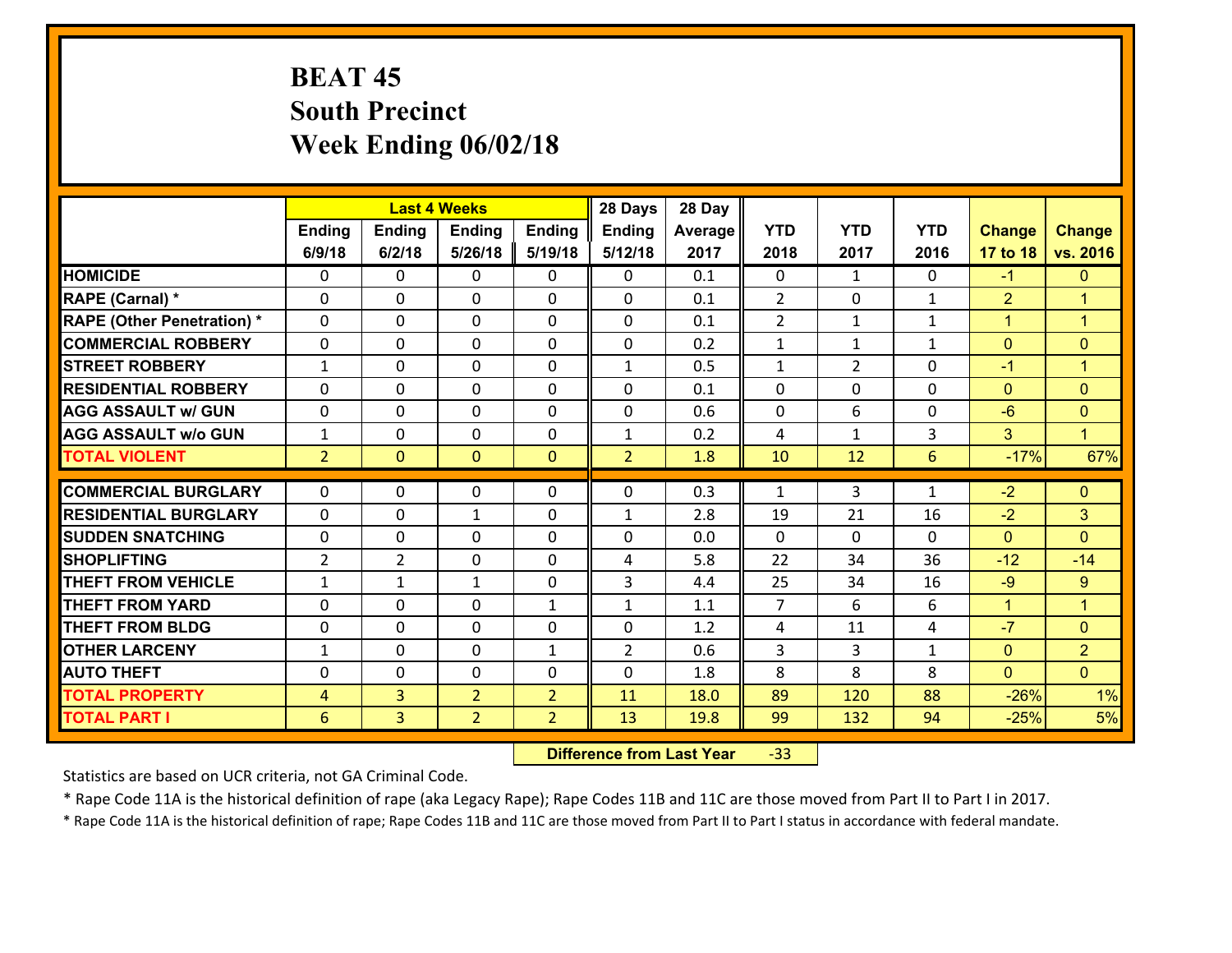# **BEAT 45 South Precinct Week Ending 06/02/18**

|                                   |                |                | <b>Last 4 Weeks</b> |                | 28 Days        | 28 Day  |                |                |              |                |                      |
|-----------------------------------|----------------|----------------|---------------------|----------------|----------------|---------|----------------|----------------|--------------|----------------|----------------------|
|                                   | Ending         | <b>Ending</b>  | <b>Ending</b>       | Ending         | <b>Ending</b>  | Average | <b>YTD</b>     | <b>YTD</b>     | <b>YTD</b>   | <b>Change</b>  | <b>Change</b>        |
|                                   | 6/9/18         | 6/2/18         | 5/26/18             | 5/19/18        | 5/12/18        | 2017    | 2018           | 2017           | 2016         | 17 to 18       | vs. 2016             |
| <b>HOMICIDE</b>                   | $\Omega$       | 0              | $\Omega$            | 0              | $\Omega$       | 0.1     | $\Omega$       | $\mathbf{1}$   | $\Omega$     | $-1$           | $\mathbf{0}$         |
| RAPE (Carnal) *                   | 0              | 0              | $\mathbf{0}$        | 0              | $\Omega$       | 0.1     | 2              | 0              | $\mathbf{1}$ | $\overline{2}$ | $\blacktriangleleft$ |
| <b>RAPE (Other Penetration) *</b> | $\Omega$       | 0              | $\mathbf{0}$        | $\Omega$       | 0              | 0.1     | $\overline{2}$ | $\mathbf{1}$   | $\mathbf{1}$ | $\mathbf{1}$   | $\blacktriangleleft$ |
| <b>COMMERCIAL ROBBERY</b>         | 0              | 0              | $\mathbf 0$         | 0              | 0              | 0.2     | $\mathbf{1}$   | $\mathbf{1}$   | $\mathbf{1}$ | $\mathbf{0}$   | $\mathbf{0}$         |
| <b>STREET ROBBERY</b>             | $\mathbf{1}$   | 0              | $\mathbf 0$         | 0              | $\mathbf{1}$   | 0.5     | $\mathbf 1$    | $\overline{2}$ | 0            | $-1$           | $\mathbf{1}$         |
| <b>RESIDENTIAL ROBBERY</b>        | $\Omega$       | $\Omega$       | $\mathbf 0$         | $\Omega$       | 0              | 0.1     | $\Omega$       | $\Omega$       | $\Omega$     | $\mathbf{0}$   | $\overline{0}$       |
| <b>AGG ASSAULT w/ GUN</b>         | 0              | 0              | $\mathbf 0$         | 0              | 0              | 0.6     | $\mathbf 0$    | 6              | 0            | $-6$           | $\overline{0}$       |
| <b>AGG ASSAULT w/o GUN</b>        | $\mathbf{1}$   | 0              | $\mathbf 0$         | 0              | $\mathbf{1}$   | 0.2     | 4              | $\mathbf{1}$   | 3            | 3              | $\mathbf{1}$         |
| <b>TOTAL VIOLENT</b>              | 2 <sup>1</sup> | $\overline{0}$ | $\mathbf{O}$        | $\mathbf{0}$   | $\overline{2}$ | 1.8     | 10             | 12             | 6            | $-17%$         | 67%                  |
| <b>COMMERCIAL BURGLARY</b>        | $\Omega$       | 0              | $\mathbf{0}$        | $\Omega$       | 0              | 0.3     | $\mathbf{1}$   | 3              | $\mathbf{1}$ | $-2$           | $\mathbf{0}$         |
|                                   |                |                |                     |                |                |         |                |                |              |                |                      |
| <b>RESIDENTIAL BURGLARY</b>       | 0              | 0              | $\mathbf{1}$        | 0              | $\mathbf{1}$   | 2.8     | 19             | 21             | 16           | $-2$           | 3                    |
| <b>SUDDEN SNATCHING</b>           | 0              | 0              | $\mathbf 0$         | 0              | 0              | 0.0     | $\mathbf 0$    | 0              | 0            | $\mathbf{0}$   | $\mathbf{0}$         |
| <b>SHOPLIFTING</b>                | $\overline{2}$ | $\overline{2}$ | $\mathbf 0$         | 0              | 4              | 5.8     | 22             | 34             | 36           | $-12$          | $-14$                |
| <b>THEFT FROM VEHICLE</b>         | $\mathbf{1}$   | $\mathbf{1}$   | 1                   | 0              | 3              | 4.4     | 25             | 34             | 16           | $-9$           | $\overline{9}$       |
| <b>THEFT FROM YARD</b>            | $\mathbf 0$    | 0              | $\mathbf 0$         | $\mathbf{1}$   | $\mathbf{1}$   | 1.1     | $\overline{7}$ | 6              | 6            | $\mathbf{1}$   | $\overline{1}$       |
| <b>THEFT FROM BLDG</b>            | 0              | 0              | $\mathbf 0$         | 0              | 0              | 1.2     | 4              | 11             | 4            | $-7$           | $\mathbf{0}$         |
| <b>OTHER LARCENY</b>              | $\mathbf{1}$   | 0              | $\mathbf 0$         | $\mathbf{1}$   | $\overline{2}$ | 0.6     | 3              | $\overline{3}$ | $\mathbf{1}$ | $\mathbf{0}$   | $\overline{2}$       |
| <b>AUTO THEFT</b>                 | 0              | 0              | $\mathbf{0}$        | 0              | 0              | 1.8     | 8              | 8              | 8            | $\mathbf{0}$   | $\overline{0}$       |
| <b>TOTAL PROPERTY</b>             | $\overline{4}$ | 3              | $\overline{2}$      | $\overline{2}$ | 11             | 18.0    | 89             | 120            | 88           | $-26%$         | 1%                   |
| <b>TOTAL PART I</b>               | 6              | $\overline{3}$ | $\overline{2}$      | $\overline{2}$ | 13             | 19.8    | 99             | 132            | 94           | $-25%$         | 5%                   |

 **Difference from Last Year**‐33

Statistics are based on UCR criteria, not GA Criminal Code.

\* Rape Code 11A is the historical definition of rape (aka Legacy Rape); Rape Codes 11B and 11C are those moved from Part II to Part I in 2017.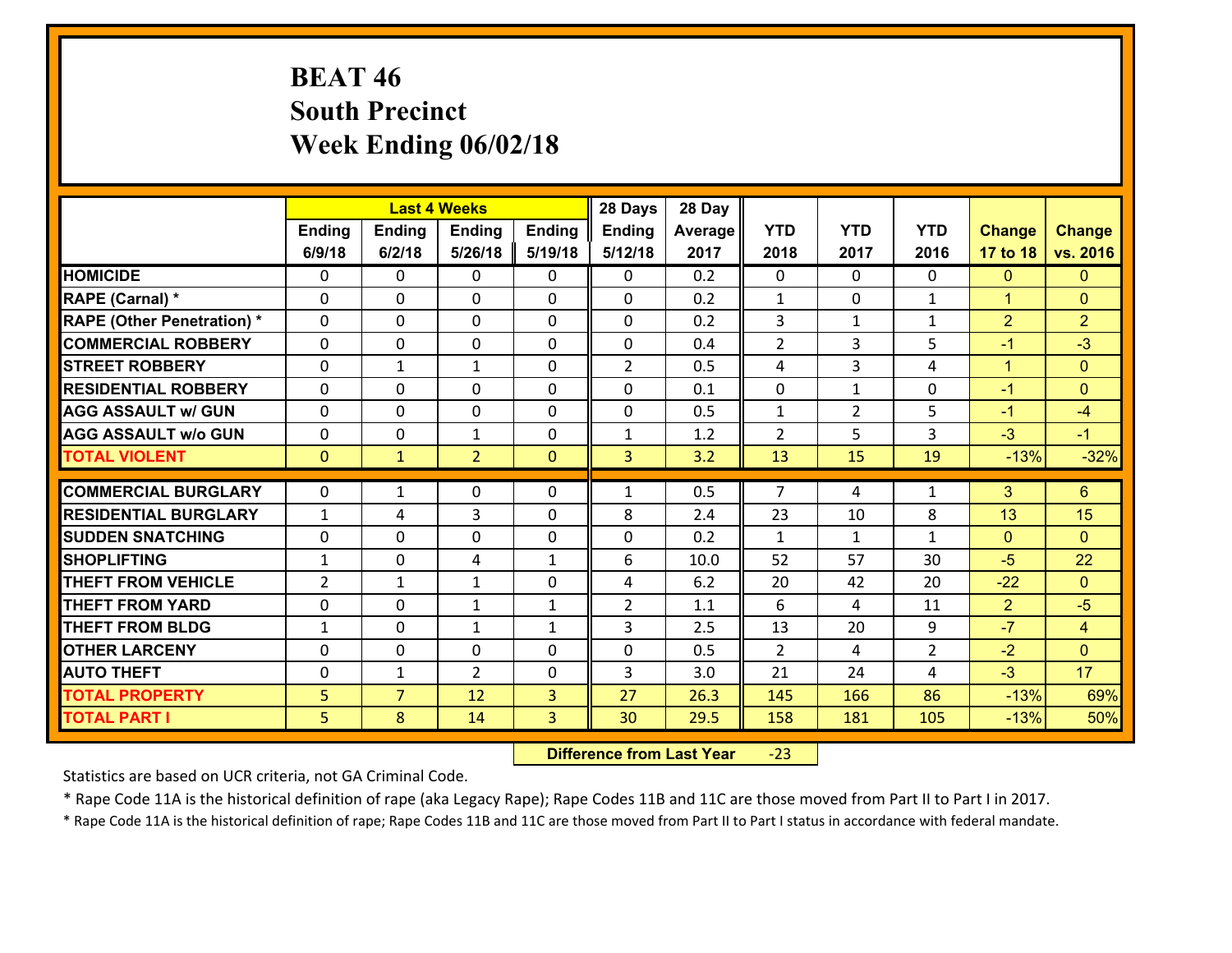# **BEAT 46 South Precinct Week Ending 06/02/18**

|                                              |                     |                     | <b>Last 4 Weeks</b> |                | 28 Days        | 28 Day       |                |                |                |                  |                |
|----------------------------------------------|---------------------|---------------------|---------------------|----------------|----------------|--------------|----------------|----------------|----------------|------------------|----------------|
|                                              | Ending              | <b>Ending</b>       | <b>Ending</b>       | <b>Ending</b>  | <b>Ending</b>  | Average      | <b>YTD</b>     | <b>YTD</b>     | <b>YTD</b>     | <b>Change</b>    | <b>Change</b>  |
|                                              | 6/9/18              | 6/2/18              | 5/26/18             | 5/19/18        | 5/12/18        | 2017         | 2018           | 2017           | 2016           | 17 to 18         | vs. 2016       |
| <b>HOMICIDE</b>                              | $\Omega$            | 0                   | 0                   | 0              | 0              | 0.2          | $\Omega$       | $\Omega$       | $\Omega$       | $\mathbf{0}$     | $\mathbf{0}$   |
| RAPE (Carnal) *                              | 0                   | 0                   | $\mathbf{0}$        | 0              | $\Omega$       | 0.2          | $\mathbf{1}$   | $\mathbf{0}$   | $\mathbf{1}$   | $\mathbf{1}$     | $\mathbf{0}$   |
| <b>RAPE (Other Penetration) *</b>            | 0                   | 0                   | $\mathbf{0}$        | 0              | $\Omega$       | 0.2          | 3              | $\mathbf{1}$   | $\mathbf{1}$   | $\overline{2}$   | $\overline{2}$ |
| <b>COMMERCIAL ROBBERY</b>                    | 0                   | 0                   | 0                   | $\Omega$       | $\Omega$       | 0.4          | $\overline{2}$ | 3              | 5              | $-1$             | $-3$           |
| <b>STREET ROBBERY</b>                        | $\Omega$            | 1                   | $\mathbf{1}$        | $\Omega$       | $\overline{2}$ | 0.5          | 4              | 3              | 4              | $\mathbf{1}$     | $\mathbf{0}$   |
| <b>RESIDENTIAL ROBBERY</b>                   | $\Omega$            | $\Omega$            | $\mathbf 0$         | $\Omega$       | 0              | 0.1          | $\mathbf 0$    | $\mathbf{1}$   | 0              | $-1$             | $\Omega$       |
| <b>AGG ASSAULT w/ GUN</b>                    | $\Omega$            | 0                   | $\mathbf 0$         | 0              | 0              | 0.5          | $\mathbf{1}$   | $\overline{2}$ | 5              | $-1$             | $-4$           |
| <b>AGG ASSAULT w/o GUN</b>                   | 0                   | 0                   | $\mathbf{1}$        | 0              | $\mathbf{1}$   | 1.2          | $\overline{2}$ | 5              | 3              | $-3$             | $-1$           |
| <b>TOTAL VIOLENT</b>                         | $\mathbf{0}$        | $\mathbf{1}$        | $\overline{2}$      | $\overline{0}$ | $\overline{3}$ | 3.2          | 13             | 15             | 19             | $-13%$           | $-32%$         |
| <b>COMMERCIAL BURGLARY</b>                   | $\Omega$            | 1                   | $\mathbf{0}$        | 0              | 1              | 0.5          | $\overline{7}$ | 4              | $\mathbf{1}$   | 3                | $6\phantom{1}$ |
| <b>RESIDENTIAL BURGLARY</b>                  | $\mathbf{1}$        | 4                   | 3                   | $\Omega$       | 8              | 2.4          | 23             | 10             | 8              | 13               | 15             |
|                                              |                     |                     |                     |                |                |              |                |                |                |                  |                |
|                                              |                     |                     |                     |                |                |              |                |                |                |                  |                |
| <b>SUDDEN SNATCHING</b>                      | 0                   | 0                   | $\mathbf 0$         | 0              | 0              | 0.2          | $\mathbf{1}$   | $\mathbf{1}$   | $\mathbf{1}$   | $\mathbf{0}$     | $\Omega$       |
| <b>SHOPLIFTING</b>                           | $\mathbf{1}$        | 0                   | 4                   | $\mathbf{1}$   | 6              | 10.0         | 52             | 57             | 30             | $-5$             | 22             |
| <b>THEFT FROM VEHICLE</b>                    | $\overline{2}$      | 1                   | 1                   | 0              | 4              | 6.2          | 20             | 42             | 20             | $-22$            | $\Omega$       |
| <b>THEFT FROM YARD</b>                       | 0                   | 0                   | $\mathbf{1}$        | $\mathbf{1}$   | $\overline{2}$ | 1.1          | 6              | 4              | 11             | $\overline{2}$   | $-5$           |
| <b>THEFT FROM BLDG</b>                       | $\mathbf{1}$        | 0                   | 1                   | $\mathbf{1}$   | 3              | 2.5          | 13             | 20             | 9              | $-7$             | $\overline{4}$ |
| <b>OTHER LARCENY</b>                         | $\mathbf 0$         | 0                   | $\mathbf 0$         | 0              | 0              | 0.5          | $\overline{2}$ | 4              | $\overline{2}$ | $-2$             | $\overline{0}$ |
| <b>AUTO THEFT</b>                            | 0                   | 1                   | $\overline{2}$      | 0              | 3              | 3.0          | 21             | 24             | 4              | $-3$             | 17             |
| <b>TOTAL PROPERTY</b><br><b>TOTAL PART I</b> | 5 <sup>1</sup><br>5 | $\overline{7}$<br>8 | 12<br>14            | 3<br>3         | 27<br>30       | 26.3<br>29.5 | 145<br>158     | 166<br>181     | 86<br>105      | $-13%$<br>$-13%$ | 69%<br>50%     |

 **Difference from Last Year**‐23

Statistics are based on UCR criteria, not GA Criminal Code.

\* Rape Code 11A is the historical definition of rape (aka Legacy Rape); Rape Codes 11B and 11C are those moved from Part II to Part I in 2017.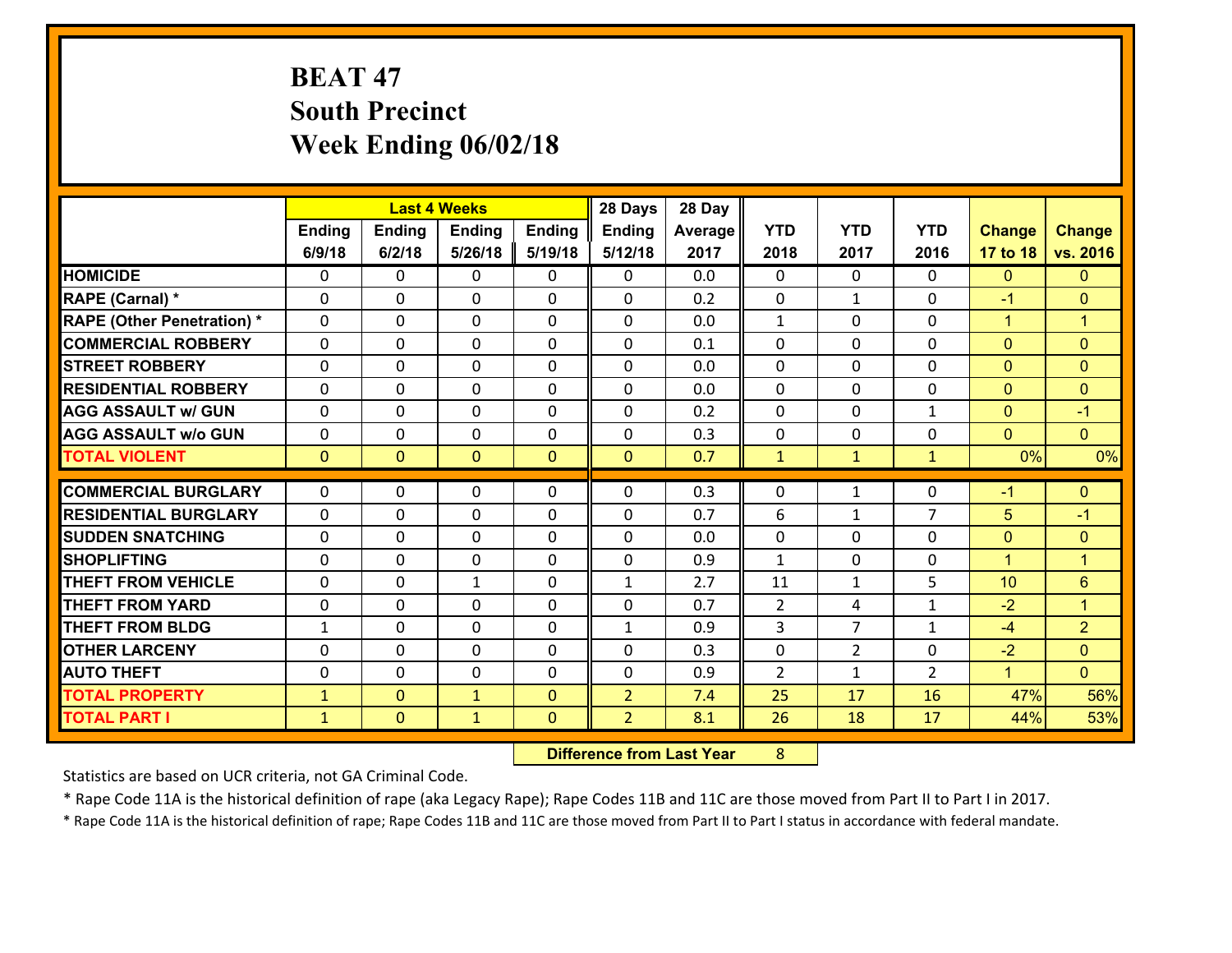# **BEAT 47 South Precinct Week Ending 06/02/18**

|                                   |              |                | <b>Last 4 Weeks</b> |                | 28 Days        | 28 Day  |              |                |                |                      |                      |
|-----------------------------------|--------------|----------------|---------------------|----------------|----------------|---------|--------------|----------------|----------------|----------------------|----------------------|
|                                   | Ending       | <b>Ending</b>  | <b>Ending</b>       | <b>Ending</b>  | <b>Ending</b>  | Average | <b>YTD</b>   | <b>YTD</b>     | <b>YTD</b>     | <b>Change</b>        | <b>Change</b>        |
|                                   | 6/9/18       | 6/2/18         | 5/26/18             | 5/19/18        | 5/12/18        | 2017    | 2018         | 2017           | 2016           | 17 to 18             | vs. 2016             |
| <b>HOMICIDE</b>                   | $\Omega$     | 0              | 0                   | 0              | 0              | 0.0     | $\Omega$     | $\Omega$       | 0              | $\mathbf{0}$         | $\mathbf{0}$         |
| RAPE (Carnal) *                   | 0            | 0              | $\mathbf 0$         | 0              | 0              | 0.2     | $\mathbf 0$  | $\mathbf{1}$   | $\Omega$       | $-1$                 | $\mathbf{0}$         |
| <b>RAPE (Other Penetration) *</b> | $\Omega$     | 0              | $\mathbf{0}$        | $\Omega$       | 0              | 0.0     | 1            | $\Omega$       | $\Omega$       | $\mathbf{1}$         | $\blacktriangleleft$ |
| <b>COMMERCIAL ROBBERY</b>         | $\Omega$     | $\Omega$       | $\mathbf 0$         | $\Omega$       | $\Omega$       | 0.1     | $\Omega$     | $\Omega$       | $\Omega$       | $\mathbf{0}$         | $\mathbf{0}$         |
| <b>STREET ROBBERY</b>             | $\Omega$     | 0              | $\mathbf{0}$        | $\Omega$       | $\Omega$       | 0.0     | $\Omega$     | $\Omega$       | $\Omega$       | $\mathbf{0}$         | $\mathbf{0}$         |
| <b>RESIDENTIAL ROBBERY</b>        | $\Omega$     | 0              | $\mathbf{0}$        | $\Omega$       | $\Omega$       | 0.0     | $\Omega$     | $\Omega$       | $\Omega$       | $\mathbf{0}$         | $\mathbf{0}$         |
| <b>AGG ASSAULT w/ GUN</b>         | 0            | 0              | $\mathbf 0$         | $\Omega$       | 0              | 0.2     | 0            | 0              | $\mathbf{1}$   | $\mathbf{0}$         | $-1$                 |
| <b>AGG ASSAULT w/o GUN</b>        | 0            | 0              | 0                   | 0              | 0              | 0.3     | 0            | $\mathbf{0}$   | $\Omega$       | $\mathbf{0}$         | $\overline{0}$       |
| <b>TOTAL VIOLENT</b>              | $\mathbf{0}$ | $\overline{0}$ | $\mathbf{0}$        | $\overline{0}$ | $\mathbf{0}$   | 0.7     | $\mathbf{1}$ | $\mathbf{1}$   | $\mathbf{1}$   | 0%                   | 0%                   |
|                                   |              |                |                     |                |                |         |              |                |                |                      |                      |
|                                   |              |                |                     |                |                |         |              |                |                |                      |                      |
| <b>COMMERCIAL BURGLARY</b>        | $\mathbf{0}$ | 0              | 0                   | 0              | $\Omega$       | 0.3     | $\mathbf{0}$ | $\mathbf{1}$   | 0              | $-1$                 | $\mathbf{0}$         |
| <b>RESIDENTIAL BURGLARY</b>       | $\Omega$     | 0              | $\mathbf 0$         | $\Omega$       | 0              | 0.7     | 6            | $\mathbf 1$    | $\overline{7}$ | 5                    | $-1$                 |
| <b>SUDDEN SNATCHING</b>           | 0            | 0              | $\mathbf{0}$        | 0              | $\Omega$       | 0.0     | $\mathbf{0}$ | 0              | $\Omega$       | $\mathbf{0}$         | $\mathbf{0}$         |
| <b>SHOPLIFTING</b>                | $\Omega$     | 0              | $\mathbf 0$         | $\Omega$       | 0              | 0.9     | $\mathbf{1}$ | $\Omega$       | $\Omega$       | $\mathbf{1}$         | $\overline{1}$       |
| <b>THEFT FROM VEHICLE</b>         | 0            | 0              | $\mathbf{1}$        | 0              | $\mathbf{1}$   | 2.7     | 11           | $\mathbf{1}$   | 5              | 10                   | 6                    |
| <b>THEFT FROM YARD</b>            | 0            | 0              | $\mathbf{0}$        | $\Omega$       | $\Omega$       | 0.7     | 2            | 4              | $\mathbf{1}$   | $-2$                 | $\blacktriangleleft$ |
| <b>THEFT FROM BLDG</b>            | $\mathbf{1}$ | $\Omega$       | $\Omega$            | $\Omega$       | $\mathbf{1}$   | 0.9     | 3            | $\overline{7}$ | $\mathbf{1}$   | $-4$                 | $\overline{2}$       |
| <b>OTHER LARCENY</b>              | 0            | 0              | $\mathbf{0}$        | $\Omega$       | $\Omega$       | 0.3     | 0            | $\overline{2}$ | $\Omega$       | $-2$                 | $\mathbf{0}$         |
| <b>AUTO THEFT</b>                 | 0            | 0              | $\mathbf{0}$        | 0              | 0              | 0.9     | 2            | $\mathbf{1}$   | $\overline{2}$ | $\blacktriangleleft$ | $\Omega$             |
| <b>TOTAL PROPERTY</b>             | $\mathbf{1}$ | $\overline{0}$ | $\mathbf{1}$        | $\Omega$       | $\overline{2}$ | 7.4     | 25           | 17             | 16             | 47%                  | 56%                  |
| <b>TOTAL PART I</b>               | $\mathbf{1}$ | $\mathbf{0}$   | $\mathbf{1}$        | $\mathbf{0}$   | $\overline{2}$ | 8.1     | 26           | 18             | 17             | 44%                  | 53%                  |

 **Difference from Last Year**r 8

Statistics are based on UCR criteria, not GA Criminal Code.

\* Rape Code 11A is the historical definition of rape (aka Legacy Rape); Rape Codes 11B and 11C are those moved from Part II to Part I in 2017.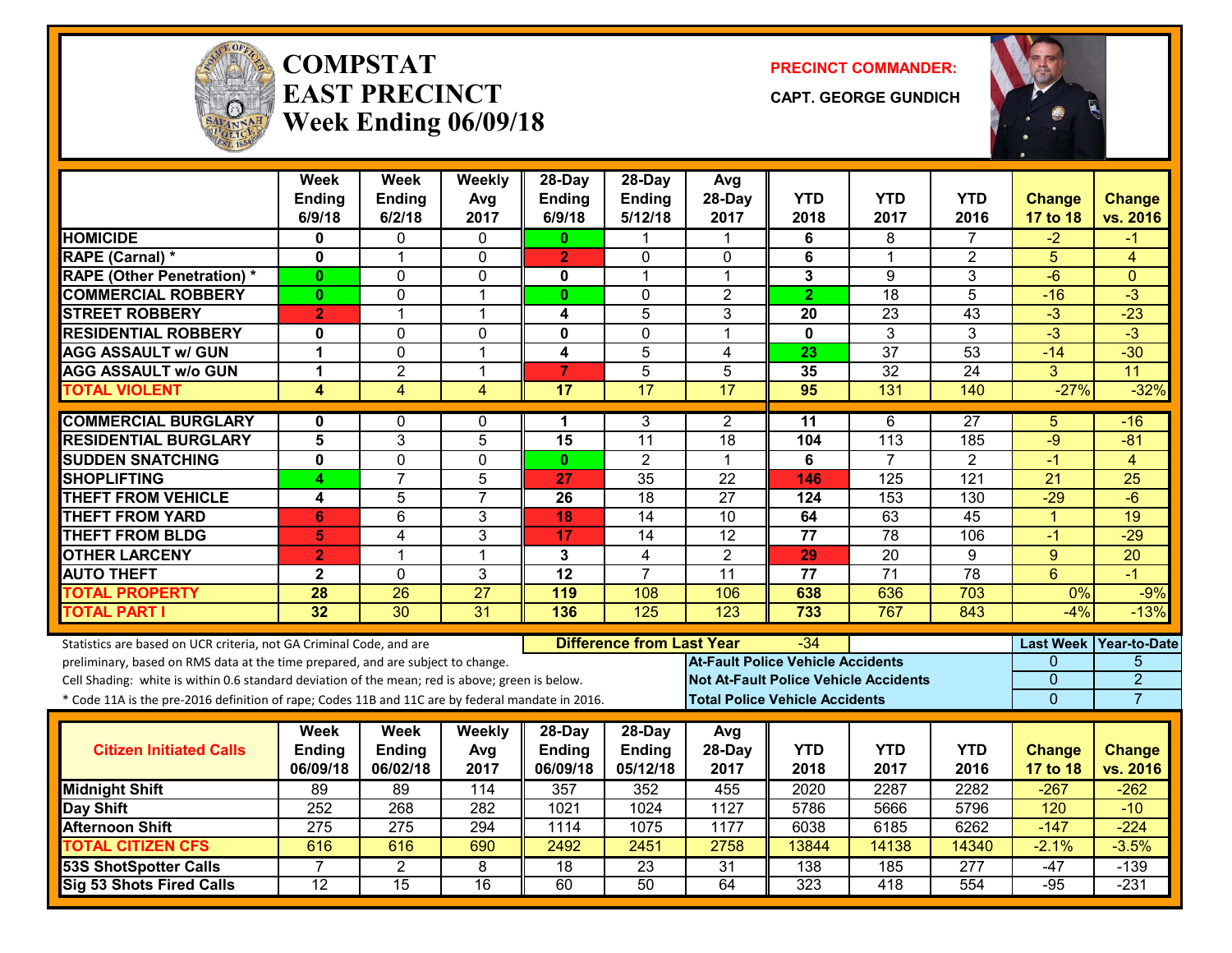

#### **COMPSTATEAST PRECINCTWeek Ending 06/09/18**

**PRECINCT COMMANDER:**

**CAPT. GEORGE GUNDICH**



|                                                                                                  | <b>Week</b><br>Ending<br>6/9/18 | <b>Week</b><br>Ending<br>6/2/18 | Weekly<br>Avg        | 28-Day<br><b>Ending</b><br>6/9/18 | 28-Day<br>Ending<br>5/12/18      | Avg<br>28-Day                                | <b>YTD</b><br>2018 | <b>YTD</b><br>2017 | <b>YTD</b><br>2016 | <b>Change</b>           | <b>Change</b><br>vs. 2016 |
|--------------------------------------------------------------------------------------------------|---------------------------------|---------------------------------|----------------------|-----------------------------------|----------------------------------|----------------------------------------------|--------------------|--------------------|--------------------|-------------------------|---------------------------|
| <b>HOMICIDE</b>                                                                                  | 0                               | 0                               | 2017<br>$\mathbf{0}$ | $\mathbf{0}$                      | 1                                | 2017<br>$\mathbf 1$                          | 6                  | 8                  | 7                  | <b>17 to 18</b><br>$-2$ | -1                        |
| RAPE (Carnal) *                                                                                  | 0                               | 1                               | $\mathbf{0}$         | $\overline{2}$                    | 0                                | 0                                            | 6                  | $\mathbf 1$        | $\overline{2}$     | 5                       | $\overline{4}$            |
| <b>RAPE (Other Penetration) *</b>                                                                | $\mathbf{0}$                    | 0                               | $\Omega$             | $\mathbf{0}$                      | 1                                | $\mathbf{1}$                                 | 3                  | 9                  | $\overline{3}$     | $-6$                    | $\Omega$                  |
| <b>COMMERCIAL ROBBERY</b>                                                                        | $\mathbf{0}$                    | 0                               | $\overline{1}$       | $\mathbf{0}$                      | $\mathbf{0}$                     | $\overline{2}$                               | $\overline{2}$     | 18                 | 5                  | $-16$                   | $\overline{3}$            |
| <b>STREET ROBBERY</b>                                                                            | $\overline{2}$                  | $\mathbf 1$                     | $\mathbf{1}$         | 4                                 | 5                                | 3                                            | 20                 | $\overline{23}$    | 43                 | $-3$                    | $-23$                     |
| <b>RESIDENTIAL ROBBERY</b>                                                                       | $\mathbf{0}$                    | $\Omega$                        | $\mathbf 0$          | $\mathbf 0$                       | $\Omega$                         | 1                                            | $\mathbf 0$        | 3                  | 3                  | $-3$                    | $-3$                      |
| <b>AGG ASSAULT w/ GUN</b>                                                                        | 1                               | 0                               | $\overline{1}$       | $\overline{\mathbf{4}}$           | 5                                | 4                                            | 23                 | $\overline{37}$    | $\overline{53}$    | $-14$                   | $-30$                     |
| <b>AGG ASSAULT w/o GUN</b>                                                                       | 1                               | $\overline{2}$                  | $\overline{1}$       | $\overline{7}$                    | $\overline{5}$                   | 5                                            | 35                 | 32                 | $\overline{24}$    | 3                       | 11                        |
| <b>TOTAL VIOLENT</b>                                                                             | 4                               | $\overline{4}$                  | 4                    | 17                                | $\overline{17}$                  | $\overline{17}$                              | 95                 | 131                | 140                | $-27%$                  | $-32%$                    |
|                                                                                                  |                                 |                                 |                      |                                   |                                  |                                              |                    |                    |                    |                         |                           |
| <b>COMMERCIAL BURGLARY</b>                                                                       | 0                               | 0                               | 0                    | 1                                 | 3                                | 2                                            | 11                 | 6                  | 27                 | 5                       | $-16$                     |
| <b>RESIDENTIAL BURGLARY</b>                                                                      | $\overline{\mathbf{5}}$         | 3                               | $\overline{5}$       | $\overline{15}$                   | $\overline{11}$                  | $\overline{18}$                              | 104                | $\overline{113}$   | 185                | $-9$                    | $-81$                     |
| <b>SUDDEN SNATCHING</b>                                                                          | $\mathbf 0$                     | 0                               | $\Omega$             | $\mathbf{0}$                      | $\overline{2}$                   | $\mathbf{1}$                                 | 6                  | $\overline{7}$     | $\overline{2}$     | $-1$                    | $\overline{4}$            |
| <b>SHOPLIFTING</b>                                                                               | 4                               | $\overline{7}$                  | $\overline{5}$       | 27                                | $\overline{35}$                  | $\overline{22}$                              | 146                | $\overline{125}$   | $\overline{121}$   | $\overline{21}$         | $\overline{25}$           |
| <b>THEFT FROM VEHICLE</b>                                                                        | 4                               | $\overline{5}$                  | $\overline{7}$       | 26                                | $\overline{18}$                  | $\overline{27}$                              | 124                | 153                | 130                | $-29$                   | $-6$                      |
| <b>THEFT FROM YARD</b>                                                                           | 6                               | 6                               | $\mathbf{3}$         | 18                                | $\overline{14}$                  | 10                                           | 64                 | 63                 | $\overline{45}$    | $\overline{1}$          | 19                        |
| <b>THEFT FROM BLDG</b>                                                                           | 5                               | 4                               | 3                    | 17                                | 14                               | $\overline{12}$                              | 77                 | $\overline{78}$    | 106                | $-1$                    | $-29$                     |
| <b>OTHER LARCENY</b>                                                                             | $\overline{2}$                  | 1                               | $\overline{1}$       | 3                                 | $\overline{4}$                   | $\overline{2}$                               | 29                 | $\overline{20}$    | $\overline{9}$     | $\overline{9}$          | $\overline{20}$           |
| <b>AUTO THEFT</b>                                                                                | $\mathbf{2}$                    | 0                               | 3                    | 12                                | $\overline{7}$                   | 11                                           | 77                 | $\overline{71}$    | $\overline{78}$    | $6\phantom{1}$          | $-1$                      |
| <b>TOTAL PROPERTY</b>                                                                            | 28                              | 26                              | 27                   | 119                               | 108                              | 106                                          | 638                | 636                | 703                | 0%                      | $-9%$                     |
| <b>TOTAL PART I</b>                                                                              | 32                              | 30                              | 31                   | 136                               | 125                              | 123                                          | 733                | 767                | 843                | $-4%$                   | $-13%$                    |
| Statistics are based on UCR criteria, not GA Criminal Code, and are                              |                                 |                                 |                      |                                   | <b>Difference from Last Year</b> |                                              | -34                |                    |                    | <b>Last Week</b>        | Year-to-Date              |
| preliminary, based on RMS data at the time prepared, and are subject to change.                  |                                 |                                 |                      |                                   |                                  | <b>At-Fault Police Vehicle Accidents</b>     |                    |                    |                    | 0                       | 5                         |
| Cell Shading: white is within 0.6 standard deviation of the mean; red is above; green is below.  |                                 |                                 |                      |                                   |                                  | <b>Not At-Fault Police Vehicle Accidents</b> |                    |                    |                    | $\Omega$                | $\overline{2}$            |
| * Code 11A is the pre-2016 definition of rape; Codes 11B and 11C are by federal mandate in 2016. |                                 |                                 |                      |                                   |                                  | <b>Total Police Vehicle Accidents</b>        |                    |                    |                    | $\overline{0}$          | $\overline{7}$            |
|                                                                                                  |                                 |                                 |                      |                                   |                                  |                                              |                    |                    |                    |                         |                           |
|                                                                                                  | Week                            | <b>Week</b>                     | Weekly               | 28-Day                            | 28-Day                           | Avg                                          |                    |                    |                    |                         |                           |
| <b>Citizen Initiated Calls</b>                                                                   | Ending                          | Ending                          | Avg                  | <b>Ending</b>                     | <b>Ending</b>                    | 28-Day                                       | <b>YTD</b>         | <b>YTD</b>         | <b>YTD</b>         | <b>Change</b>           | <b>Change</b>             |
|                                                                                                  | 06/09/18                        | 06/02/18                        | 2017                 | 06/09/18                          | 05/12/18                         | 2017                                         | 2018               | 2017               | 2016               | 17 to 18                | vs. 2016                  |
| <b>Midnight Shift</b>                                                                            | 89                              | $\overline{89}$                 | 114                  | 357                               | 352                              | 455                                          | 2020               | 2287               | 2282               | $-267$                  | $-262$                    |
| Day Shift                                                                                        | 252                             | 268                             | 282                  | 1021                              | 1024                             | 1127                                         | 5786               | 5666               | 5796               | 120                     | $-10$                     |
| <b>Afternoon Shift</b>                                                                           | 275                             | 275                             | 294                  | 1114                              | 1075                             | 1177                                         | 6038               | 6185               | 6262               | $-147$                  | $-224$                    |
| <b>TOTAL CITIZEN CFS</b>                                                                         | 616                             | 616                             | 690                  | 2492                              | 2451                             | 2758                                         | 13844              | 14138              | 14340              | $-2.1%$                 | $-3.5%$                   |
| <b>53S ShotSpotter Calls</b>                                                                     | $\overline{7}$                  | $\overline{2}$                  | 8                    | $\overline{18}$                   | $\overline{23}$                  | $\overline{31}$                              | 138                | 185                | $\overline{277}$   | $-47$                   | $-139$                    |
| <b>Sig 53 Shots Fired Calls</b>                                                                  | $\overline{12}$                 | $\overline{15}$                 | $\overline{16}$      | 60                                | $\overline{50}$                  | 64                                           | $\overline{323}$   | 418                | 554                | $-95$                   | $-231$                    |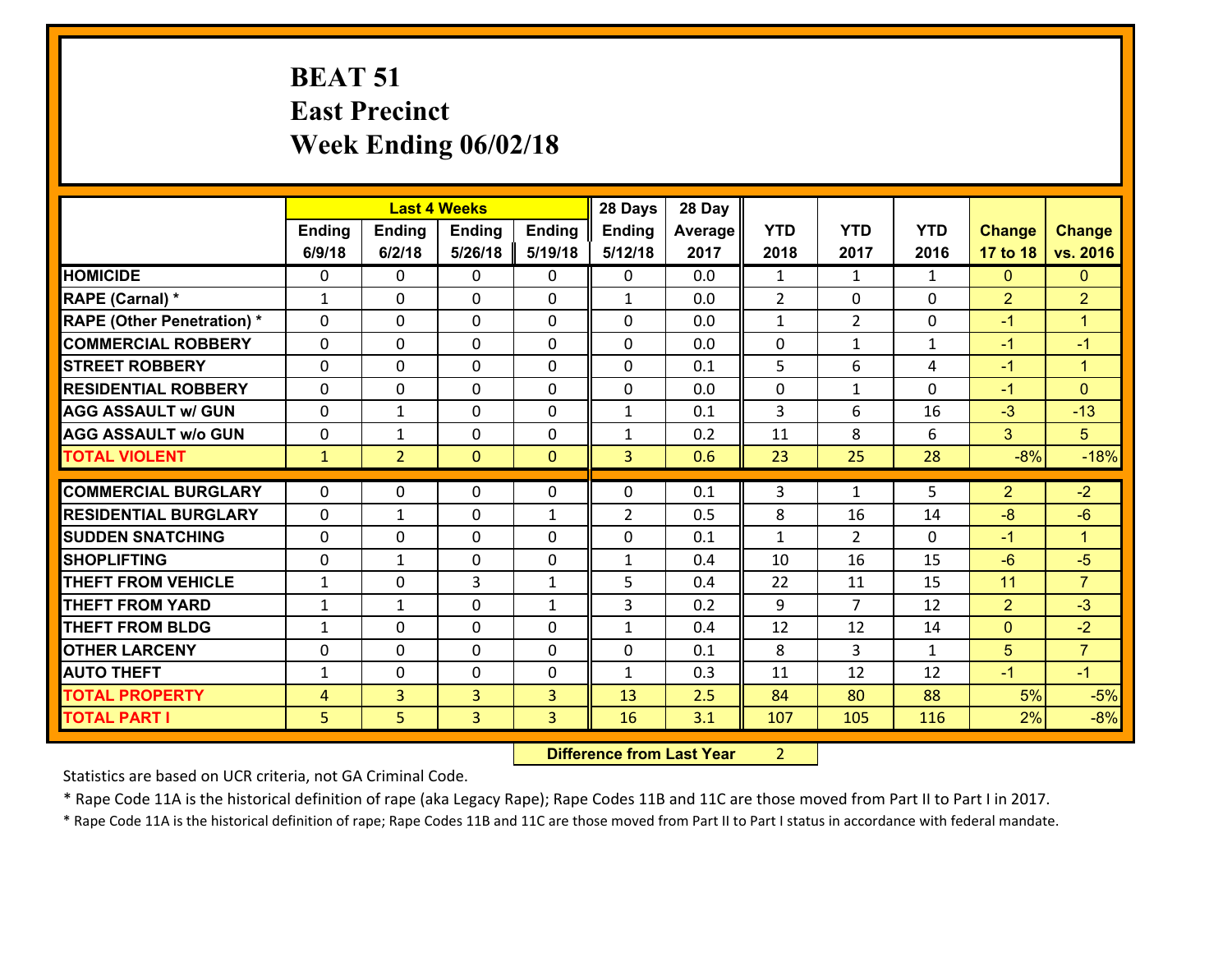## **BEAT 51 East Precinct Week Ending 06/02/18**

|                                   |                |                | <b>Last 4 Weeks</b> |               | 28 Days        | 28 Day  |                |                |              |                |                      |
|-----------------------------------|----------------|----------------|---------------------|---------------|----------------|---------|----------------|----------------|--------------|----------------|----------------------|
|                                   | <b>Ending</b>  | <b>Ending</b>  | <b>Ending</b>       | <b>Ending</b> | <b>Ending</b>  | Average | <b>YTD</b>     | <b>YTD</b>     | <b>YTD</b>   | <b>Change</b>  | <b>Change</b>        |
|                                   | 6/9/18         | 6/2/18         | 5/26/18             | 5/19/18       | 5/12/18        | 2017    | 2018           | 2017           | 2016         | 17 to 18       | vs. 2016             |
| <b>HOMICIDE</b>                   | $\Omega$       | 0              | 0                   | 0             | 0              | 0.0     | 1              | $\mathbf{1}$   | $\mathbf{1}$ | $\mathbf{0}$   | $\mathbf{0}$         |
| RAPE (Carnal) *                   | $\mathbf{1}$   | 0              | $\mathbf 0$         | 0             | $\mathbf{1}$   | 0.0     | $\overline{2}$ | 0              | 0            | $\overline{2}$ | $\overline{2}$       |
| <b>RAPE (Other Penetration) *</b> | $\Omega$       | 0              | $\mathbf{0}$        | $\Omega$      | 0              | 0.0     | 1              | $\overline{2}$ | $\Omega$     | $-1$           | 1                    |
| <b>COMMERCIAL ROBBERY</b>         | $\Omega$       | 0              | $\mathbf{0}$        | $\Omega$      | $\Omega$       | 0.0     | $\mathbf 0$    | $\mathbf{1}$   | $\mathbf{1}$ | $-1$           | $-1$                 |
| <b>STREET ROBBERY</b>             | $\Omega$       | 0              | $\mathbf{0}$        | 0             | $\Omega$       | 0.1     | 5              | 6              | 4            | $-1$           | $\blacktriangleleft$ |
| <b>RESIDENTIAL ROBBERY</b>        | $\Omega$       | 0              | $\mathbf{0}$        | $\Omega$      | $\Omega$       | 0.0     | 0              | $\mathbf 1$    | $\Omega$     | $-1$           | $\mathbf{0}$         |
| <b>AGG ASSAULT w/ GUN</b>         | $\Omega$       | 1              | $\Omega$            | $\Omega$      | $\mathbf{1}$   | 0.1     | 3              | 6              | 16           | $-3$           | $-13$                |
| <b>AGG ASSAULT w/o GUN</b>        | 0              | 1              | $\mathbf 0$         | 0             | $\mathbf{1}$   | 0.2     | 11             | 8              | 6            | 3              | 5 <sup>5</sup>       |
| <b>TOTAL VIOLENT</b>              | $\mathbf{1}$   | $\overline{2}$ | $\mathbf{0}$        | $\mathbf{0}$  | 3              | 0.6     | 23             | 25             | 28           | $-8%$          | $-18%$               |
|                                   |                |                |                     |               |                |         |                |                |              |                |                      |
| <b>COMMERCIAL BURGLARY</b>        | $\mathbf{0}$   | 0              | 0                   | 0             | 0              | 0.1     | 3              | $\mathbf{1}$   | 5            | $\overline{2}$ | $-2$                 |
| <b>RESIDENTIAL BURGLARY</b>       | $\Omega$       | 1              | 0                   | 1             | $\overline{2}$ | 0.5     | 8              | 16             | 14           | -8             | $-6$                 |
|                                   |                |                |                     |               |                |         |                |                |              |                | $\blacktriangleleft$ |
| <b>SUDDEN SNATCHING</b>           | $\Omega$       | 0              | $\mathbf 0$         | $\Omega$      | 0              | 0.1     | $\mathbf{1}$   | $\overline{2}$ | $\Omega$     | $-1$           |                      |
| <b>SHOPLIFTING</b>                | $\mathbf{0}$   | $\mathbf{1}$   | $\mathbf{0}$        | 0             | $\mathbf{1}$   | 0.4     | 10             | 16             | 15           | $-6$           | $-5$                 |
| <b>THEFT FROM VEHICLE</b>         | $\mathbf{1}$   | 0              | 3                   | $\mathbf{1}$  | 5              | 0.4     | 22             | 11             | 15           | 11             | $\overline{7}$       |
| <b>THEFT FROM YARD</b>            | 1              | 1              | $\mathbf 0$         | $\mathbf{1}$  | 3              | 0.2     | 9              | $\overline{7}$ | 12           | $\overline{2}$ | $-3$                 |
| <b>THEFT FROM BLDG</b>            | $\mathbf{1}$   | 0              | $\mathbf{0}$        | 0             | $\mathbf{1}$   | 0.4     | 12             | 12             | 14           | $\mathbf 0$    | $-2$                 |
| <b>OTHER LARCENY</b>              | 0              | 0              | $\mathbf{0}$        | 0             | $\Omega$       | 0.1     | 8              | 3.             | $\mathbf{1}$ | 5              | $\overline{7}$       |
| <b>AUTO THEFT</b>                 | $\mathbf{1}$   | 0              | $\mathbf{0}$        | $\Omega$      | $\mathbf{1}$   | 0.3     | 11             | 12             | 12           | $-1$           | $-1$                 |
| <b>TOTAL PROPERTY</b>             | 4              | 3 <sup>1</sup> | 3                   | 3             | 13             | 2.5     | 84             | 80             | 88           | 5%             | $-5%$                |
| <b>TOTAL PART I</b>               | 5 <sup>1</sup> | 5.             | 3                   | 3             | 16             | 3.1     | 107            | 105            | 116          | 2%             | $-8%$                |

 **Difference from Last Year**r 2

Statistics are based on UCR criteria, not GA Criminal Code.

\* Rape Code 11A is the historical definition of rape (aka Legacy Rape); Rape Codes 11B and 11C are those moved from Part II to Part I in 2017.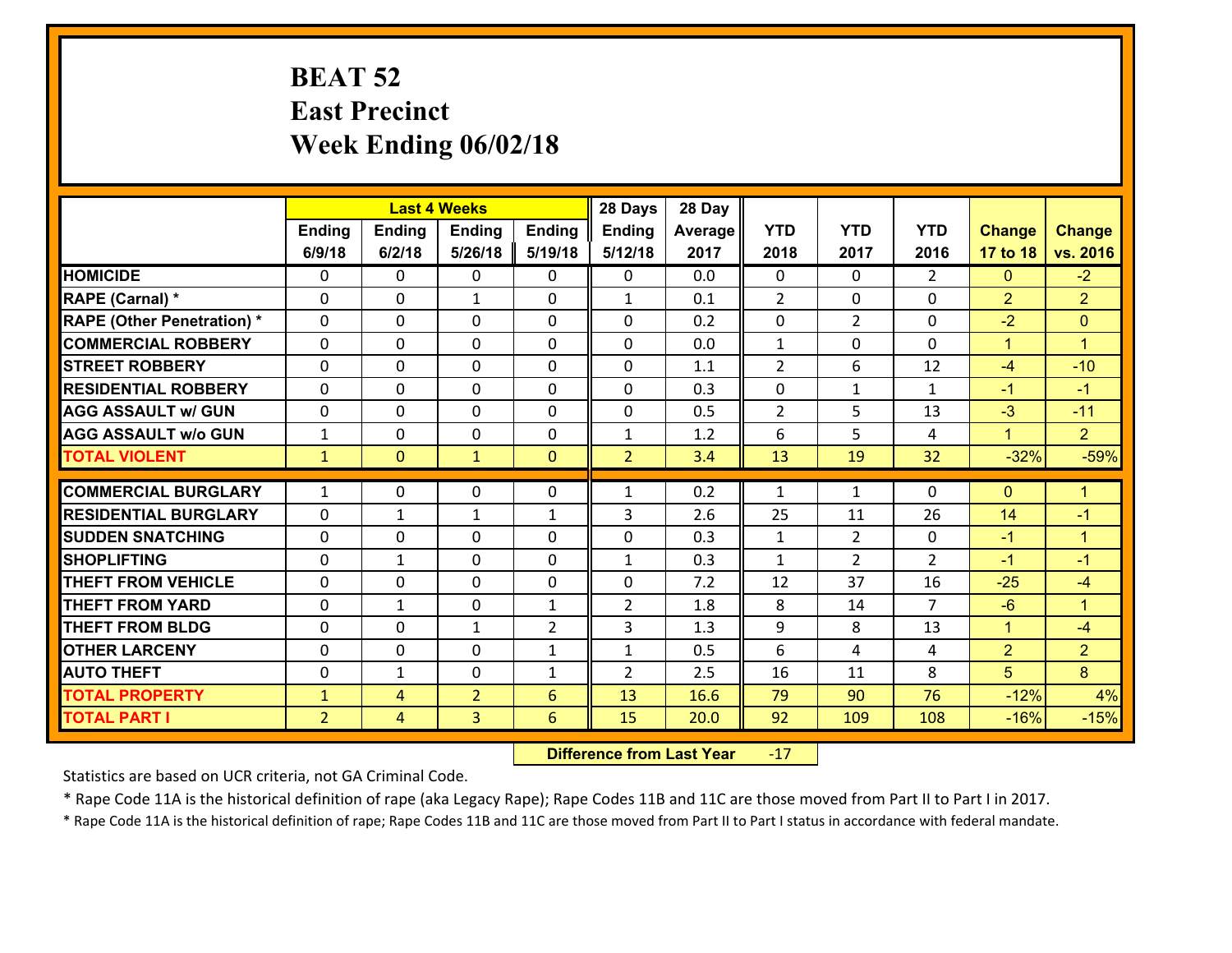### **BEAT 52 East Precinct Week Ending 06/02/18**

|                                   |                |                | <b>Last 4 Weeks</b> |                | 28 Days        | 28 Day  |                |                |                |                |                      |
|-----------------------------------|----------------|----------------|---------------------|----------------|----------------|---------|----------------|----------------|----------------|----------------|----------------------|
|                                   | Ending         | <b>Ending</b>  | Ending              | <b>Ending</b>  | <b>Ending</b>  | Average | <b>YTD</b>     | <b>YTD</b>     | <b>YTD</b>     | <b>Change</b>  | <b>Change</b>        |
|                                   | 6/9/18         | 6/2/18         | 5/26/18             | 5/19/18        | 5/12/18        | 2017    | 2018           | 2017           | 2016           | 17 to 18       | vs. 2016             |
| <b>HOMICIDE</b>                   | $\Omega$       | 0              | 0                   | $\Omega$       | 0              | 0.0     | 0              | $\Omega$       | $\mathcal{L}$  | $\mathbf{0}$   | $-2$                 |
| RAPE (Carnal) *                   | $\mathbf{0}$   | $\mathbf{0}$   | $\mathbf{1}$        | 0              | $\mathbf{1}$   | 0.1     | $\overline{2}$ | $\mathbf{0}$   | 0              | $\overline{2}$ | $\overline{2}$       |
| <b>RAPE (Other Penetration) *</b> | $\mathbf{0}$   | 0              | $\mathbf{0}$        | $\Omega$       | $\Omega$       | 0.2     | $\mathbf{0}$   | $\overline{2}$ | 0              | $-2$           | $\mathbf{0}$         |
| <b>COMMERCIAL ROBBERY</b>         | $\mathbf{0}$   | 0              | 0                   | $\Omega$       | $\Omega$       | 0.0     | 1              | 0              | 0              | $\mathbf{1}$   | $\mathbf{1}$         |
| <b>STREET ROBBERY</b>             | $\mathbf{0}$   | 0              | $\mathbf 0$         | 0              | $\Omega$       | 1.1     | $\overline{2}$ | 6              | 12             | -4             | $-10$                |
| <b>RESIDENTIAL ROBBERY</b>        | $\Omega$       | 0              | $\mathbf 0$         | 0              | 0              | 0.3     | 0              | $\mathbf{1}$   | $\mathbf{1}$   | $-1$           | $-1$                 |
| <b>AGG ASSAULT w/ GUN</b>         | 0              | 0              | $\mathbf 0$         | 0              | 0              | 0.5     | $\overline{2}$ | 5              | 13             | $-3$           | $-11$                |
| <b>AGG ASSAULT W/o GUN</b>        | $\mathbf{1}$   | 0              | $\mathbf 0$         | 0              | $\mathbf{1}$   | 1.2     | 6              | 5              | 4              | $\mathbf{1}$   | $\overline{2}$       |
| <b>TOTAL VIOLENT</b>              | $\mathbf{1}$   | $\overline{0}$ | $\mathbf{1}$        | $\mathbf{0}$   | $\overline{2}$ | 3.4     | 13             | 19             | 32             | $-32%$         | $-59%$               |
| <b>COMMERCIAL BURGLARY</b>        | $\mathbf{1}$   | 0              | 0                   | 0              | 1              | 0.2     | 1              | $\mathbf{1}$   | 0              | $\mathbf{0}$   | $\mathbf{1}$         |
| <b>RESIDENTIAL BURGLARY</b>       | $\Omega$       | 1              | 1                   | $\mathbf{1}$   | 3              | 2.6     | 25             | 11             | 26             | 14             | $-1$                 |
| <b>SUDDEN SNATCHING</b>           | $\mathbf{0}$   | 0              | 0                   | $\Omega$       | 0              | 0.3     | $\mathbf{1}$   | $\overline{2}$ | 0              | $-1$           | $\blacktriangleleft$ |
| <b>SHOPLIFTING</b>                | 0              | $\mathbf{1}$   | $\mathbf 0$         | $\Omega$       | $\mathbf{1}$   | 0.3     | $\mathbf{1}$   | $\overline{2}$ | $\overline{2}$ | $-1$           | $-1$                 |
| <b>THEFT FROM VEHICLE</b>         | $\Omega$       | 0              | $\mathbf 0$         | $\Omega$       | 0              | 7.2     | 12             | 37             | 16             | $-25$          | $-4$                 |
| <b>THEFT FROM YARD</b>            | 0              | $\mathbf{1}$   | $\mathbf 0$         | $\mathbf{1}$   | $\overline{2}$ | 1.8     | 8              | 14             | $\overline{7}$ | $-6$           | $\mathbf{1}$         |
| <b>THEFT FROM BLDG</b>            | $\mathbf{0}$   | 0              | 1                   | $\overline{2}$ | 3              | 1.3     | 9              | 8              | 13             | $\mathbf{1}$   | $-4$                 |
| <b>OTHER LARCENY</b>              | 0              | 0              | $\mathbf 0$         | $\mathbf{1}$   | $\mathbf{1}$   | 0.5     | 6              | 4              | 4              | $\overline{2}$ | $\overline{2}$       |
| <b>AUTO THEFT</b>                 | 0              | 1              | 0                   | $\mathbf{1}$   | $\overline{2}$ | 2.5     | 16             | 11             | 8              | 5              | 8                    |
| <b>TOTAL PROPERTY</b>             | $\mathbf{1}$   | 4              | $\overline{2}$      | 6              | 13             | 16.6    | 79             | 90             | 76             | $-12%$         | 4%                   |
| <b>TOTAL PART I</b>               | $\overline{2}$ | $\overline{4}$ | 3                   | 6              | 15             | 20.0    | 92             | 109            | 108            | $-16%$         | $-15%$               |

 **Difference from Last Year**r -17

Statistics are based on UCR criteria, not GA Criminal Code.

\* Rape Code 11A is the historical definition of rape (aka Legacy Rape); Rape Codes 11B and 11C are those moved from Part II to Part I in 2017.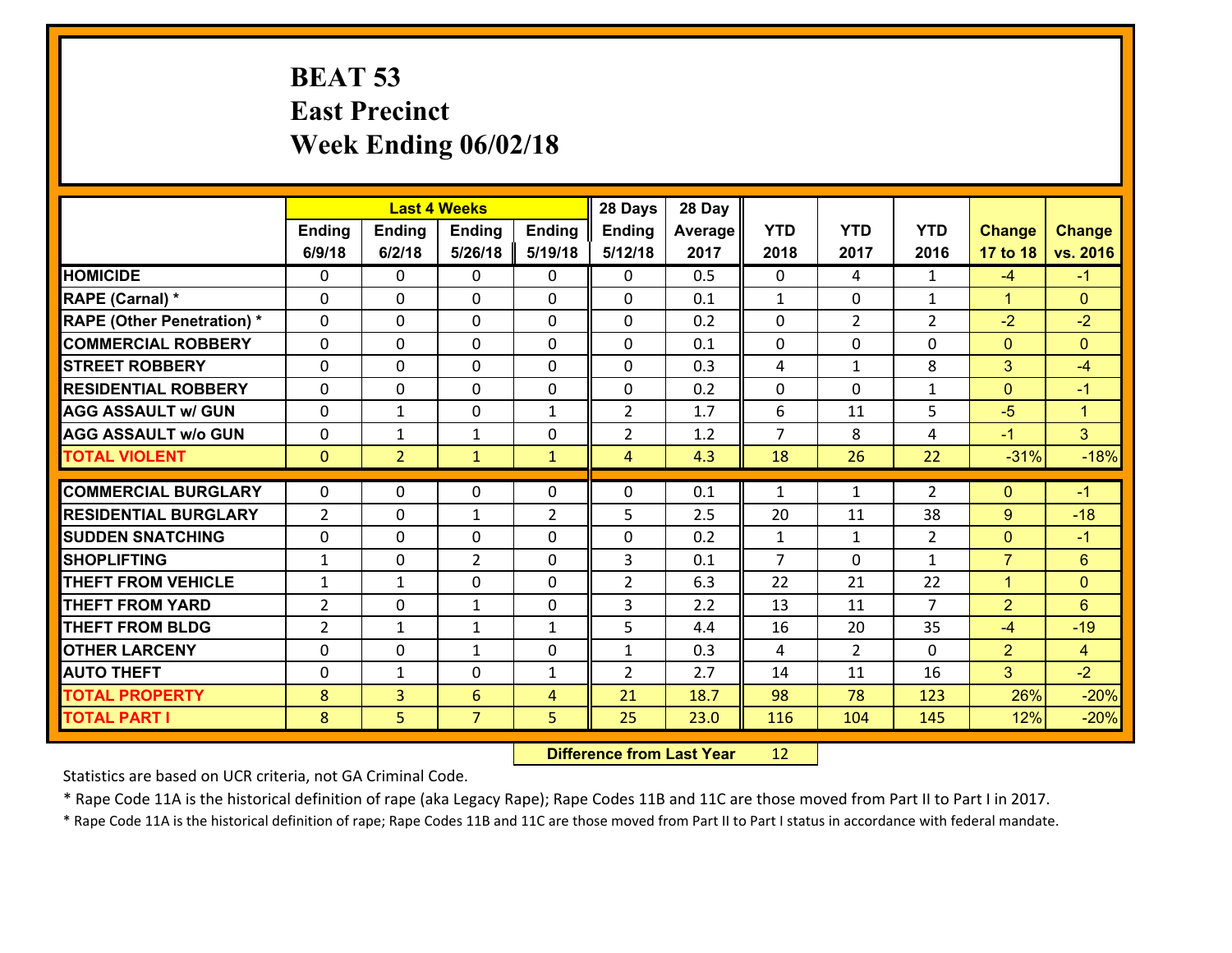### **BEAT 53 East Precinct Week Ending 06/02/18**

|                                   |                |                | <b>Last 4 Weeks</b> |                | 28 Days        | 28 Day  |                |                |                |                |                |
|-----------------------------------|----------------|----------------|---------------------|----------------|----------------|---------|----------------|----------------|----------------|----------------|----------------|
|                                   | Ending         | <b>Ending</b>  | Ending              | <b>Ending</b>  | <b>Ending</b>  | Average | <b>YTD</b>     | <b>YTD</b>     | <b>YTD</b>     | <b>Change</b>  | <b>Change</b>  |
|                                   | 6/9/18         | 6/2/18         | 5/26/18             | 5/19/18        | 5/12/18        | 2017    | 2018           | 2017           | 2016           | 17 to 18       | vs. 2016       |
| <b>HOMICIDE</b>                   | $\Omega$       | 0              | 0                   | $\Omega$       | 0              | 0.5     | 0              | 4              | $\mathbf{1}$   | $-4$           | $-1$           |
| RAPE (Carnal) *                   | $\mathbf{0}$   | $\mathbf{0}$   | $\mathbf{0}$        | 0              | 0              | 0.1     | $\mathbf{1}$   | $\mathbf{0}$   | $\mathbf{1}$   | $\mathbf{1}$   | $\mathbf{0}$   |
| <b>RAPE (Other Penetration) *</b> | $\mathbf{0}$   | 0              | $\mathbf{0}$        | $\Omega$       | $\Omega$       | 0.2     | $\mathbf{0}$   | $\overline{2}$ | $\overline{2}$ | $-2$           | $-2$           |
| <b>COMMERCIAL ROBBERY</b>         | $\mathbf{0}$   | 0              | 0                   | $\Omega$       | $\Omega$       | 0.1     | $\mathbf{0}$   | 0              | 0              | $\mathbf{0}$   | $\Omega$       |
| <b>STREET ROBBERY</b>             | $\mathbf{0}$   | 0              | $\mathbf{0}$        | 0              | $\Omega$       | 0.3     | 4              | $\mathbf{1}$   | 8              | 3              | $-4$           |
| <b>RESIDENTIAL ROBBERY</b>        | $\Omega$       | 0              | $\mathbf 0$         | 0              | 0              | 0.2     | 0              | 0              | $\mathbf{1}$   | $\mathbf{0}$   | $-1$           |
| <b>AGG ASSAULT w/ GUN</b>         | 0              | $\mathbf{1}$   | $\mathbf 0$         | $\mathbf{1}$   | $\overline{2}$ | 1.7     | 6              | 11             | 5              | $-5$           | $\overline{1}$ |
| <b>AGG ASSAULT W/o GUN</b>        | 0              | $\mathbf{1}$   | $\mathbf{1}$        | 0              | $\overline{2}$ | 1.2     | $\overline{7}$ | 8              | 4              | $-1$           | 3 <sup>1</sup> |
| <b>TOTAL VIOLENT</b>              | $\mathbf{0}$   | $\overline{2}$ | $\mathbf{1}$        | $\mathbf{1}$   | $\overline{4}$ | 4.3     | 18             | 26             | 22             | $-31%$         | $-18%$         |
| <b>COMMERCIAL BURGLARY</b>        | $\mathbf{0}$   | 0              | 0                   | 0              | $\Omega$       | 0.1     | 1              | $\mathbf{1}$   | $\overline{2}$ | $\mathbf{0}$   | $-1$           |
| <b>RESIDENTIAL BURGLARY</b>       | $\overline{2}$ | 0              | 1                   | $\overline{2}$ | 5              | 2.5     | 20             | 11             | 38             | 9              | $-18$          |
| <b>SUDDEN SNATCHING</b>           | $\mathbf{0}$   | 0              | 0                   | $\Omega$       | 0              | 0.2     | $\mathbf{1}$   | $\mathbf{1}$   | $\overline{2}$ | $\mathbf{0}$   | $-1$           |
| <b>SHOPLIFTING</b>                | $\mathbf{1}$   | 0              | $\overline{2}$      | $\Omega$       | 3              | 0.1     | $\overline{7}$ | $\Omega$       | $\mathbf{1}$   | $\overline{7}$ | 6              |
| <b>THEFT FROM VEHICLE</b>         | $\mathbf{1}$   | $\mathbf{1}$   | $\mathbf 0$         | $\Omega$       | $\overline{2}$ | 6.3     | 22             | 21             | 22             | $\mathbf{1}$   | $\Omega$       |
| <b>THEFT FROM YARD</b>            | $\overline{2}$ | 0              | $\mathbf{1}$        | 0              | 3              | 2.2     | 13             | 11             | $\overline{7}$ | $\overline{2}$ | 6              |
| <b>THEFT FROM BLDG</b>            | $\overline{2}$ | $\mathbf{1}$   | 1                   | $\mathbf{1}$   | 5              | 4.4     | 16             | 20             | 35             | $-4$           | $-19$          |
| <b>OTHER LARCENY</b>              | 0              | 0              | 1                   | 0              | $\mathbf{1}$   | 0.3     | 4              | $\overline{2}$ | 0              | $\overline{2}$ | $\overline{4}$ |
| <b>AUTO THEFT</b>                 | 0              | $\mathbf{1}$   | 0                   | $\mathbf{1}$   | $\overline{2}$ | 2.7     | 14             | 11             | 16             | 3              | $-2$           |
| <b>TOTAL PROPERTY</b>             | 8              | $\overline{3}$ | 6                   | 4              | 21             | 18.7    | 98             | 78             | 123            | 26%            | $-20%$         |
| <b>TOTAL PART I</b>               | 8              | 5              | $\overline{7}$      | 5              | 25             | 23.0    | 116            | 104            | 145            | 12%            | $-20%$         |

 **Difference from Last Year**r 12

Statistics are based on UCR criteria, not GA Criminal Code.

\* Rape Code 11A is the historical definition of rape (aka Legacy Rape); Rape Codes 11B and 11C are those moved from Part II to Part I in 2017.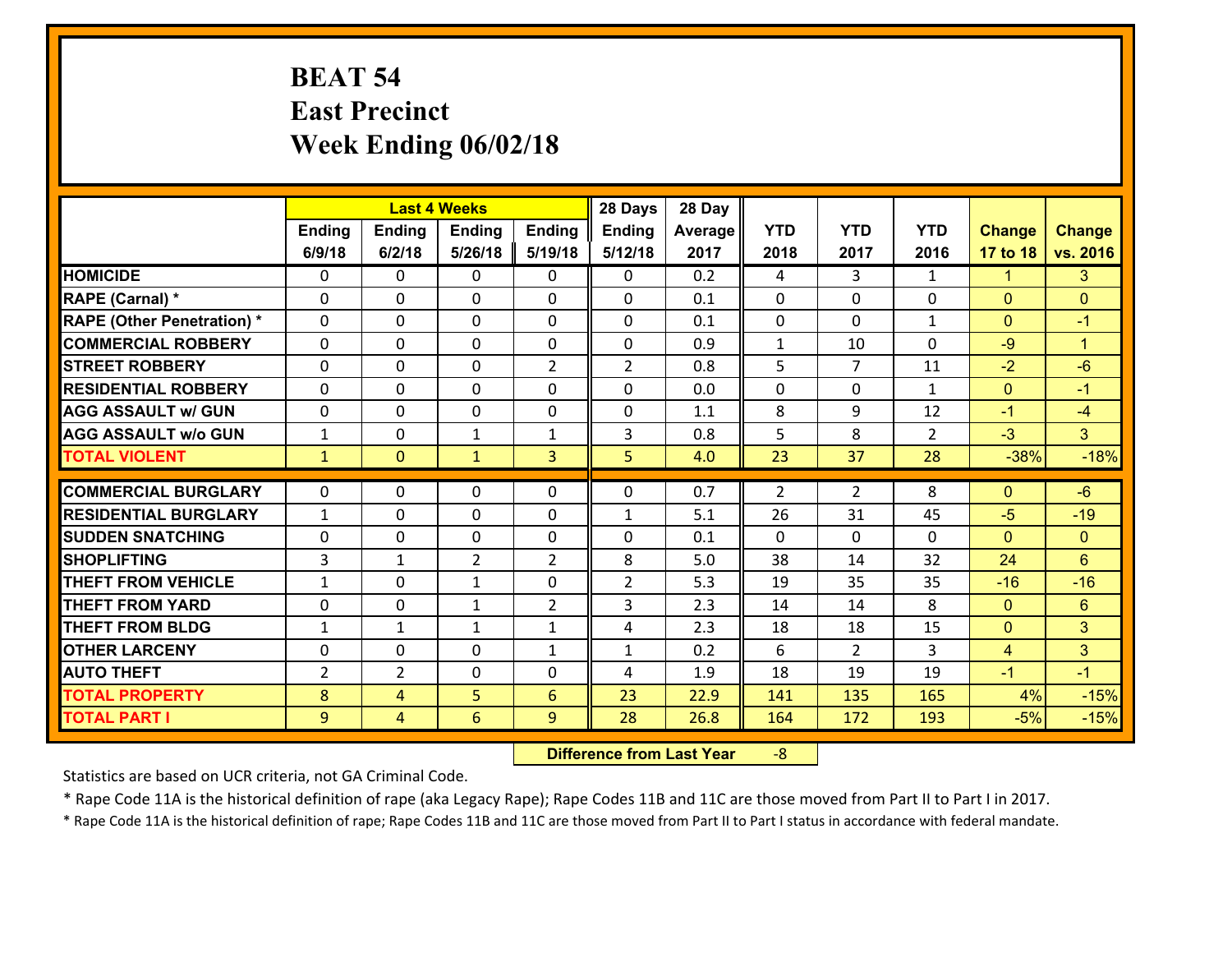## **BEAT 54 East Precinct Week Ending 06/02/18**

|                                              |                |                     | <b>Last 4 Weeks</b> |                   | 28 Days           | 28 Day       |              |                |                |                        |                      |
|----------------------------------------------|----------------|---------------------|---------------------|-------------------|-------------------|--------------|--------------|----------------|----------------|------------------------|----------------------|
|                                              | Ending         | <b>Ending</b>       | <b>Ending</b>       | <b>Ending</b>     | <b>Ending</b>     | Average      | <b>YTD</b>   | <b>YTD</b>     | <b>YTD</b>     | <b>Change</b>          | <b>Change</b>        |
|                                              | 6/9/18         | 6/2/18              | 5/26/18             | 5/19/18           | 5/12/18           | 2017         | 2018         | 2017           | 2016           | 17 to 18               | vs. 2016             |
| <b>HOMICIDE</b>                              | 0              | 0                   | $\mathbf{0}$        | 0                 | 0                 | 0.2          | 4            | 3              | $\mathbf{1}$   | $\mathbf{1}$           | $\mathbf{3}$         |
| RAPE (Carnal) *                              | 0              | 0                   | $\mathbf{0}$        | 0                 | $\Omega$          | 0.1          | $\mathbf{0}$ | $\Omega$       | $\Omega$       | $\mathbf{0}$           | $\mathbf{0}$         |
| <b>RAPE (Other Penetration) *</b>            | $\Omega$       | $\Omega$            | $\Omega$            | $\Omega$          | $\Omega$          | 0.1          | $\Omega$     | $\Omega$       | $\mathbf{1}$   | $\Omega$               | $-1$                 |
| <b>COMMERCIAL ROBBERY</b>                    | 0              | 0                   | $\mathbf 0$         | 0                 | 0                 | 0.9          | $\mathbf{1}$ | 10             | $\Omega$       | $-9$                   | $\blacktriangleleft$ |
| <b>STREET ROBBERY</b>                        | $\Omega$       | 0                   | $\mathbf 0$         | $\overline{2}$    | $\overline{2}$    | 0.8          | 5            | $\overline{7}$ | 11             | $-2$                   | $-6$                 |
| <b>RESIDENTIAL ROBBERY</b>                   | $\Omega$       | $\Omega$            | $\mathbf 0$         | $\Omega$          | 0                 | 0.0          | $\Omega$     | $\Omega$       | $\mathbf{1}$   | $\mathbf{0}$           | $-1$                 |
| <b>AGG ASSAULT w/ GUN</b>                    | $\Omega$       | 0                   | $\mathbf 0$         | $\Omega$          | 0                 | 1.1          | 8            | 9              | 12             | $-1$                   | $-4$                 |
| <b>AGG ASSAULT w/o GUN</b>                   | $\mathbf{1}$   | 0                   | $\mathbf{1}$        | $\mathbf{1}$      | 3                 | 0.8          | 5            | 8              | $\overline{2}$ | $-3$                   | 3 <sup>1</sup>       |
| <b>TOTAL VIOLENT</b>                         | $\mathbf{1}$   | $\overline{0}$      | $\mathbf{1}$        | $\overline{3}$    | 5                 | 4.0          | 23           | 37             | 28             | $-38%$                 | $-18%$               |
| <b>COMMERCIAL BURGLARY</b>                   | $\mathbf{0}$   | 0                   | 0                   | 0                 | $\Omega$          | 0.7          | 2            | $\overline{2}$ | 8              |                        | $-6$                 |
|                                              |                |                     |                     |                   |                   |              |              |                |                |                        |                      |
|                                              |                |                     |                     |                   |                   |              |              |                |                | $\mathbf{0}$           |                      |
| <b>RESIDENTIAL BURGLARY</b>                  | $\mathbf{1}$   | 0                   | $\mathbf{0}$        | 0                 | 1                 | 5.1          | 26           | 31             | 45             | $-5$                   | $-19$                |
| <b>SUDDEN SNATCHING</b>                      | $\mathbf{0}$   | 0                   | $\mathbf{0}$        | $\Omega$          | $\Omega$          | 0.1          | $\Omega$     | $\Omega$       | $\Omega$       | $\Omega$               | $\mathbf{0}$         |
| <b>SHOPLIFTING</b>                           | 3              | 1                   | $\overline{2}$      | $\overline{2}$    | 8                 | 5.0          | 38           | 14             | 32             | 24                     | 6                    |
| <b>THEFT FROM VEHICLE</b>                    | $\mathbf{1}$   | 0                   | $\mathbf{1}$        | $\Omega$          | $\overline{2}$    | 5.3          | 19           | 35             | 35             | $-16$                  | $-16$                |
| <b>THEFT FROM YARD</b>                       | 0              | 0                   | 1                   | $\overline{2}$    | 3                 | 2.3          | 14           | 14             | 8              | $\mathbf{0}$           | $6\phantom{1}$       |
| <b>THEFT FROM BLDG</b>                       | $\mathbf{1}$   | 1                   | $\mathbf{1}$        | $\mathbf{1}$      | 4                 | 2.3          | 18           | 18             | 15             | $\overline{0}$         | 3                    |
| <b>OTHER LARCENY</b><br><b>AUTO THEFT</b>    | 0              | 0<br>$\overline{2}$ | $\mathbf 0$         | $\mathbf{1}$<br>0 | $\mathbf{1}$<br>4 | 0.2          | 6            | $\overline{2}$ | 3              | $\overline{4}$<br>$-1$ | 3<br>$-1$            |
|                                              | $\overline{2}$ |                     | $\mathbf 0$         |                   |                   | 1.9          | 18           | 19             | 19             |                        |                      |
| <b>TOTAL PROPERTY</b><br><b>TOTAL PART I</b> | 8<br>9         | 4<br>$\overline{4}$ | 5<br>6              | 6<br>9            | 23<br>28          | 22.9<br>26.8 | 141<br>164   | 135<br>172     | 165<br>193     | 4%<br>$-5%$            | $-15%$<br>$-15%$     |

 **Difference from Last Year**r -8

Statistics are based on UCR criteria, not GA Criminal Code.

\* Rape Code 11A is the historical definition of rape (aka Legacy Rape); Rape Codes 11B and 11C are those moved from Part II to Part I in 2017.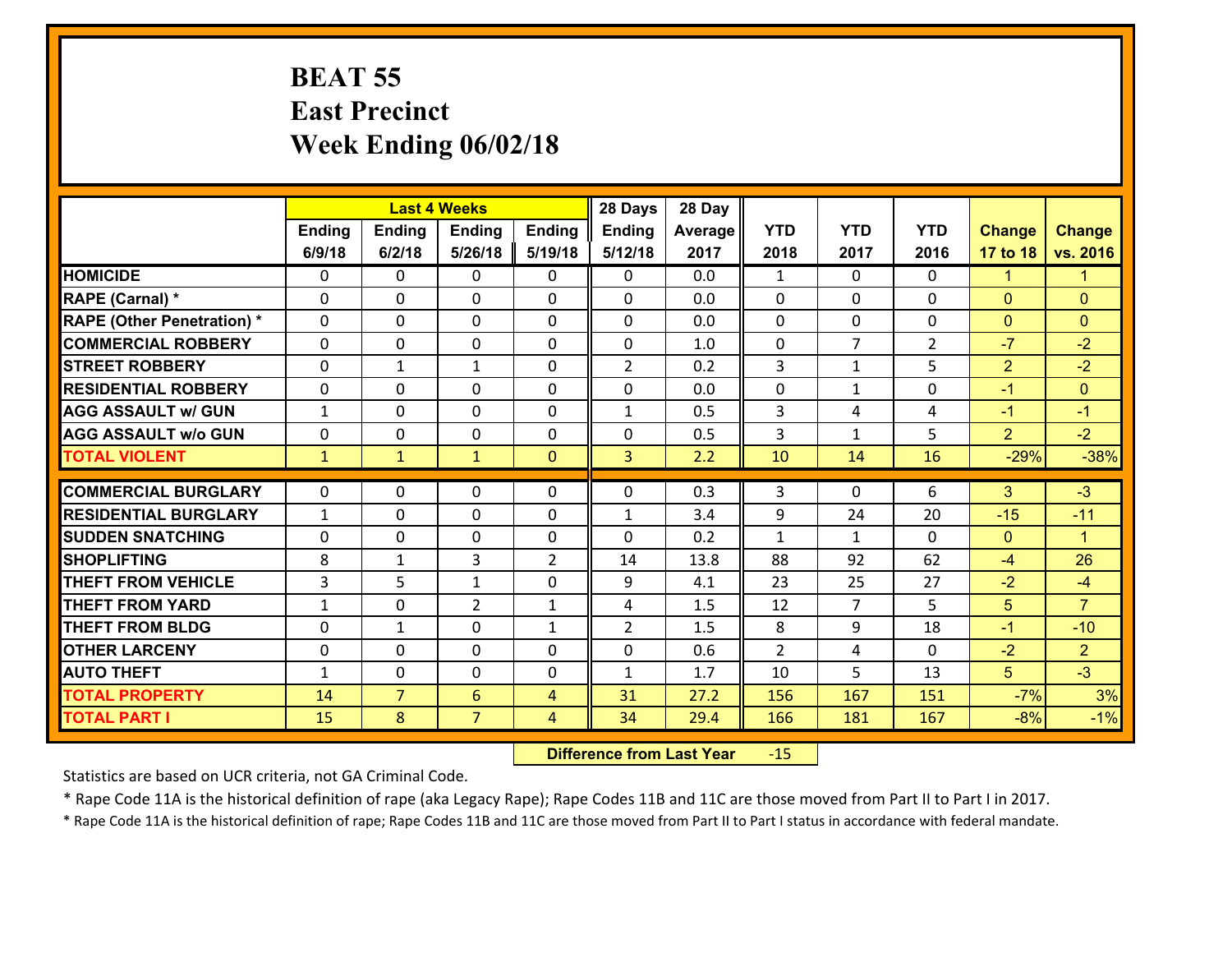#### **BEAT 55 East Precinct Week Ending 06/02/18**

|                                   |                |                | <b>Last 4 Weeks</b> |                | 28 Days        | 28 Day  |                |                |                |                |                      |
|-----------------------------------|----------------|----------------|---------------------|----------------|----------------|---------|----------------|----------------|----------------|----------------|----------------------|
|                                   | Ending         | <b>Ending</b>  | <b>Ending</b>       | Ending         | <b>Ending</b>  | Average | <b>YTD</b>     | <b>YTD</b>     | <b>YTD</b>     | <b>Change</b>  | <b>Change</b>        |
|                                   | 6/9/18         | 6/2/18         | 5/26/18             | 5/19/18        | 5/12/18        | 2017    | 2018           | 2017           | 2016           | 17 to 18       | vs. 2016             |
| <b>HOMICIDE</b>                   | $\Omega$       | 0              | $\Omega$            | 0              | $\Omega$       | 0.0     | $\mathbf{1}$   | $\Omega$       | $\Omega$       | $\mathbf{1}$   | $\mathbf{1}$         |
| RAPE (Carnal) *                   | 0              | 0              | $\mathbf{0}$        | 0              | $\Omega$       | 0.0     | $\mathbf{0}$   | 0              | $\Omega$       | $\mathbf{0}$   | $\mathbf{0}$         |
| <b>RAPE (Other Penetration) *</b> | $\Omega$       | 0              | $\mathbf{0}$        | $\Omega$       | $\Omega$       | 0.0     | $\Omega$       | $\Omega$       | $\Omega$       | $\mathbf{0}$   | $\mathbf{0}$         |
| <b>COMMERCIAL ROBBERY</b>         | 0              | 0              | $\mathbf 0$         | 0              | 0              | 1.0     | $\mathbf{0}$   | $\overline{7}$ | $\overline{2}$ | $-7$           | $-2$                 |
| <b>STREET ROBBERY</b>             | $\Omega$       | $\mathbf 1$    | 1                   | 0              | $\overline{2}$ | 0.2     | $\overline{3}$ | $\mathbf{1}$   | 5              | $\overline{2}$ | $-2$                 |
| <b>RESIDENTIAL ROBBERY</b>        | $\Omega$       | $\Omega$       | $\mathbf 0$         | $\Omega$       | 0              | 0.0     | $\mathbf 0$    | $\mathbf{1}$   | 0              | $-1$           | $\overline{0}$       |
| <b>AGG ASSAULT w/ GUN</b>         | $\mathbf{1}$   | 0              | $\mathbf 0$         | 0              | $\mathbf{1}$   | 0.5     | 3              | 4              | 4              | $-1$           | $-1$                 |
| <b>AGG ASSAULT w/o GUN</b>        | 0              | 0              | $\mathbf 0$         | 0              | 0              | 0.5     | 3              | $\mathbf{1}$   | 5              | $\overline{2}$ | $-2$                 |
| <b>TOTAL VIOLENT</b>              | $\mathbf{1}$   | $\mathbf{1}$   | $\mathbf{1}$        | $\mathbf{0}$   | $\overline{3}$ | 2.2     | 10             | 14             | 16             | $-29%$         | $-38%$               |
| <b>COMMERCIAL BURGLARY</b>        | $\Omega$       | 0              | $\mathbf{0}$        | $\Omega$       | $\Omega$       | 0.3     | 3              | $\Omega$       | 6              | 3              | $-3$                 |
|                                   |                |                |                     |                |                |         |                |                |                |                |                      |
| <b>RESIDENTIAL BURGLARY</b>       | $\mathbf{1}$   | 0              | $\mathbf 0$         | 0              | $\mathbf{1}$   | 3.4     | 9              | 24             | 20             | $-15$          | $-11$                |
| <b>SUDDEN SNATCHING</b>           | 0              | 0              | $\mathbf 0$         | 0              | 0              | 0.2     | $\mathbf{1}$   | $\mathbf{1}$   | $\Omega$<br>62 | $\overline{0}$ | $\blacktriangleleft$ |
| <b>SHOPLIFTING</b>                | 8              | 1              | 3                   | $\overline{2}$ | 14             | 13.8    | 88             | 92             |                | $-4$           | 26                   |
| <b>THEFT FROM VEHICLE</b>         | $\overline{3}$ | 5              | $\mathbf{1}$        | 0              | 9              | 4.1     | 23             | 25             | 27             | $-2$           | $-4$                 |
| <b>THEFT FROM YARD</b>            | $\mathbf{1}$   | 0              | $\overline{2}$      | $\mathbf{1}$   | 4              | 1.5     | 12             | $\overline{7}$ | 5              | 5              | $\overline{7}$       |
| <b>THEFT FROM BLDG</b>            | 0              | 1              | $\mathbf 0$         | $\mathbf{1}$   | $\overline{2}$ | 1.5     | 8              | 9              | 18             | $-1$           | $-10$                |
| <b>OTHER LARCENY</b>              | 0              | 0              | $\mathbf 0$         | 0              | 0              | 0.6     | $\overline{2}$ | 4              | 0              | $-2$           | $\overline{2}$       |
| <b>AUTO THEFT</b>                 | $\mathbf{1}$   | 0              | $\mathbf{0}$        | 0              | $\mathbf{1}$   | 1.7     | 10             | 5              | 13             | 5 <sup>5</sup> | $-3$                 |
| <b>TOTAL PROPERTY</b>             | 14             | $\overline{7}$ | 6                   | 4              | 31             | 27.2    | 156            | 167            | 151            | $-7%$          | 3%                   |
| <b>TOTAL PART I</b>               | 15             | 8              | $\overline{7}$      | 4              | 34             | 29.4    | 166            | 181            | 167            | $-8%$          | $-1%$                |

 **Difference from Last Year**r -15

Statistics are based on UCR criteria, not GA Criminal Code.

\* Rape Code 11A is the historical definition of rape (aka Legacy Rape); Rape Codes 11B and 11C are those moved from Part II to Part I in 2017.